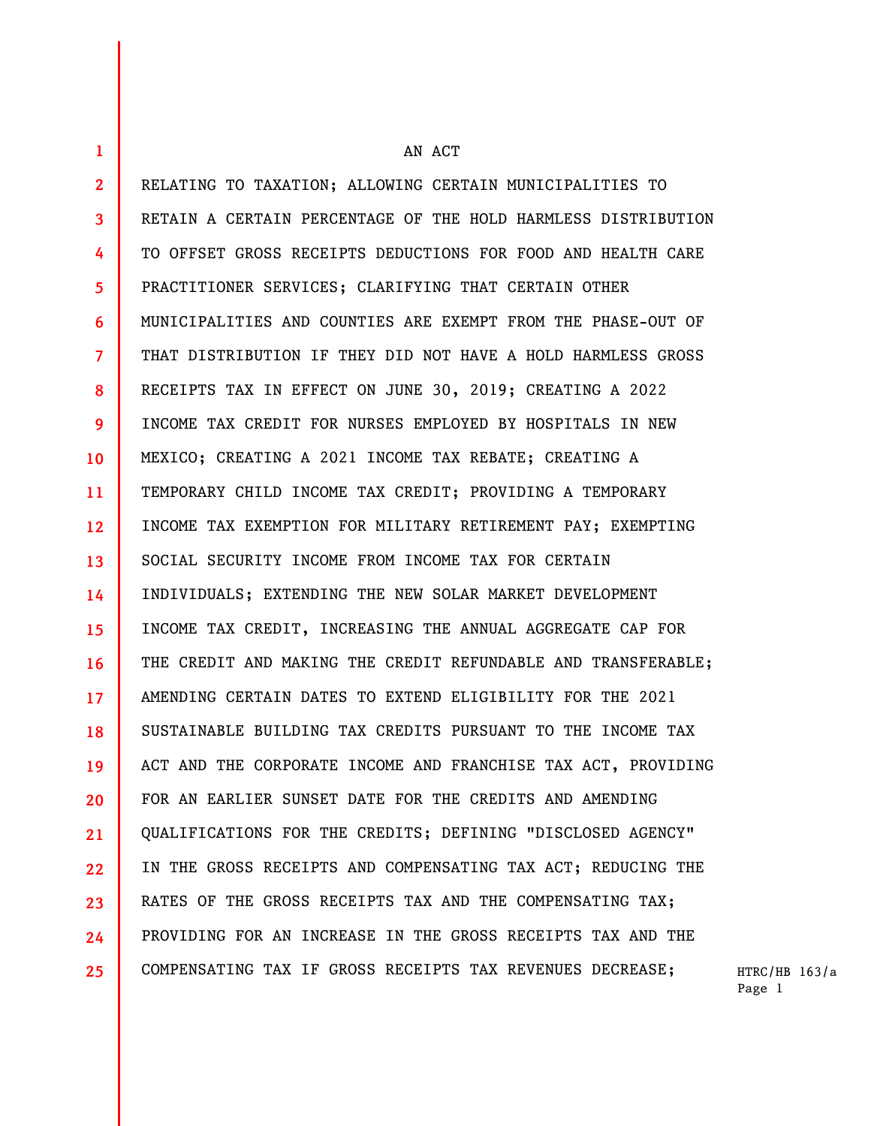**1 2 3 4 5 6 7 8 9 10 11 12 13 14 15 16 17 18 19 20 21 22 23 24 25**  AN ACT RELATING TO TAXATION; ALLOWING CERTAIN MUNICIPALITIES TO RETAIN A CERTAIN PERCENTAGE OF THE HOLD HARMLESS DISTRIBUTION TO OFFSET GROSS RECEIPTS DEDUCTIONS FOR FOOD AND HEALTH CARE PRACTITIONER SERVICES; CLARIFYING THAT CERTAIN OTHER MUNICIPALITIES AND COUNTIES ARE EXEMPT FROM THE PHASE-OUT OF THAT DISTRIBUTION IF THEY DID NOT HAVE A HOLD HARMLESS GROSS RECEIPTS TAX IN EFFECT ON JUNE 30, 2019; CREATING A 2022 INCOME TAX CREDIT FOR NURSES EMPLOYED BY HOSPITALS IN NEW MEXICO; CREATING A 2021 INCOME TAX REBATE; CREATING A TEMPORARY CHILD INCOME TAX CREDIT; PROVIDING A TEMPORARY INCOME TAX EXEMPTION FOR MILITARY RETIREMENT PAY; EXEMPTING SOCIAL SECURITY INCOME FROM INCOME TAX FOR CERTAIN INDIVIDUALS; EXTENDING THE NEW SOLAR MARKET DEVELOPMENT INCOME TAX CREDIT, INCREASING THE ANNUAL AGGREGATE CAP FOR THE CREDIT AND MAKING THE CREDIT REFUNDABLE AND TRANSFERABLE; AMENDING CERTAIN DATES TO EXTEND ELIGIBILITY FOR THE 2021 SUSTAINABLE BUILDING TAX CREDITS PURSUANT TO THE INCOME TAX ACT AND THE CORPORATE INCOME AND FRANCHISE TAX ACT, PROVIDING FOR AN EARLIER SUNSET DATE FOR THE CREDITS AND AMENDING QUALIFICATIONS FOR THE CREDITS; DEFINING "DISCLOSED AGENCY" IN THE GROSS RECEIPTS AND COMPENSATING TAX ACT; REDUCING THE RATES OF THE GROSS RECEIPTS TAX AND THE COMPENSATING TAX; PROVIDING FOR AN INCREASE IN THE GROSS RECEIPTS TAX AND THE COMPENSATING TAX IF GROSS RECEIPTS TAX REVENUES DECREASE;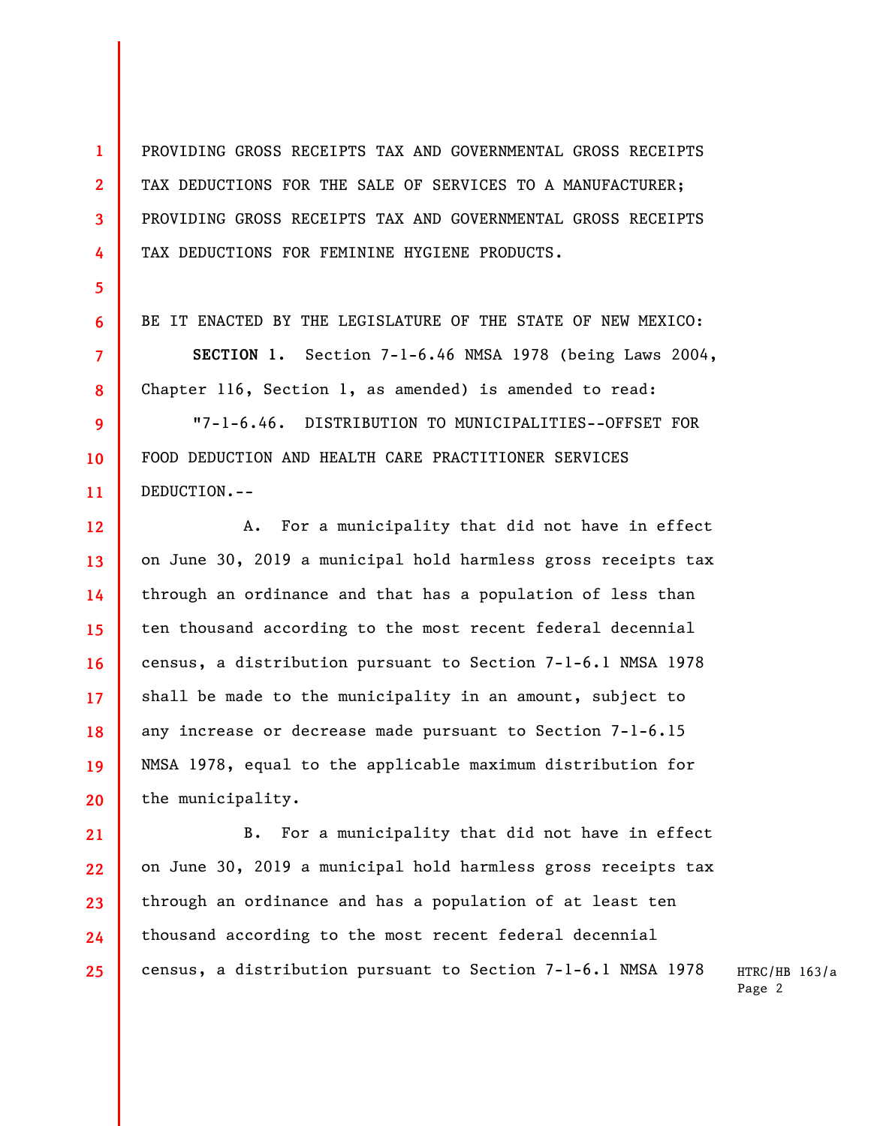PROVIDING GROSS RECEIPTS TAX AND GOVERNMENTAL GROSS RECEIPTS TAX DEDUCTIONS FOR THE SALE OF SERVICES TO A MANUFACTURER; PROVIDING GROSS RECEIPTS TAX AND GOVERNMENTAL GROSS RECEIPTS TAX DEDUCTIONS FOR FEMININE HYGIENE PRODUCTS.

**1** 

**2** 

**3** 

**4** 

**5** 

**6** 

**7** 

**8** 

**9** 

**10** 

**11** 

BE IT ENACTED BY THE LEGISLATURE OF THE STATE OF NEW MEXICO:

**SECTION 1.** Section 7-1-6.46 NMSA 1978 (being Laws 2004, Chapter 116, Section 1, as amended) is amended to read:

"7-1-6.46. DISTRIBUTION TO MUNICIPALITIES--OFFSET FOR FOOD DEDUCTION AND HEALTH CARE PRACTITIONER SERVICES DEDUCTION.--

**12 13 14 15 16 17 18 19 20**  A. For a municipality that did not have in effect on June 30, 2019 a municipal hold harmless gross receipts tax through an ordinance and that has a population of less than ten thousand according to the most recent federal decennial census, a distribution pursuant to Section 7-1-6.1 NMSA 1978 shall be made to the municipality in an amount, subject to any increase or decrease made pursuant to Section 7-1-6.15 NMSA 1978, equal to the applicable maximum distribution for the municipality.

**21 22 23 24 25**  B. For a municipality that did not have in effect on June 30, 2019 a municipal hold harmless gross receipts tax through an ordinance and has a population of at least ten thousand according to the most recent federal decennial census, a distribution pursuant to Section 7-1-6.1 NMSA 1978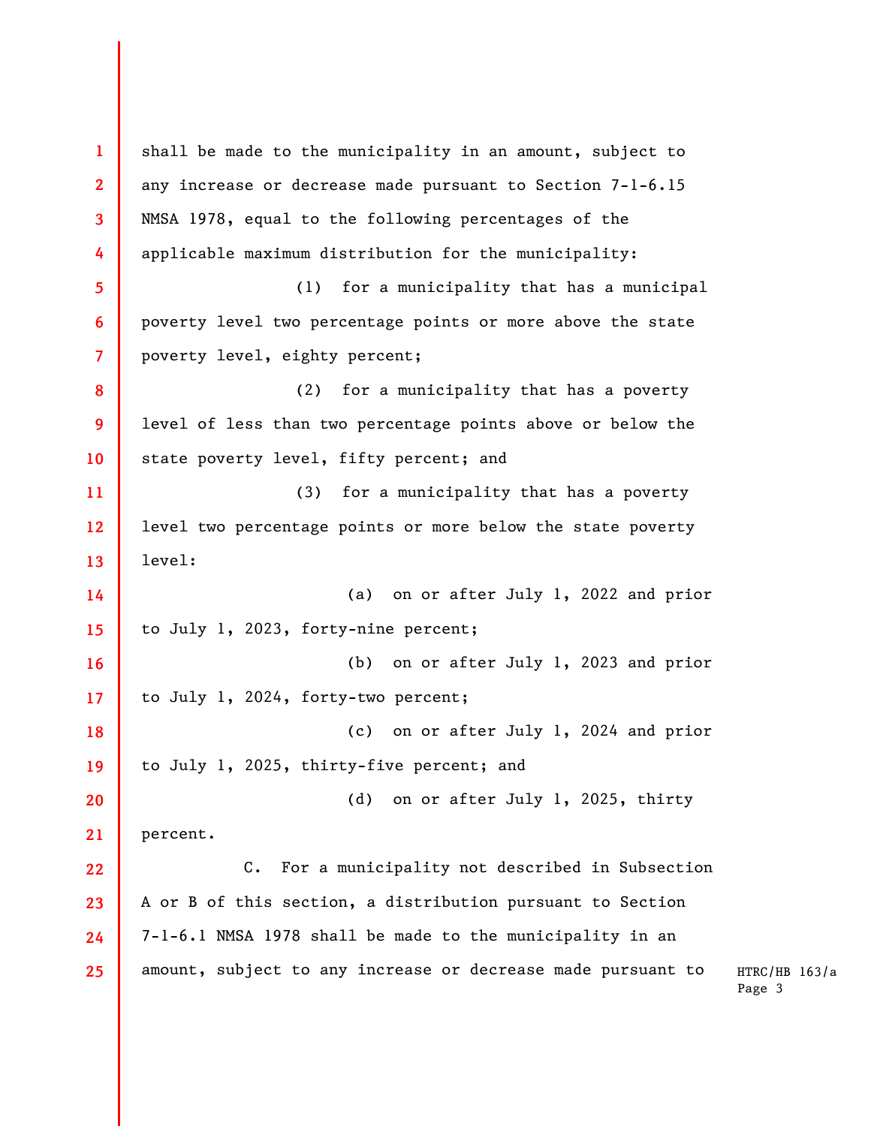**1 2 3 4 5 6 7 8 9 10 11 12 13 14 15 16 17 18 19 20 21 22 23 24 25**  shall be made to the municipality in an amount, subject to any increase or decrease made pursuant to Section 7-1-6.15 NMSA 1978, equal to the following percentages of the applicable maximum distribution for the municipality: (1) for a municipality that has a municipal poverty level two percentage points or more above the state poverty level, eighty percent; (2) for a municipality that has a poverty level of less than two percentage points above or below the state poverty level, fifty percent; and (3) for a municipality that has a poverty level two percentage points or more below the state poverty level: (a) on or after July 1, 2022 and prior to July 1, 2023, forty-nine percent; (b) on or after July 1, 2023 and prior to July 1, 2024, forty-two percent; (c) on or after July 1, 2024 and prior to July 1, 2025, thirty-five percent; and (d) on or after July 1, 2025, thirty percent. C. For a municipality not described in Subsection A or B of this section, a distribution pursuant to Section 7-1-6.1 NMSA 1978 shall be made to the municipality in an amount, subject to any increase or decrease made pursuant to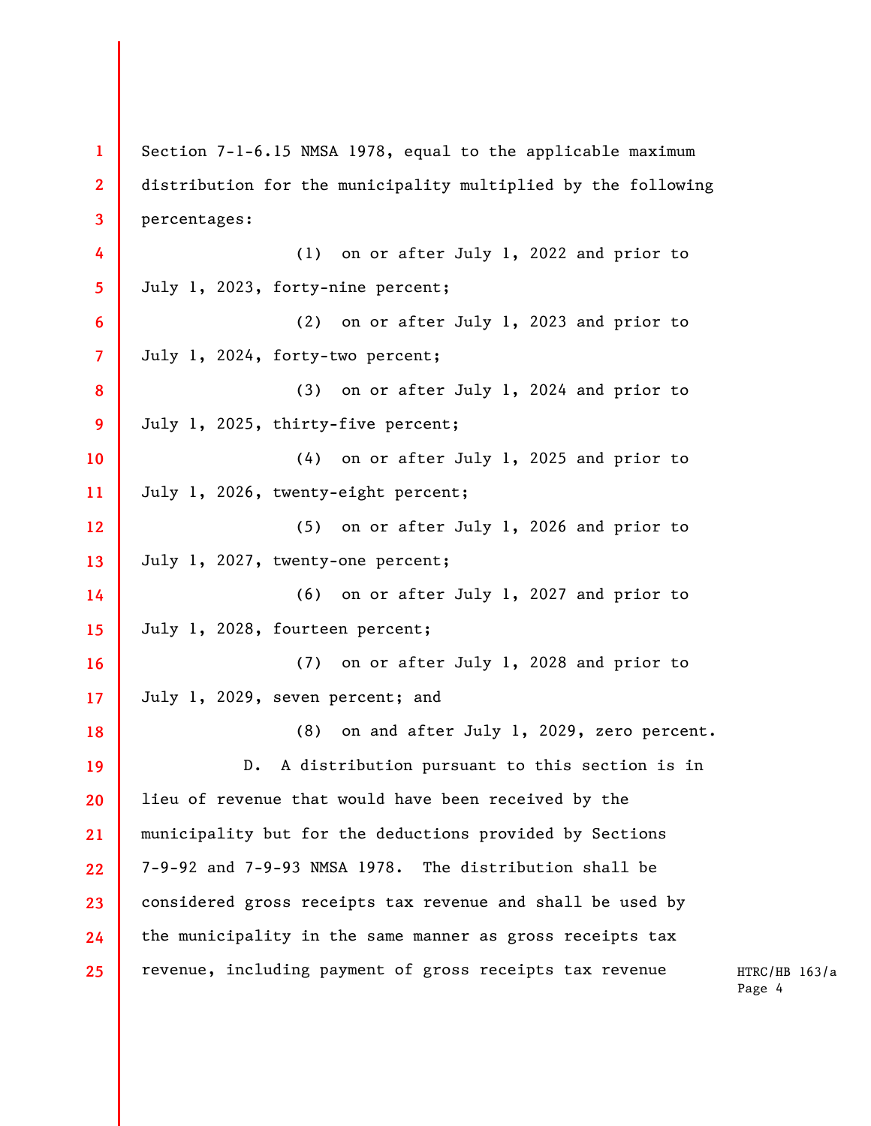| $\mathbf{1}$            | Section 7-1-6.15 NMSA 1978, equal to the applicable maximum   |  |  |
|-------------------------|---------------------------------------------------------------|--|--|
| $\overline{2}$          | distribution for the municipality multiplied by the following |  |  |
| 3                       | percentages:                                                  |  |  |
| 4                       | (1) on or after July 1, 2022 and prior to                     |  |  |
| 5                       | July 1, 2023, forty-nine percent;                             |  |  |
| 6                       | on or after July 1, 2023 and prior to<br>(2)                  |  |  |
| $\overline{\mathbf{7}}$ | July 1, 2024, forty-two percent;                              |  |  |
| 8                       | on or after July 1, 2024 and prior to<br>(3)                  |  |  |
| 9                       | July 1, 2025, thirty-five percent;                            |  |  |
| 10                      | on or after July 1, 2025 and prior to<br>(4)                  |  |  |
| 11                      | July 1, 2026, twenty-eight percent;                           |  |  |
| 12                      | on or after July 1, 2026 and prior to<br>(5)                  |  |  |
| 13                      | July 1, 2027, twenty-one percent;                             |  |  |
| 14                      | (6) on or after July 1, 2027 and prior to                     |  |  |
| 15                      | July 1, 2028, fourteen percent;                               |  |  |
| 16                      | (7) on or after July 1, 2028 and prior to                     |  |  |
| 17                      | July 1, 2029, seven percent; and                              |  |  |
| 18                      | (8) on and after July 1, 2029, zero percent.                  |  |  |
| 19                      | D. A distribution pursuant to this section is in              |  |  |
| 20                      | lieu of revenue that would have been received by the          |  |  |
| 21                      | municipality but for the deductions provided by Sections      |  |  |
| 22                      | 7-9-92 and 7-9-93 NMSA 1978. The distribution shall be        |  |  |
| 23                      | considered gross receipts tax revenue and shall be used by    |  |  |
| 24                      | the municipality in the same manner as gross receipts tax     |  |  |
| 25 <sub>2</sub>         | revenue, including payment of gross receipts tax revenue      |  |  |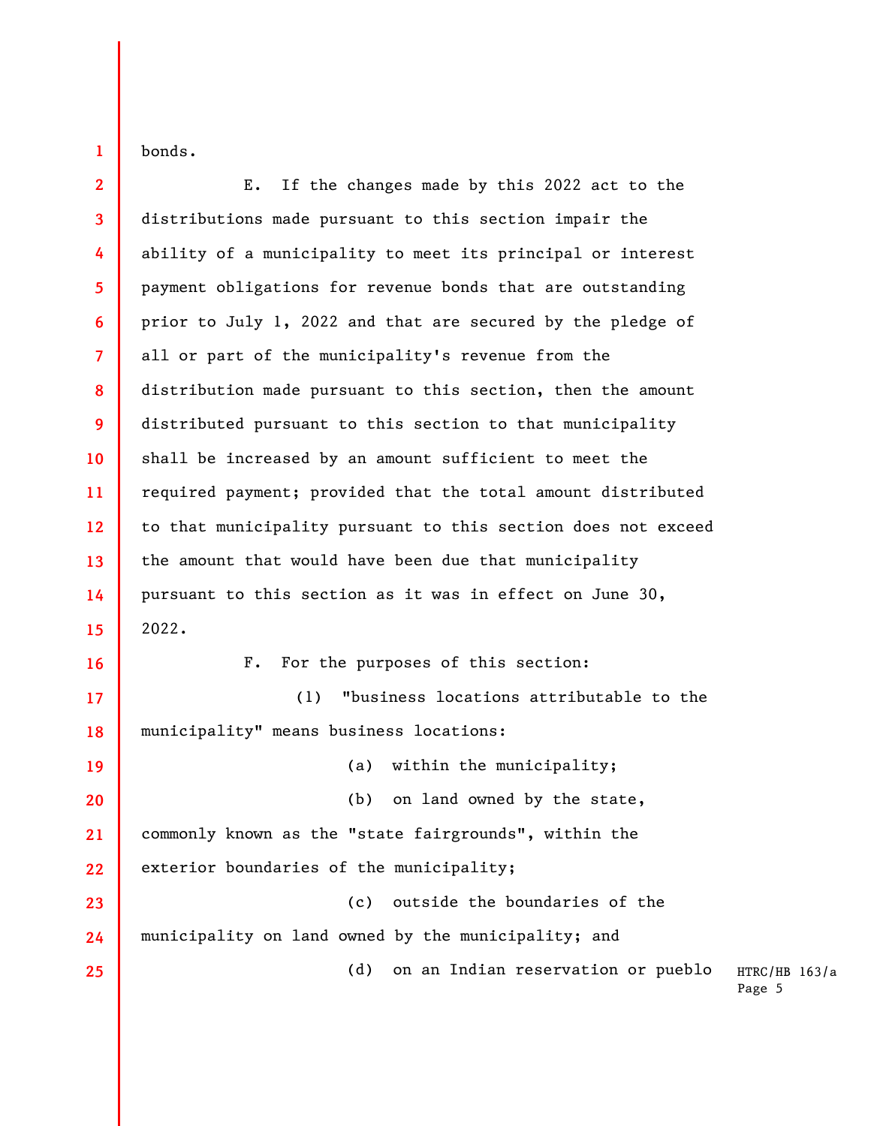bonds.

**1** 

**2 3 4 5 6 7 8 9 10 11 12 13 14 15 16 17 18 19 20 21 22 23 24 25**  E. If the changes made by this 2022 act to the distributions made pursuant to this section impair the ability of a municipality to meet its principal or interest payment obligations for revenue bonds that are outstanding prior to July 1, 2022 and that are secured by the pledge of all or part of the municipality's revenue from the distribution made pursuant to this section, then the amount distributed pursuant to this section to that municipality shall be increased by an amount sufficient to meet the required payment; provided that the total amount distributed to that municipality pursuant to this section does not exceed the amount that would have been due that municipality pursuant to this section as it was in effect on June 30, 2022. F. For the purposes of this section: (1) "business locations attributable to the municipality" means business locations: (a) within the municipality; (b) on land owned by the state, commonly known as the "state fairgrounds", within the exterior boundaries of the municipality; (c) outside the boundaries of the municipality on land owned by the municipality; and (d) on an Indian reservation or pueblo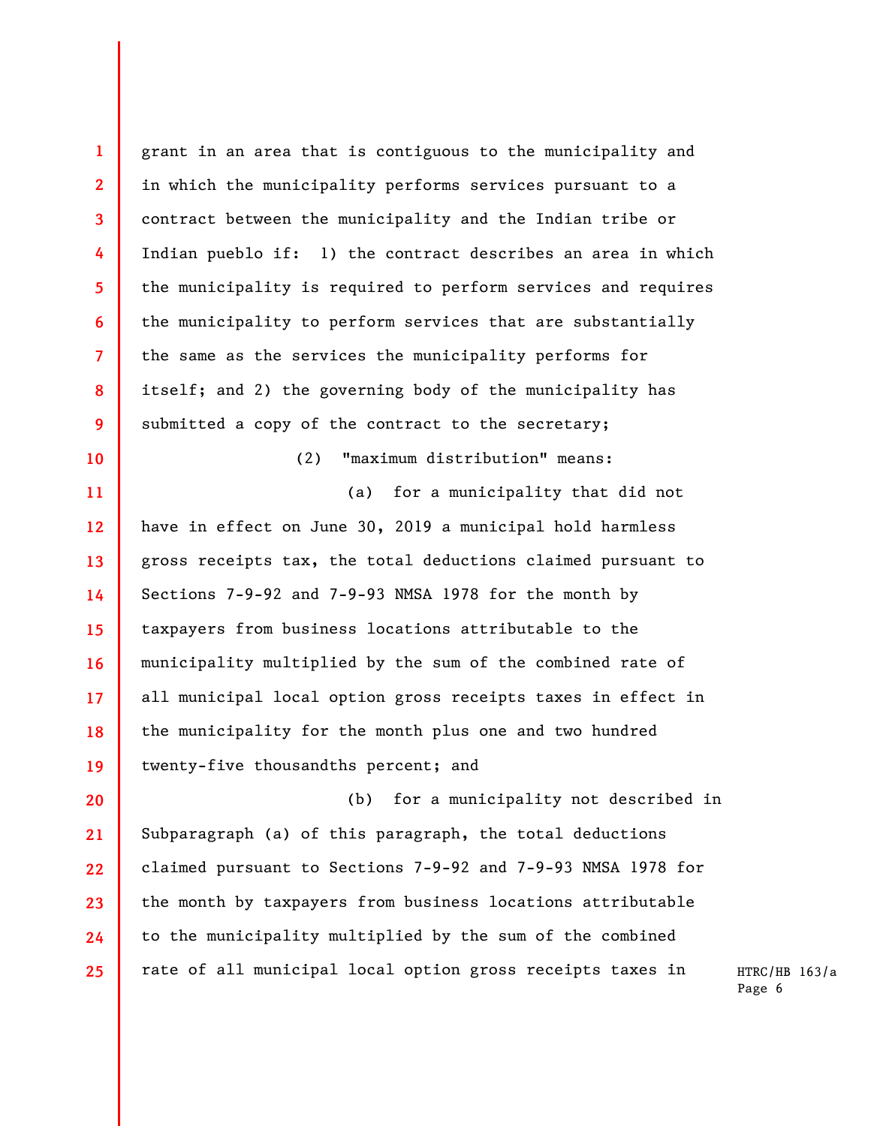**1 2 3 4 5 6 7 8 9 10 11 12 13 14 15 16 17 18 19 20 21 22 23 24 25**  grant in an area that is contiguous to the municipality and in which the municipality performs services pursuant to a contract between the municipality and the Indian tribe or Indian pueblo if: 1) the contract describes an area in which the municipality is required to perform services and requires the municipality to perform services that are substantially the same as the services the municipality performs for itself; and 2) the governing body of the municipality has submitted a copy of the contract to the secretary; (2) "maximum distribution" means: (a) for a municipality that did not have in effect on June 30, 2019 a municipal hold harmless gross receipts tax, the total deductions claimed pursuant to Sections 7-9-92 and 7-9-93 NMSA 1978 for the month by taxpayers from business locations attributable to the municipality multiplied by the sum of the combined rate of all municipal local option gross receipts taxes in effect in the municipality for the month plus one and two hundred twenty-five thousandths percent; and (b) for a municipality not described in Subparagraph (a) of this paragraph, the total deductions claimed pursuant to Sections 7-9-92 and 7-9-93 NMSA 1978 for the month by taxpayers from business locations attributable to the municipality multiplied by the sum of the combined rate of all municipal local option gross receipts taxes in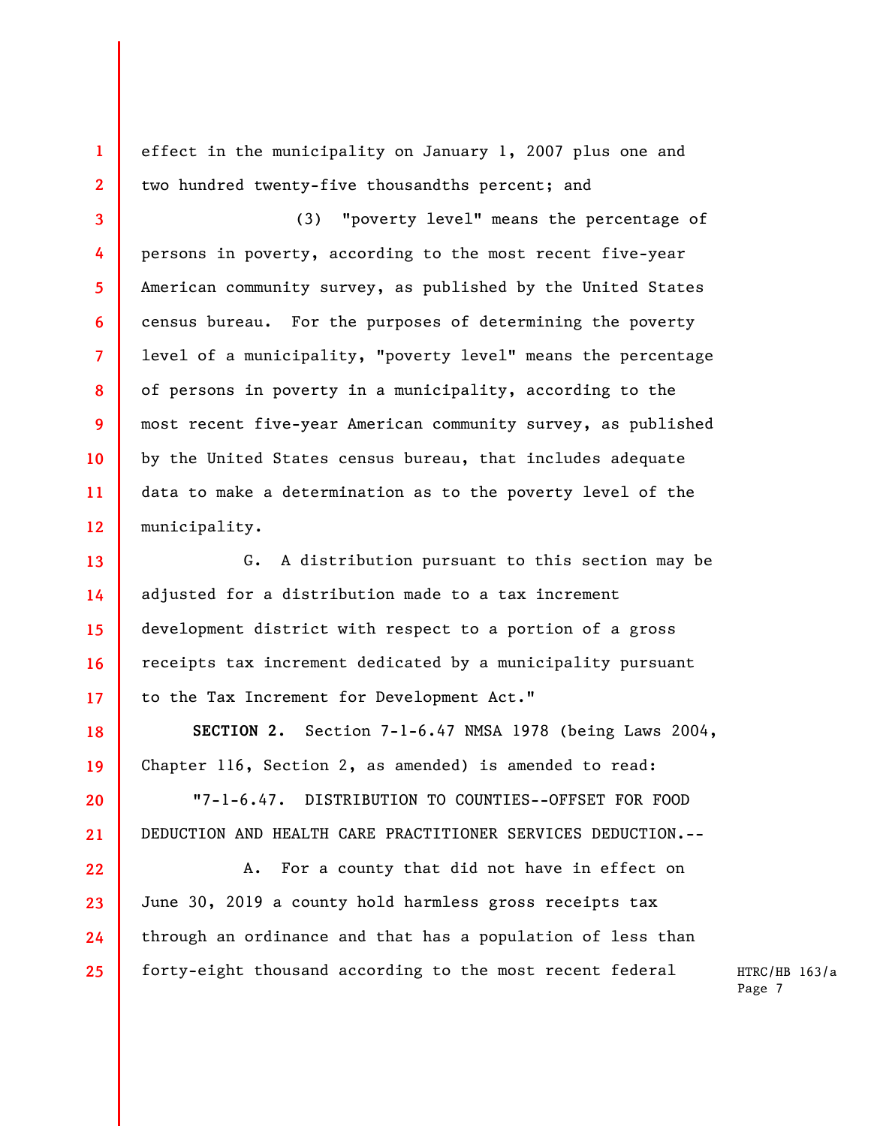effect in the municipality on January 1, 2007 plus one and two hundred twenty-five thousandths percent; and

**1** 

**2** 

**3** 

**4** 

**5** 

**6** 

**7** 

**8** 

**9** 

**10** 

**11** 

**12** 

**18** 

**19** 

**20** 

**21** 

**22** 

**23** 

**24** 

**25** 

(3) "poverty level" means the percentage of persons in poverty, according to the most recent five-year American community survey, as published by the United States census bureau. For the purposes of determining the poverty level of a municipality, "poverty level" means the percentage of persons in poverty in a municipality, according to the most recent five-year American community survey, as published by the United States census bureau, that includes adequate data to make a determination as to the poverty level of the municipality.

**13 14 15 16 17**  G. A distribution pursuant to this section may be adjusted for a distribution made to a tax increment development district with respect to a portion of a gross receipts tax increment dedicated by a municipality pursuant to the Tax Increment for Development Act."

**SECTION 2.** Section 7-1-6.47 NMSA 1978 (being Laws 2004, Chapter 116, Section 2, as amended) is amended to read:

"7-1-6.47. DISTRIBUTION TO COUNTIES--OFFSET FOR FOOD DEDUCTION AND HEALTH CARE PRACTITIONER SERVICES DEDUCTION.--

A. For a county that did not have in effect on June 30, 2019 a county hold harmless gross receipts tax through an ordinance and that has a population of less than forty-eight thousand according to the most recent federal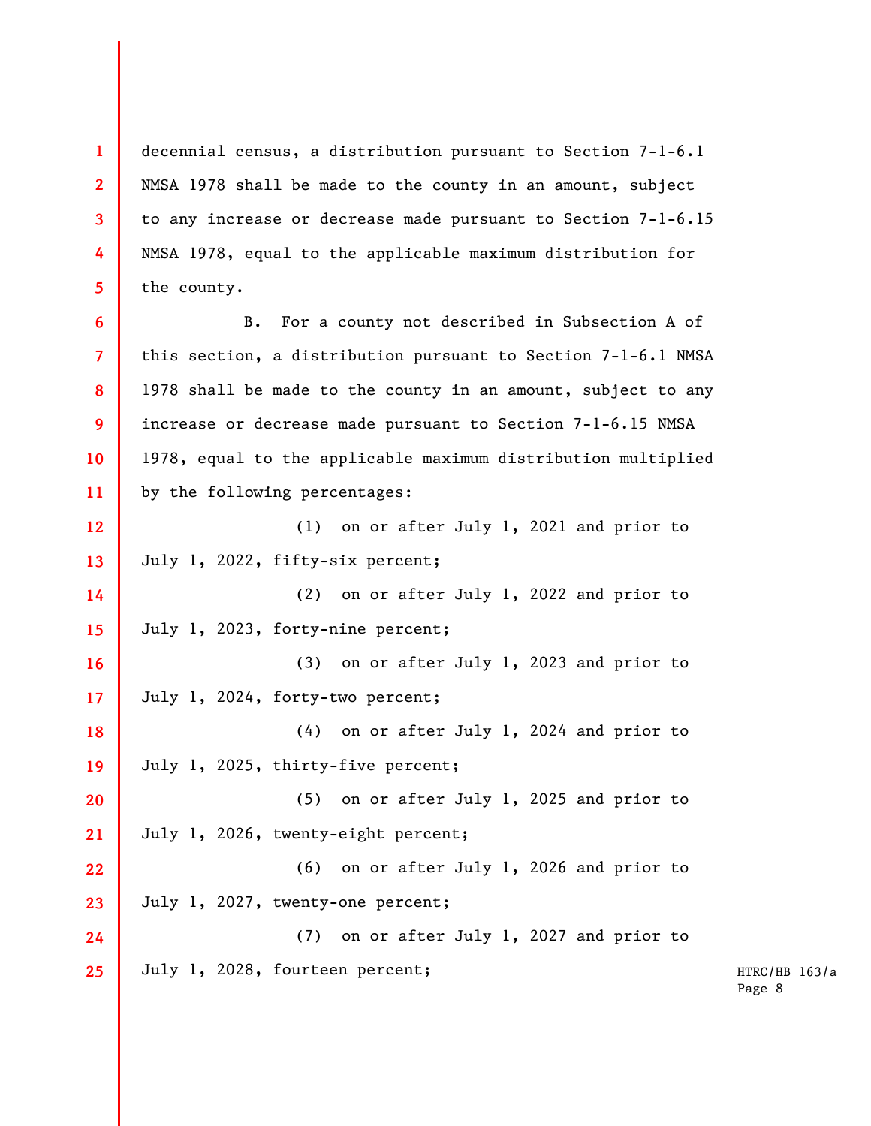decennial census, a distribution pursuant to Section 7-1-6.1 NMSA 1978 shall be made to the county in an amount, subject to any increase or decrease made pursuant to Section 7-1-6.15 NMSA 1978, equal to the applicable maximum distribution for the county.

**1** 

**2** 

**3** 

**4** 

**5** 

**6 7 8 9 10 11**  B. For a county not described in Subsection A of this section, a distribution pursuant to Section 7-1-6.1 NMSA 1978 shall be made to the county in an amount, subject to any increase or decrease made pursuant to Section 7-1-6.15 NMSA 1978, equal to the applicable maximum distribution multiplied by the following percentages:

**12 13**  (1) on or after July 1, 2021 and prior to July 1, 2022, fifty-six percent;

**14 15**  (2) on or after July 1, 2022 and prior to July 1, 2023, forty-nine percent;

**16 17**  (3) on or after July 1, 2023 and prior to July 1, 2024, forty-two percent;

**18 19**  (4) on or after July 1, 2024 and prior to July 1, 2025, thirty-five percent;

**20 21**  (5) on or after July 1, 2025 and prior to July 1, 2026, twenty-eight percent;

**22 23**  (6) on or after July 1, 2026 and prior to July 1, 2027, twenty-one percent;

**24 25**  (7) on or after July 1, 2027 and prior to July 1, 2028, fourteen percent;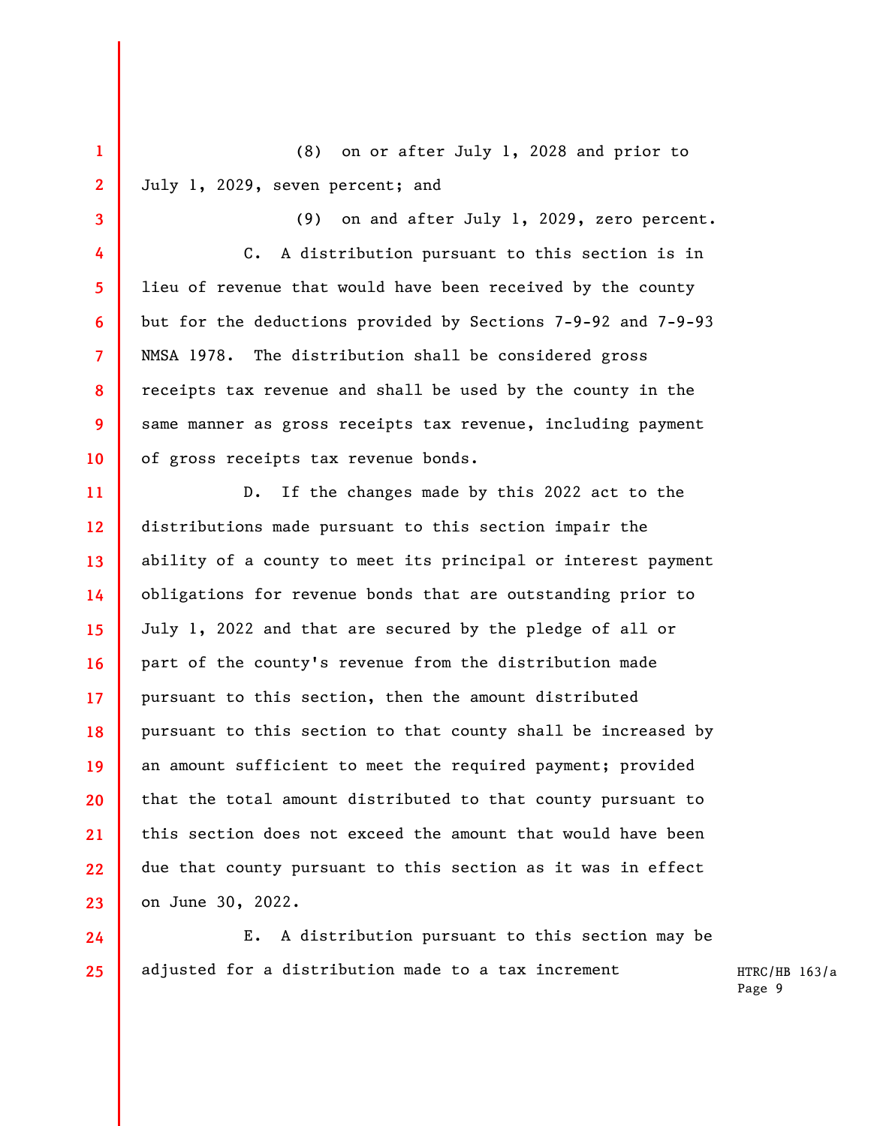(8) on or after July 1, 2028 and prior to July 1, 2029, seven percent; and

**1** 

**2** 

**3** 

**4** 

**5** 

**6** 

**7** 

**8** 

**9** 

**10** 

(9) on and after July 1, 2029, zero percent. C. A distribution pursuant to this section is in lieu of revenue that would have been received by the county but for the deductions provided by Sections 7-9-92 and 7-9-93 NMSA 1978. The distribution shall be considered gross receipts tax revenue and shall be used by the county in the same manner as gross receipts tax revenue, including payment of gross receipts tax revenue bonds.

**11 12 13 14 15 16 17 18 19 20 21 22 23**  D. If the changes made by this 2022 act to the distributions made pursuant to this section impair the ability of a county to meet its principal or interest payment obligations for revenue bonds that are outstanding prior to July 1, 2022 and that are secured by the pledge of all or part of the county's revenue from the distribution made pursuant to this section, then the amount distributed pursuant to this section to that county shall be increased by an amount sufficient to meet the required payment; provided that the total amount distributed to that county pursuant to this section does not exceed the amount that would have been due that county pursuant to this section as it was in effect on June 30, 2022.

**24 25**  E. A distribution pursuant to this section may be adjusted for a distribution made to a tax increment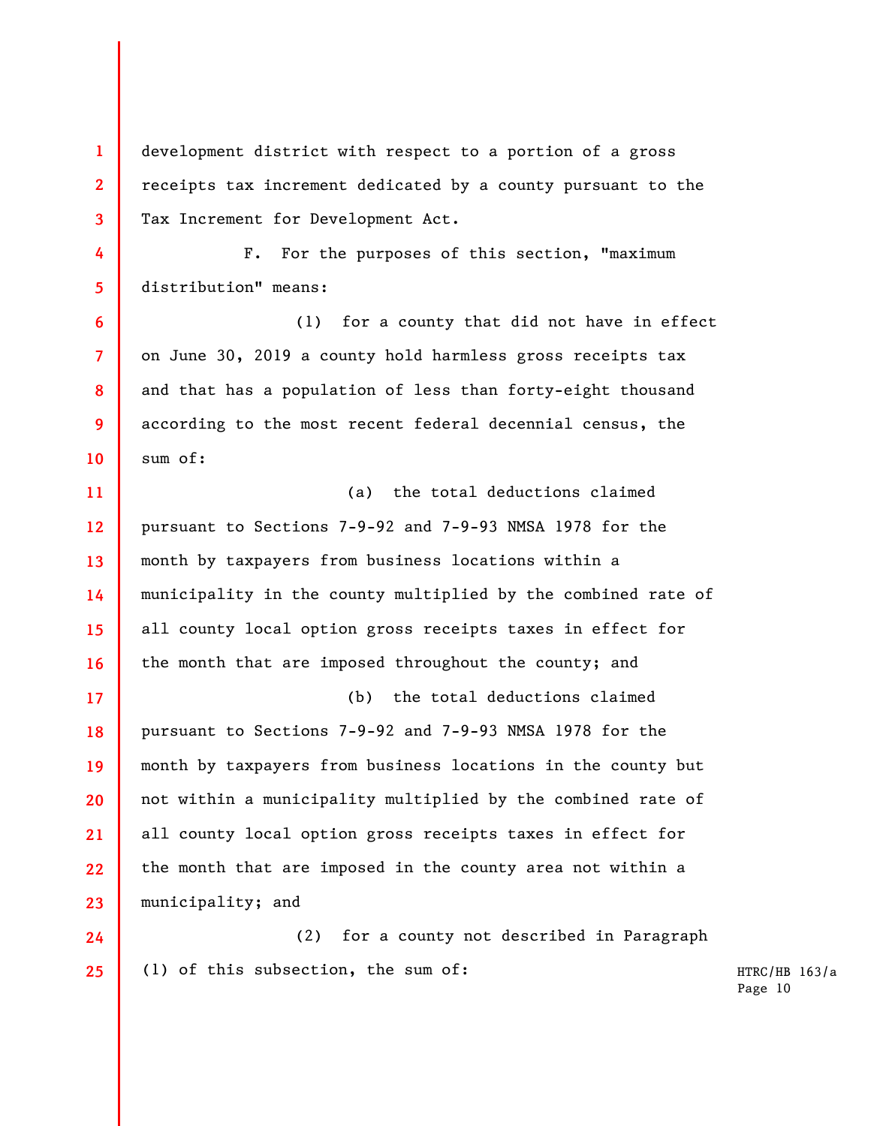**3 4 5 6 7 8 9 10 11 12 13 14 15 16 17**  Tax Increment for Development Act. F. For the purposes of this section, "maximum distribution" means: (1) for a county that did not have in effect on June 30, 2019 a county hold harmless gross receipts tax and that has a population of less than forty-eight thousand according to the most recent federal decennial census, the sum of: (a) the total deductions claimed pursuant to Sections 7-9-92 and 7-9-93 NMSA 1978 for the month by taxpayers from business locations within a municipality in the county multiplied by the combined rate of all county local option gross receipts taxes in effect for the month that are imposed throughout the county; and (b) the total deductions claimed

development district with respect to a portion of a gross

receipts tax increment dedicated by a county pursuant to the

**1** 

**2** 

**18 19 20 21 22 23**  pursuant to Sections 7-9-92 and 7-9-93 NMSA 1978 for the month by taxpayers from business locations in the county but not within a municipality multiplied by the combined rate of all county local option gross receipts taxes in effect for the month that are imposed in the county area not within a municipality; and

**24 25**  (2) for a county not described in Paragraph (1) of this subsection, the sum of: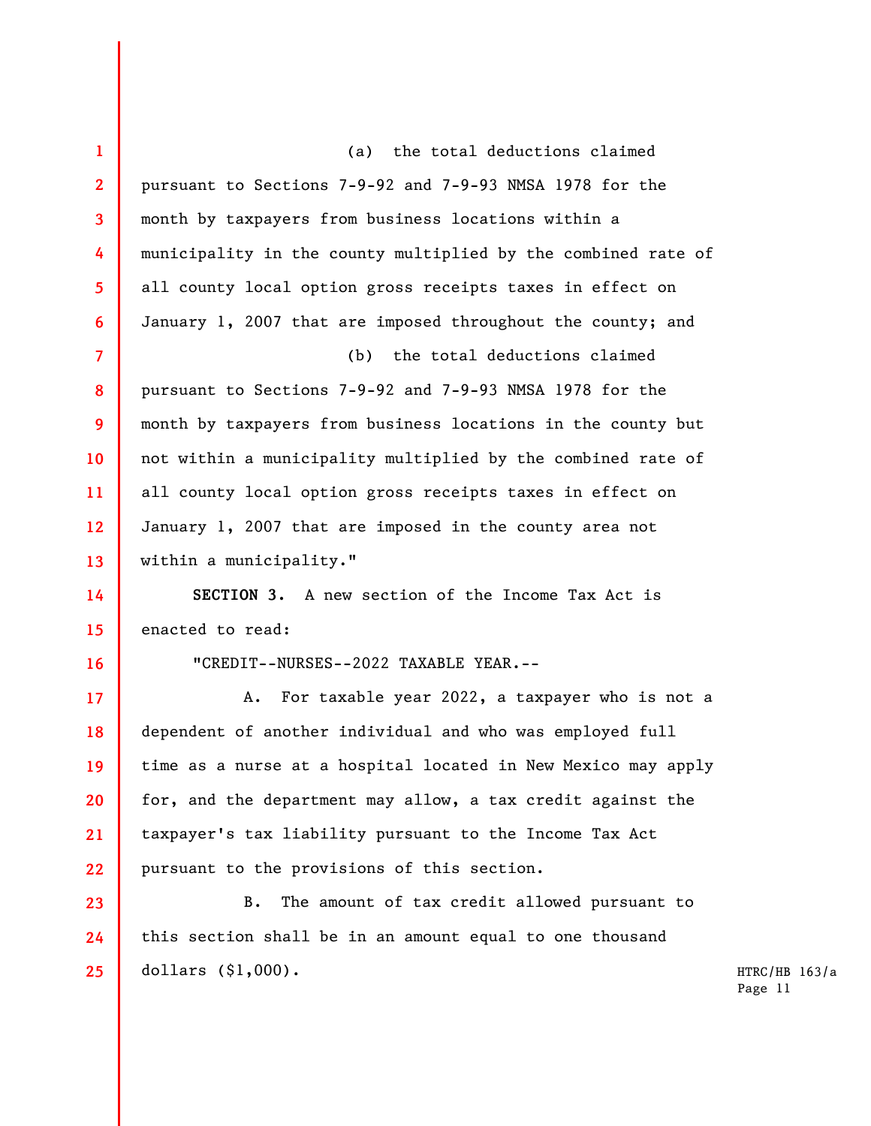| $\mathbf{1}$            | (a) the total deductions claimed                              |               |
|-------------------------|---------------------------------------------------------------|---------------|
| $\mathbf{2}$            | pursuant to Sections 7-9-92 and 7-9-93 NMSA 1978 for the      |               |
| $\overline{\mathbf{3}}$ | month by taxpayers from business locations within a           |               |
| 4                       | municipality in the county multiplied by the combined rate of |               |
| 5                       | all county local option gross receipts taxes in effect on     |               |
| 6                       | January 1, 2007 that are imposed throughout the county; and   |               |
| $\overline{7}$          | (b) the total deductions claimed                              |               |
| 8                       | pursuant to Sections 7-9-92 and 7-9-93 NMSA 1978 for the      |               |
| 9                       | month by taxpayers from business locations in the county but  |               |
| 10                      | not within a municipality multiplied by the combined rate of  |               |
| 11                      | all county local option gross receipts taxes in effect on     |               |
| 12                      | January 1, 2007 that are imposed in the county area not       |               |
| 13                      | within a municipality."                                       |               |
| 14                      | SECTION 3. A new section of the Income Tax Act is             |               |
| 15                      | enacted to read:                                              |               |
| 16                      | "CREDIT--NURSES--2022 TAXABLE YEAR.--                         |               |
| 17                      | For taxable year 2022, a taxpayer who is not a<br>A.          |               |
| 18                      | dependent of another individual and who was employed full     |               |
| 19                      | time as a nurse at a hospital located in New Mexico may apply |               |
| 20                      | for, and the department may allow, a tax credit against the   |               |
| 21                      | taxpayer's tax liability pursuant to the Income Tax Act       |               |
| 22                      | pursuant to the provisions of this section.                   |               |
| 23                      | The amount of tax credit allowed pursuant to<br>B.            |               |
| 24                      | this section shall be in an amount equal to one thousand      |               |
| 25                      | dollars $($1,000)$ .                                          | HTRC/HB 163/a |
|                         |                                                               | Page 11       |
|                         |                                                               |               |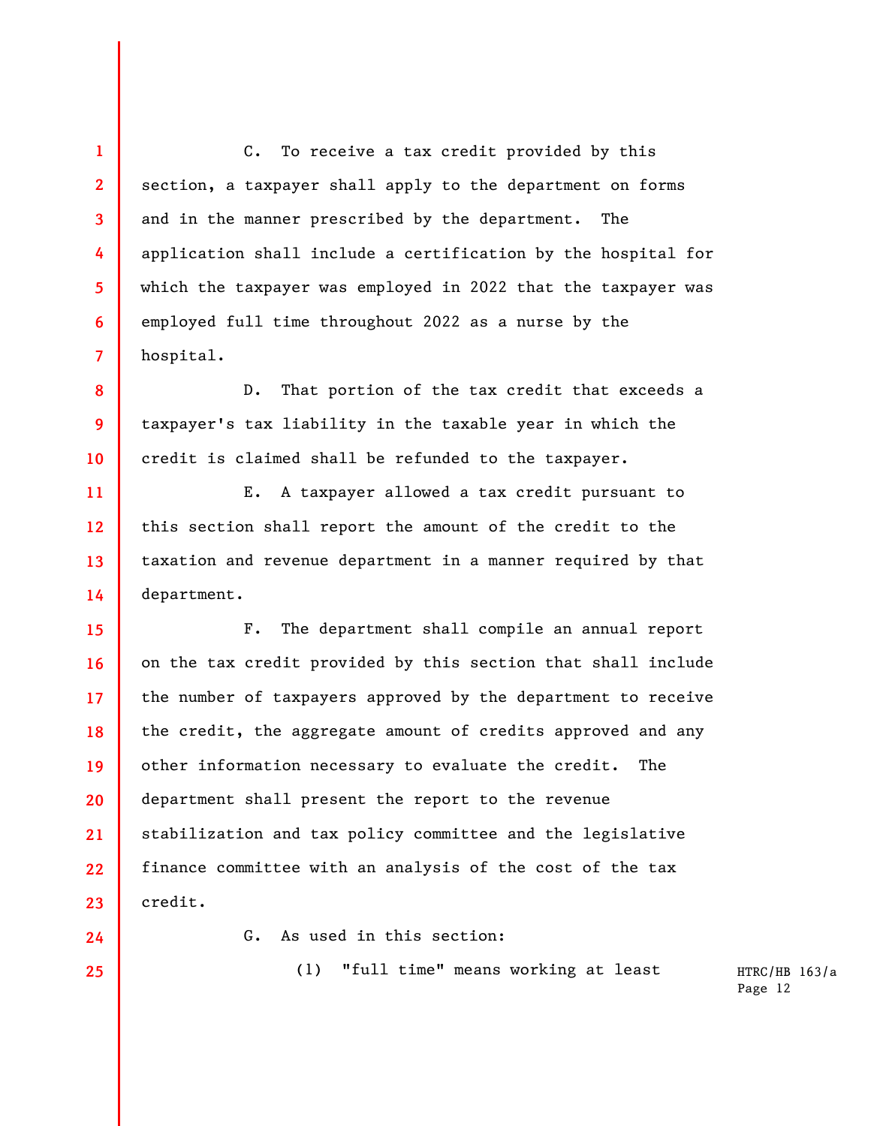**4 6**  C. To receive a tax credit provided by this section, a taxpayer shall apply to the department on forms and in the manner prescribed by the department. The application shall include a certification by the hospital for which the taxpayer was employed in 2022 that the taxpayer was employed full time throughout 2022 as a nurse by the hospital.

D. That portion of the tax credit that exceeds a taxpayer's tax liability in the taxable year in which the credit is claimed shall be refunded to the taxpayer.

**11 12 13 14**  E. A taxpayer allowed a tax credit pursuant to this section shall report the amount of the credit to the taxation and revenue department in a manner required by that department.

**15 16 17 18 19 20 21 22 23**  F. The department shall compile an annual report on the tax credit provided by this section that shall include the number of taxpayers approved by the department to receive the credit, the aggregate amount of credits approved and any other information necessary to evaluate the credit. The department shall present the report to the revenue stabilization and tax policy committee and the legislative finance committee with an analysis of the cost of the tax credit.

**24 25** 

**1** 

**2** 

**3** 

**5** 

**7** 

**8** 

**9** 

**10** 

G. As used in this section:

(1) "full time" means working at least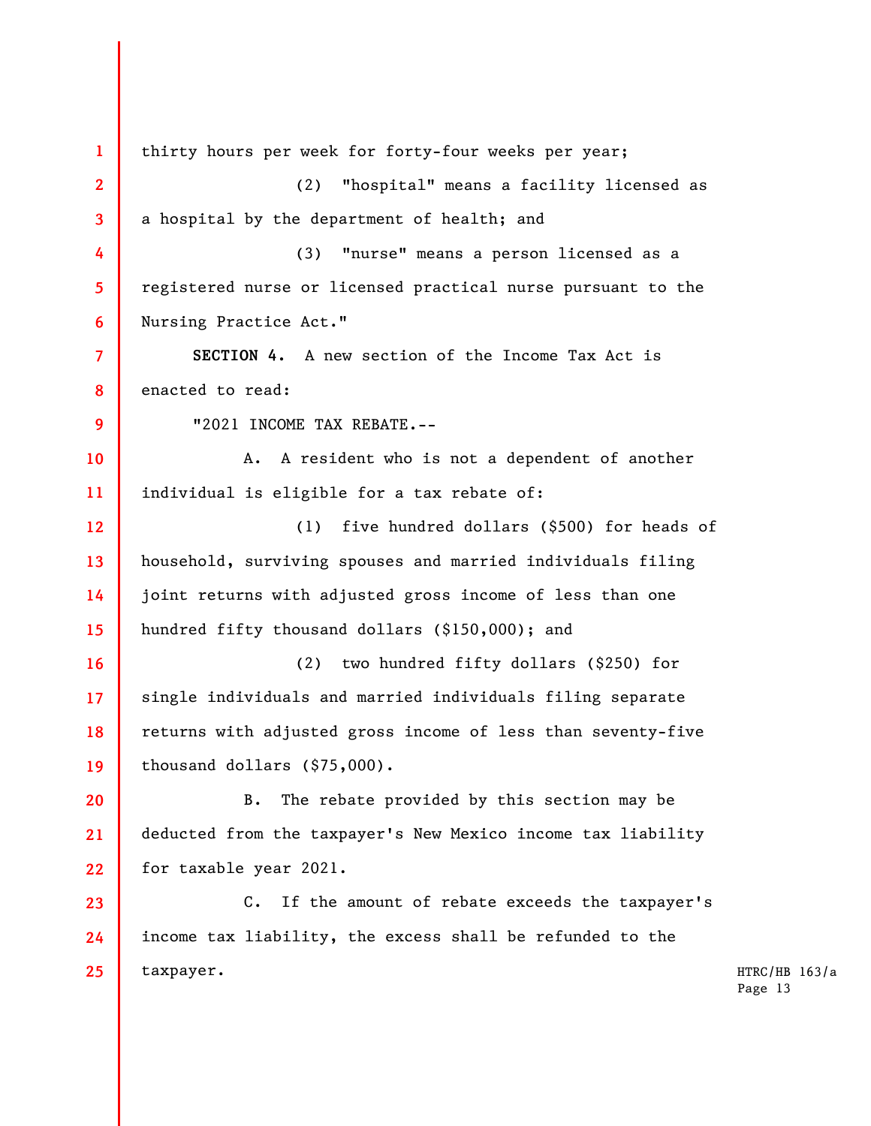**1 2 3 4 5 6 7 8 9 10 11 12 13 14 15 16 17 18 19 20 21 22 23 24 25**  thirty hours per week for forty-four weeks per year; (2) "hospital" means a facility licensed as a hospital by the department of health; and (3) "nurse" means a person licensed as a registered nurse or licensed practical nurse pursuant to the Nursing Practice Act." **SECTION 4.** A new section of the Income Tax Act is enacted to read: "2021 INCOME TAX REBATE.-- A. A resident who is not a dependent of another individual is eligible for a tax rebate of: (1) five hundred dollars (\$500) for heads of household, surviving spouses and married individuals filing joint returns with adjusted gross income of less than one hundred fifty thousand dollars (\$150,000); and (2) two hundred fifty dollars (\$250) for single individuals and married individuals filing separate returns with adjusted gross income of less than seventy-five thousand dollars (\$75,000). B. The rebate provided by this section may be deducted from the taxpayer's New Mexico income tax liability for taxable year 2021. C. If the amount of rebate exceeds the taxpayer's income tax liability, the excess shall be refunded to the taxpayer.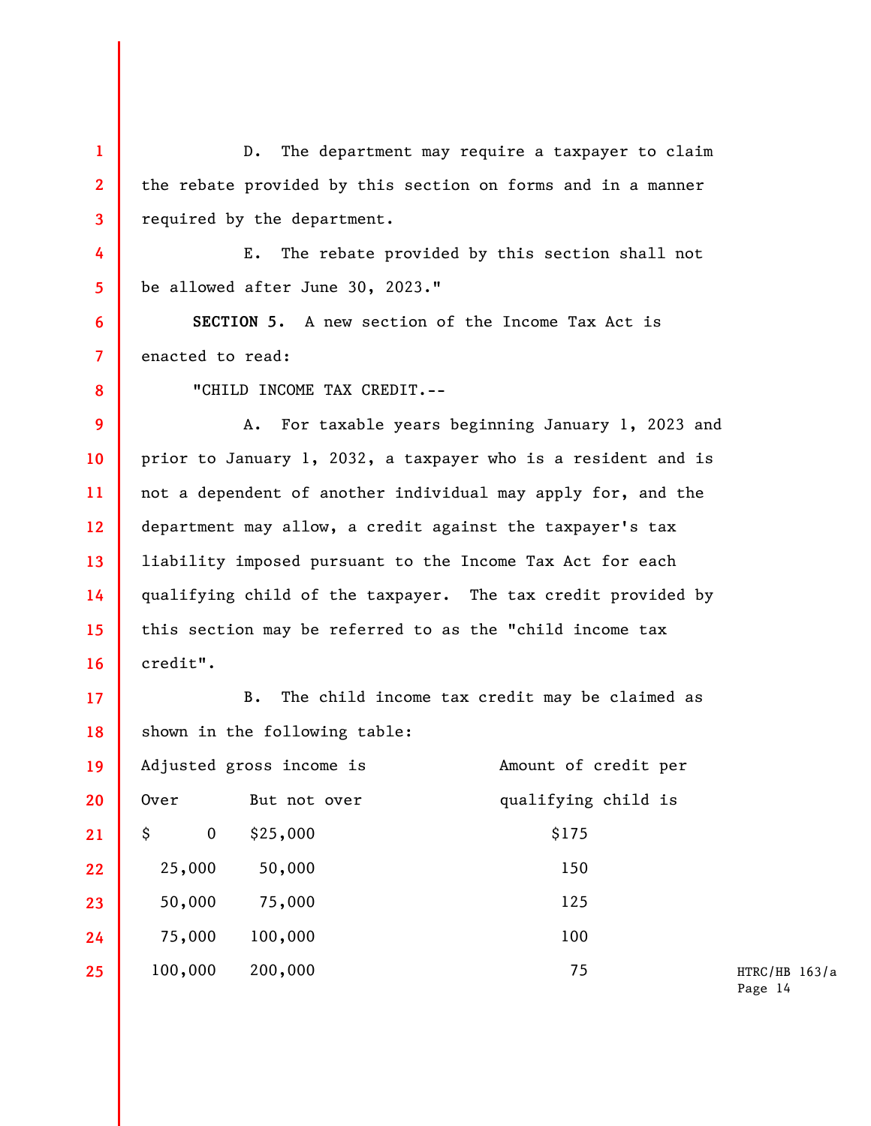**1 2 3 4 5 6 7 8 9 10 11 12 13 14 15 16 17 18 19 20 21 22 23 24 25**  D. The department may require a taxpayer to claim the rebate provided by this section on forms and in a manner required by the department. E. The rebate provided by this section shall not be allowed after June 30, 2023." **SECTION 5.** A new section of the Income Tax Act is enacted to read: "CHILD INCOME TAX CREDIT.-- A. For taxable years beginning January 1, 2023 and prior to January 1, 2032, a taxpayer who is a resident and is not a dependent of another individual may apply for, and the department may allow, a credit against the taxpayer's tax liability imposed pursuant to the Income Tax Act for each qualifying child of the taxpayer. The tax credit provided by this section may be referred to as the "child income tax credit". B. The child income tax credit may be claimed as shown in the following table: Adjusted gross income is **Amount** of credit per Over But not over qualifying child is  $\begin{array}{cccc} \text{S} & 0 & \text{S25,000} \\ \text{S175} & \text{S25,000} \end{array}$  25,000 50,000 150 50,000 75,000 125 75,000 100,000 100 100,000 200,000 75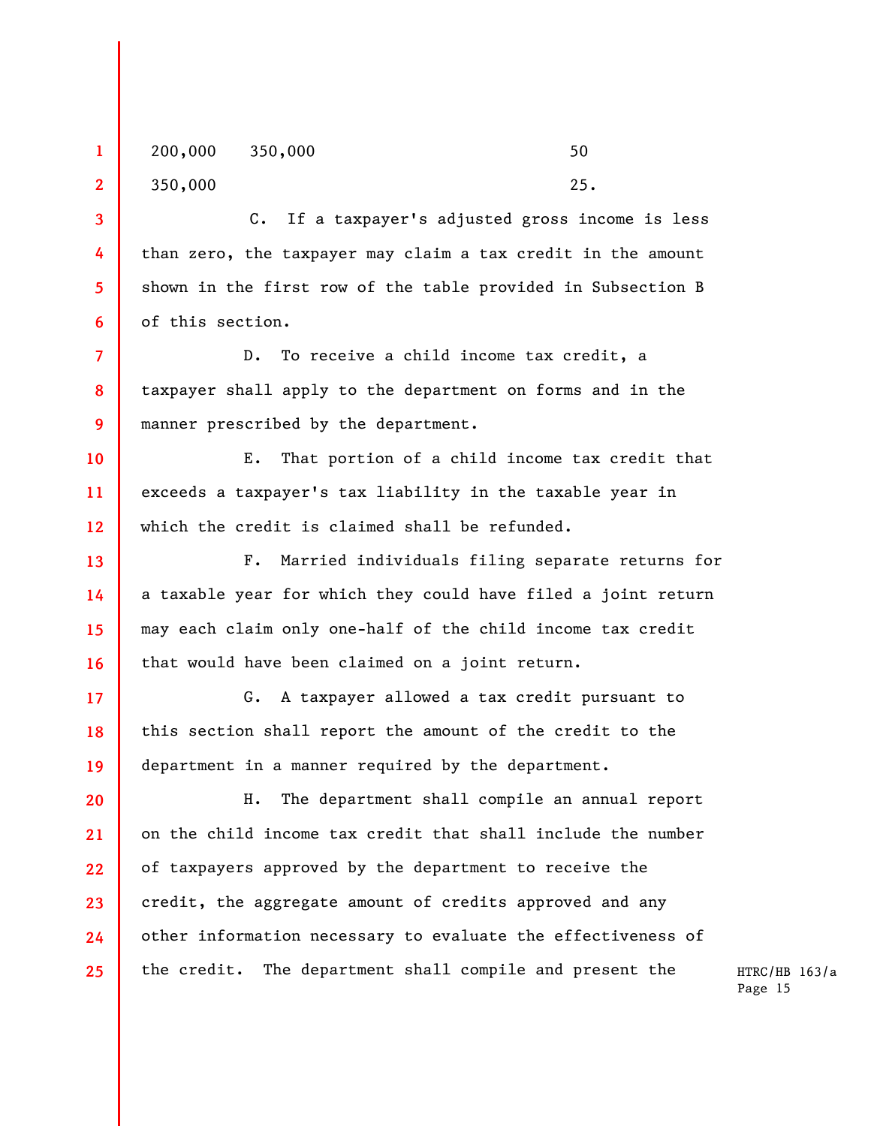200,000 350,000 50 350,000 25.

**1** 

**2** 

**3** 

**4** 

**5** 

**6** 

**13** 

**14** 

**15** 

**16** 

**17** 

**18** 

**19** 

C. If a taxpayer's adjusted gross income is less than zero, the taxpayer may claim a tax credit in the amount shown in the first row of the table provided in Subsection B of this section.

**7 8 9**  D. To receive a child income tax credit, a taxpayer shall apply to the department on forms and in the manner prescribed by the department.

**10 11 12**  E. That portion of a child income tax credit that exceeds a taxpayer's tax liability in the taxable year in which the credit is claimed shall be refunded.

F. Married individuals filing separate returns for a taxable year for which they could have filed a joint return may each claim only one-half of the child income tax credit that would have been claimed on a joint return.

G. A taxpayer allowed a tax credit pursuant to this section shall report the amount of the credit to the department in a manner required by the department.

**20 21 22 23 24 25**  H. The department shall compile an annual report on the child income tax credit that shall include the number of taxpayers approved by the department to receive the credit, the aggregate amount of credits approved and any other information necessary to evaluate the effectiveness of the credit. The department shall compile and present the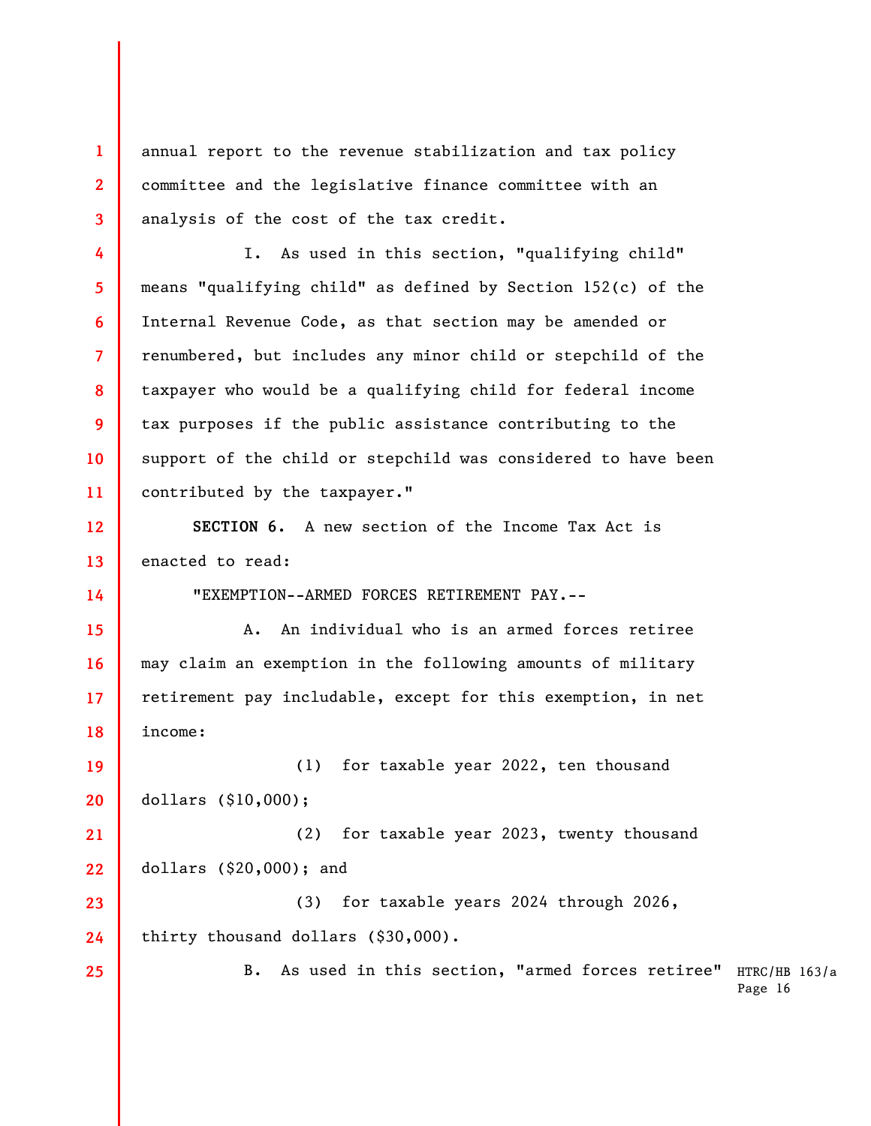**1 2 3**  annual report to the revenue stabilization and tax policy committee and the legislative finance committee with an analysis of the cost of the tax credit.

**4** 

**5** 

**7** 

**8** 

**9** 

**10** 

**11** 

**14** 

**25** 

**6**  I. As used in this section, "qualifying child" means "qualifying child" as defined by Section 152(c) of the Internal Revenue Code, as that section may be amended or renumbered, but includes any minor child or stepchild of the taxpayer who would be a qualifying child for federal income tax purposes if the public assistance contributing to the support of the child or stepchild was considered to have been contributed by the taxpayer."

**12 13 SECTION 6.** A new section of the Income Tax Act is enacted to read:

"EXEMPTION--ARMED FORCES RETIREMENT PAY.--

**15 16 17 18**  A. An individual who is an armed forces retiree may claim an exemption in the following amounts of military retirement pay includable, except for this exemption, in net income:

**19 20**  (1) for taxable year 2022, ten thousand dollars (\$10,000);

**21 22**  (2) for taxable year 2023, twenty thousand dollars (\$20,000); and

**23 24**  (3) for taxable years 2024 through 2026, thirty thousand dollars (\$30,000).

> B. As used in this section, "armed forces retiree" HTRC/HB 163/a Page 16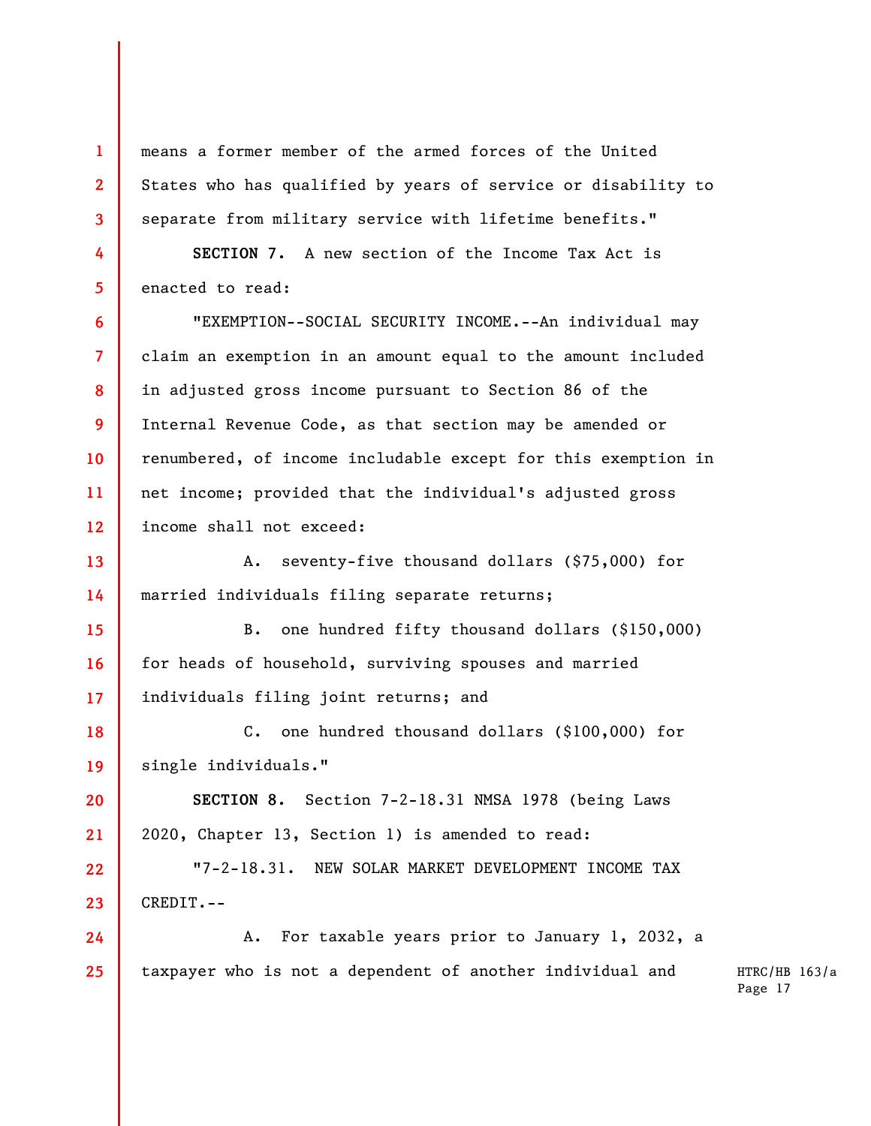means a former member of the armed forces of the United States who has qualified by years of service or disability to separate from military service with lifetime benefits."

**SECTION 7.** A new section of the Income Tax Act is enacted to read:

**1** 

**2** 

**3** 

**4** 

**5** 

**6** 

**7** 

**8** 

**9** 

**10** 

**11** 

**12** 

**20** 

**21** 

"EXEMPTION--SOCIAL SECURITY INCOME.--An individual may claim an exemption in an amount equal to the amount included in adjusted gross income pursuant to Section 86 of the Internal Revenue Code, as that section may be amended or renumbered, of income includable except for this exemption in net income; provided that the individual's adjusted gross income shall not exceed:

**13 14**  A. seventy-five thousand dollars (\$75,000) for married individuals filing separate returns;

**15 16 17**  B. one hundred fifty thousand dollars (\$150,000) for heads of household, surviving spouses and married individuals filing joint returns; and

**18 19**  C. one hundred thousand dollars (\$100,000) for single individuals."

**SECTION 8.** Section 7-2-18.31 NMSA 1978 (being Laws 2020, Chapter 13, Section 1) is amended to read:

**22 23**  "7-2-18.31. NEW SOLAR MARKET DEVELOPMENT INCOME TAX CREDIT.--

**24 25**  A. For taxable years prior to January 1, 2032, a taxpayer who is not a dependent of another individual and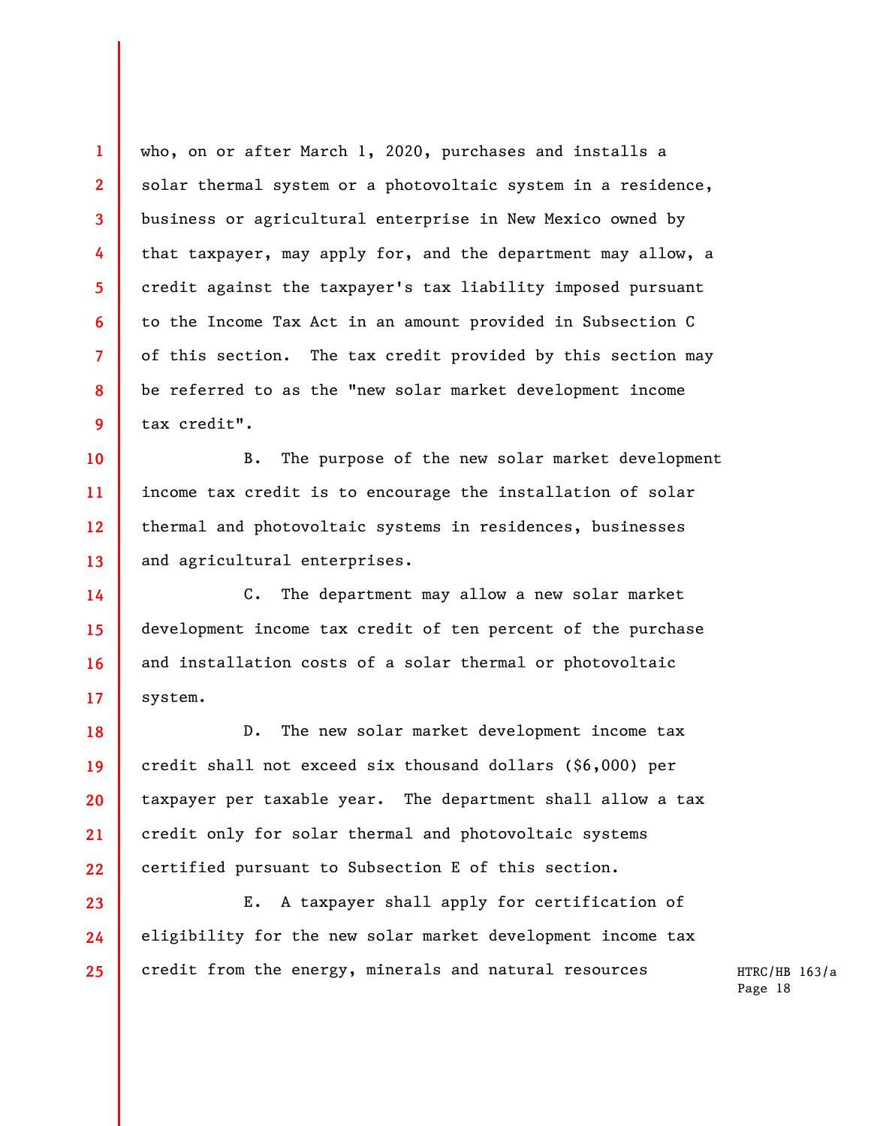who, on or after March 1, 2020, purchases and installs a solar thermal system or a photovoltaic system in a residence, business or agricultural enterprise in New Mexico owned by that taxpayer, may apply for, and the department may allow, a credit against the taxpayer's tax liability imposed pursuant to the Income Tax Act in an amount provided in Subsection C of this section. The tax credit provided by this section may be referred to as the "new solar market development income tax credit".

**1** 

**2** 

**3** 

**4** 

**5** 

**6** 

**7** 

**8** 

**9** 

**14** 

**16** 

**17** 

**23** 

**10 11 12 13**  B. The purpose of the new solar market development income tax credit is to encourage the installation of solar thermal and photovoltaic systems in residences, businesses and agricultural enterprises.

**15**  C. The department may allow a new solar market development income tax credit of ten percent of the purchase and installation costs of a solar thermal or photovoltaic system.

**18 19 20 21 22**  D. The new solar market development income tax credit shall not exceed six thousand dollars (\$6,000) per taxpayer per taxable year. The department shall allow a tax credit only for solar thermal and photovoltaic systems certified pursuant to Subsection E of this section.

**24 25**  E. A taxpayer shall apply for certification of eligibility for the new solar market development income tax credit from the energy, minerals and natural resources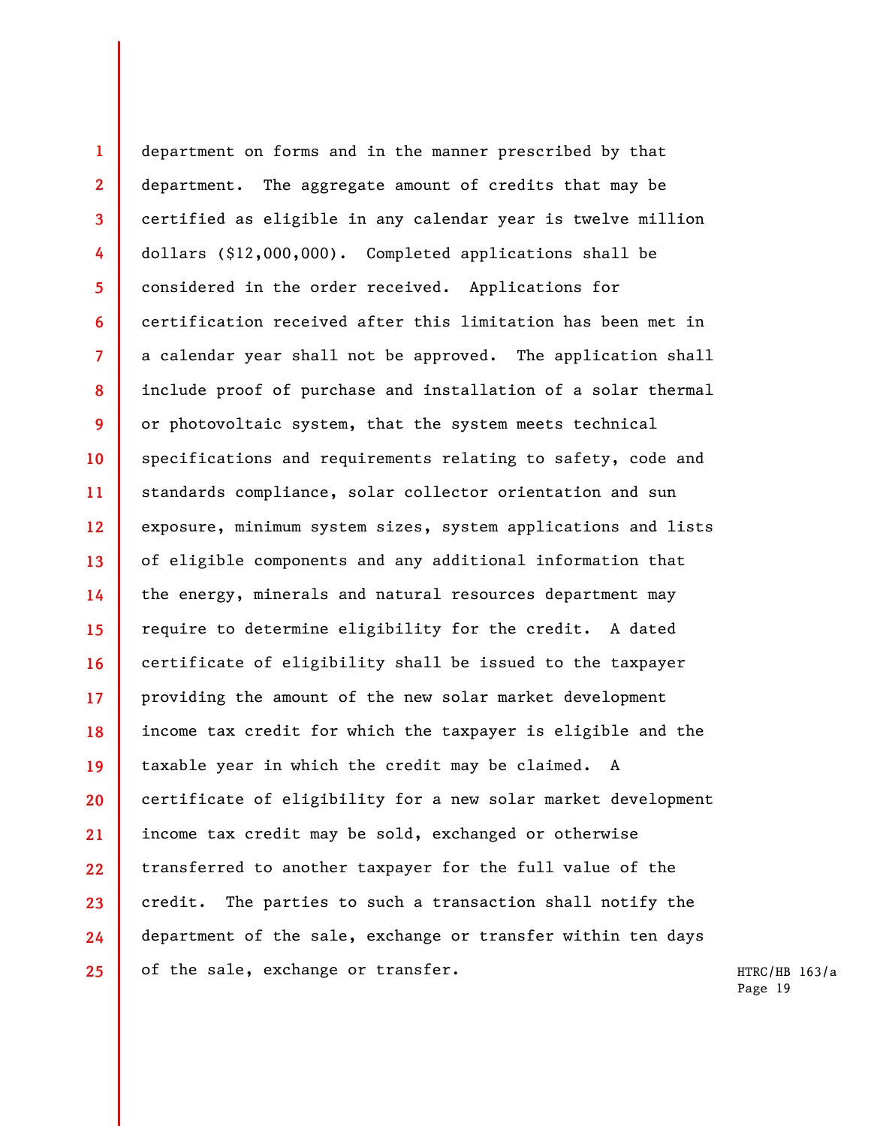**1 2 3 4 5 6 7 8 9 10 11 12 13 14 15 16 17 18 19 20 21 22 23 24 25**  department on forms and in the manner prescribed by that department. The aggregate amount of credits that may be certified as eligible in any calendar year is twelve million dollars (\$12,000,000). Completed applications shall be considered in the order received. Applications for certification received after this limitation has been met in a calendar year shall not be approved. The application shall include proof of purchase and installation of a solar thermal or photovoltaic system, that the system meets technical specifications and requirements relating to safety, code and standards compliance, solar collector orientation and sun exposure, minimum system sizes, system applications and lists of eligible components and any additional information that the energy, minerals and natural resources department may require to determine eligibility for the credit. A dated certificate of eligibility shall be issued to the taxpayer providing the amount of the new solar market development income tax credit for which the taxpayer is eligible and the taxable year in which the credit may be claimed. A certificate of eligibility for a new solar market development income tax credit may be sold, exchanged or otherwise transferred to another taxpayer for the full value of the credit. The parties to such a transaction shall notify the department of the sale, exchange or transfer within ten days of the sale, exchange or transfer.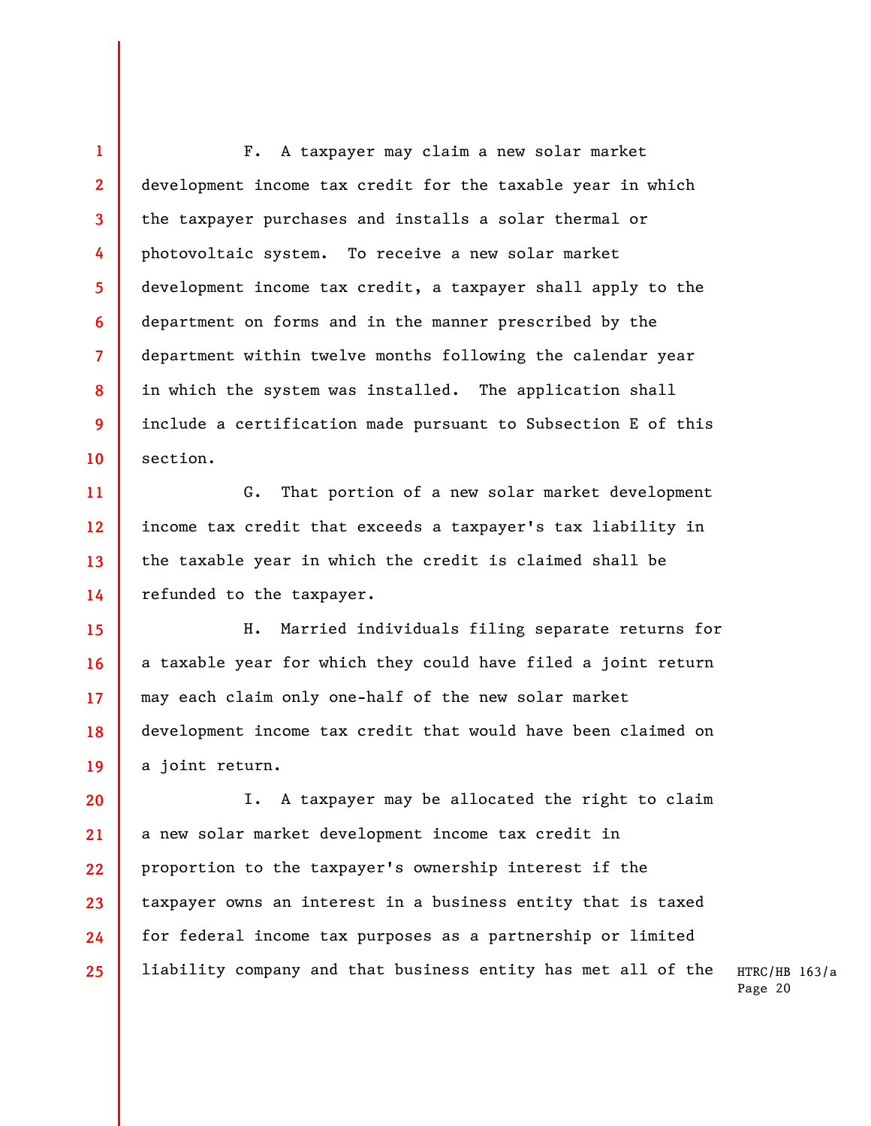**1 2 3 4 5 6 7 8 9 10**  F. A taxpayer may claim a new solar market development income tax credit for the taxable year in which the taxpayer purchases and installs a solar thermal or photovoltaic system. To receive a new solar market development income tax credit, a taxpayer shall apply to the department on forms and in the manner prescribed by the department within twelve months following the calendar year in which the system was installed. The application shall include a certification made pursuant to Subsection E of this section.

**11 12 13 14**  G. That portion of a new solar market development income tax credit that exceeds a taxpayer's tax liability in the taxable year in which the credit is claimed shall be refunded to the taxpayer.

**15 16 17 18 19**  H. Married individuals filing separate returns for a taxable year for which they could have filed a joint return may each claim only one-half of the new solar market development income tax credit that would have been claimed on a joint return.

**20 21 22 23 24 25**  I. A taxpayer may be allocated the right to claim a new solar market development income tax credit in proportion to the taxpayer's ownership interest if the taxpayer owns an interest in a business entity that is taxed for federal income tax purposes as a partnership or limited liability company and that business entity has met all of the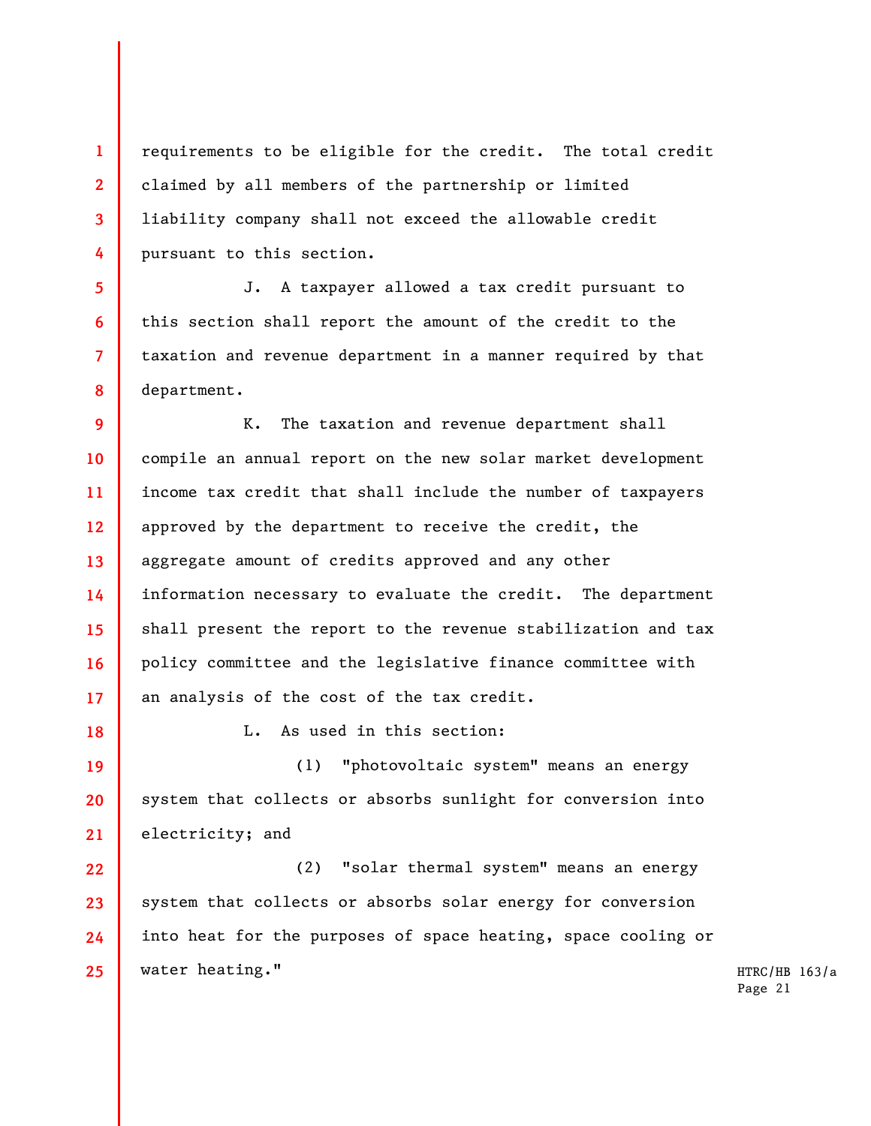**1 2 3 4**  requirements to be eligible for the credit. The total credit claimed by all members of the partnership or limited liability company shall not exceed the allowable credit pursuant to this section.

J. A taxpayer allowed a tax credit pursuant to this section shall report the amount of the credit to the taxation and revenue department in a manner required by that department.

**9 10 11 12 13 14 15 16 17**  K. The taxation and revenue department shall compile an annual report on the new solar market development income tax credit that shall include the number of taxpayers approved by the department to receive the credit, the aggregate amount of credits approved and any other information necessary to evaluate the credit. The department shall present the report to the revenue stabilization and tax policy committee and the legislative finance committee with an analysis of the cost of the tax credit.

**18** 

**5** 

**6** 

**7** 

**8** 

L. As used in this section:

**19 20 21**  (1) "photovoltaic system" means an energy system that collects or absorbs sunlight for conversion into electricity; and

**22 23 24 25**  (2) "solar thermal system" means an energy system that collects or absorbs solar energy for conversion into heat for the purposes of space heating, space cooling or water heating."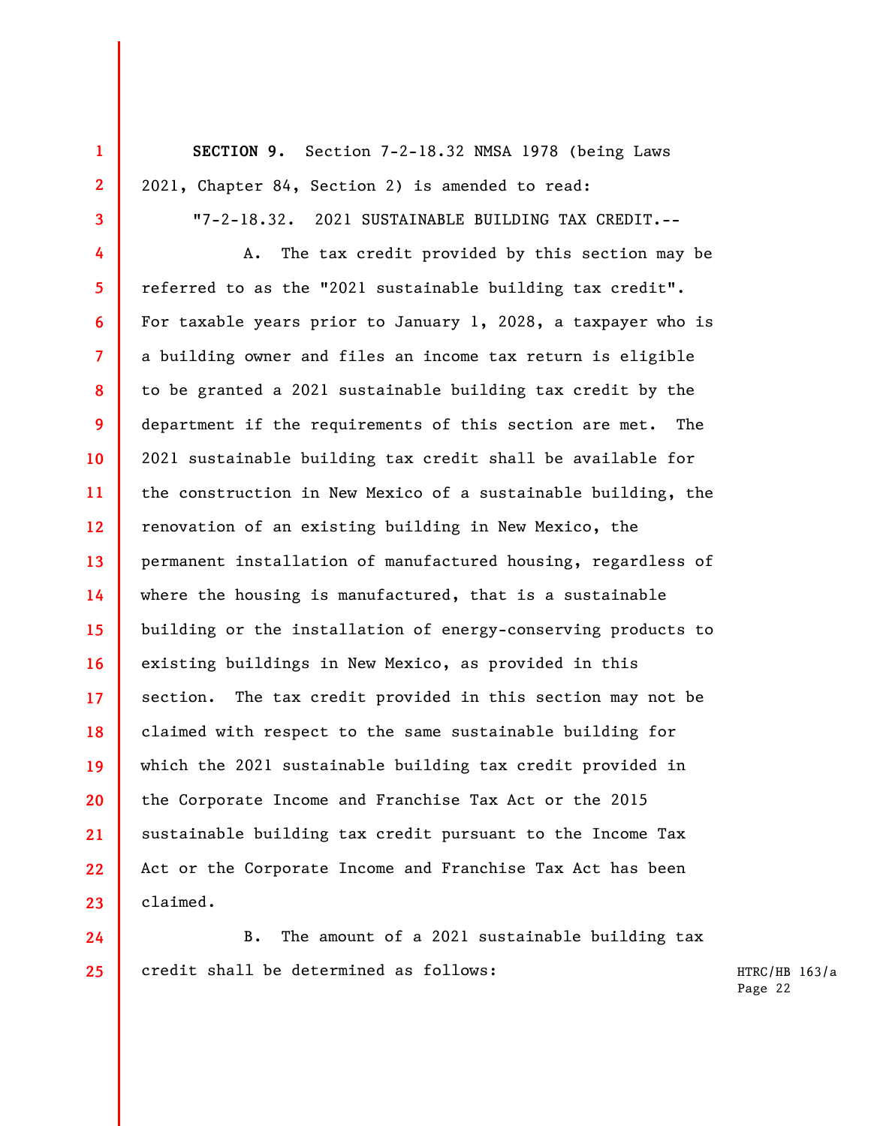**SECTION 9.** Section 7-2-18.32 NMSA 1978 (being Laws 2021, Chapter 84, Section 2) is amended to read:

**1** 

**2** 

**3** 

"7-2-18.32. 2021 SUSTAINABLE BUILDING TAX CREDIT.--

**4 5 6 7 8 9 10 11 12 13 14 15 16 17 18 19 20 21 22 23**  A. The tax credit provided by this section may be referred to as the "2021 sustainable building tax credit". For taxable years prior to January 1, 2028, a taxpayer who is a building owner and files an income tax return is eligible to be granted a 2021 sustainable building tax credit by the department if the requirements of this section are met. The 2021 sustainable building tax credit shall be available for the construction in New Mexico of a sustainable building, the renovation of an existing building in New Mexico, the permanent installation of manufactured housing, regardless of where the housing is manufactured, that is a sustainable building or the installation of energy-conserving products to existing buildings in New Mexico, as provided in this section. The tax credit provided in this section may not be claimed with respect to the same sustainable building for which the 2021 sustainable building tax credit provided in the Corporate Income and Franchise Tax Act or the 2015 sustainable building tax credit pursuant to the Income Tax Act or the Corporate Income and Franchise Tax Act has been claimed.

**24 25**  B. The amount of a 2021 sustainable building tax credit shall be determined as follows: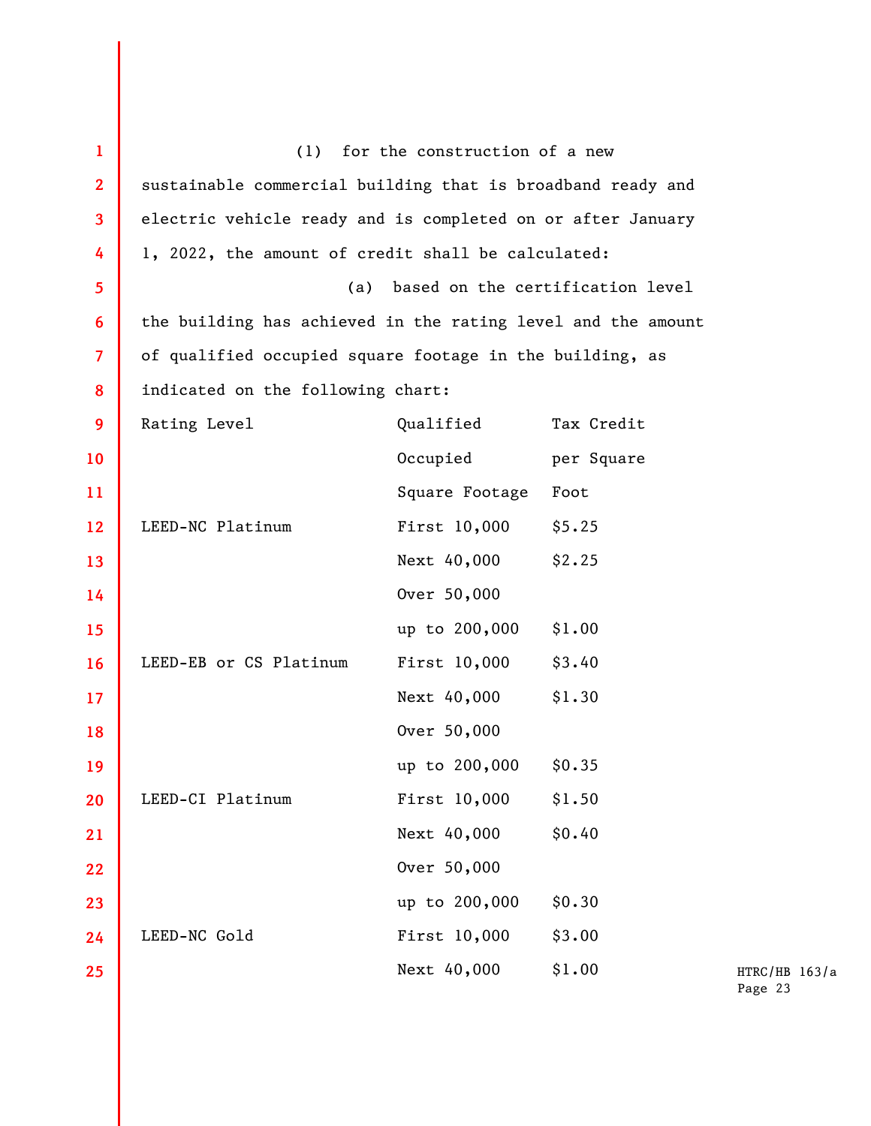| $\mathbf{1}$   |                                                              | (1) for the construction of a new |            |
|----------------|--------------------------------------------------------------|-----------------------------------|------------|
| $\overline{2}$ | sustainable commercial building that is broadband ready and  |                                   |            |
| 3              | electric vehicle ready and is completed on or after January  |                                   |            |
| 4              | 1, 2022, the amount of credit shall be calculated:           |                                   |            |
| 5              | (a)<br>based on the certification level                      |                                   |            |
| 6              | the building has achieved in the rating level and the amount |                                   |            |
| $\overline{7}$ | of qualified occupied square footage in the building, as     |                                   |            |
| 8              | indicated on the following chart:                            |                                   |            |
| 9              | Rating Level                                                 | Qualified                         | Tax Credit |
| 10             |                                                              | Occupied                          | per Square |
| 11             |                                                              | Square Footage                    | Foot       |
| $12 \,$        | LEED-NC Platinum                                             | First 10,000                      | \$5.25     |
| 13             |                                                              | Next 40,000                       | \$2.25     |
| 14             |                                                              | Over 50,000                       |            |
| 15             |                                                              | up to 200,000                     | \$1.00     |
| <b>16</b>      | LEED-EB or CS Platinum                                       | First 10,000                      | \$3.40     |
| 17             |                                                              | Next 40,000                       | \$1.30     |
| 18             |                                                              | Over 50,000                       |            |
| 19             |                                                              | up to 200,000                     | \$0.35     |
| 20             | LEED-CI Platinum                                             | First 10,000                      | \$1.50     |
| 21             |                                                              | Next 40,000                       | \$0.40     |
| 22             |                                                              | Over 50,000                       |            |
| 23             |                                                              | up to 200,000                     | \$0.30     |
| 24             | LEED-NC Gold                                                 | First 10,000                      | \$3.00     |
| 25             |                                                              | Next 40,000                       | \$1.00     |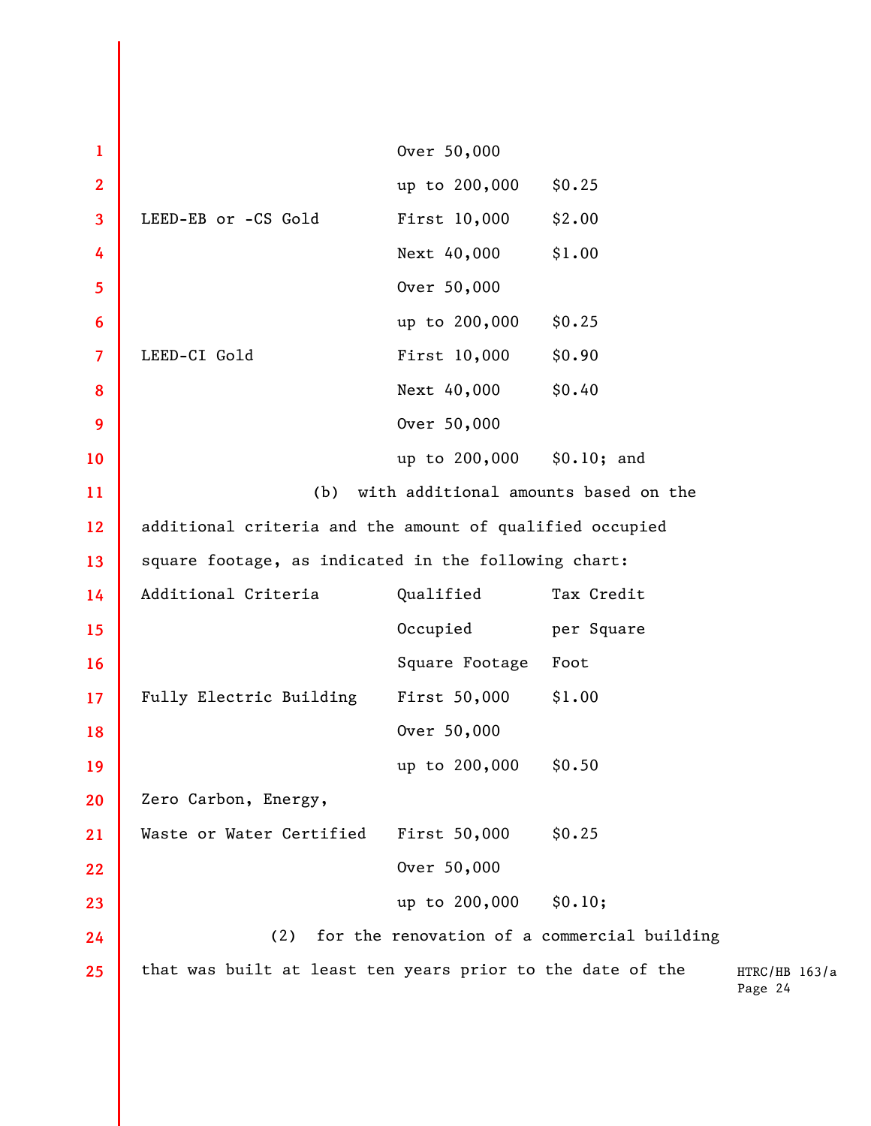| $\mathbf{1}$            |                                                            | Over 50,000    |                                             |                          |
|-------------------------|------------------------------------------------------------|----------------|---------------------------------------------|--------------------------|
| $\overline{2}$          |                                                            | up to 200,000  | \$0.25                                      |                          |
| $\overline{\mathbf{3}}$ | LEED-EB or -CS Gold                                        | First 10,000   | \$2.00                                      |                          |
| 4                       |                                                            | Next 40,000    | \$1.00                                      |                          |
| 5                       |                                                            | Over 50,000    |                                             |                          |
| 6                       |                                                            | up to 200,000  | \$0.25                                      |                          |
| $\overline{7}$          | LEED-CI Gold                                               | First 10,000   | \$0.90                                      |                          |
| 8                       |                                                            | Next 40,000    | \$0.40                                      |                          |
| 9                       |                                                            | Over 50,000    |                                             |                          |
| 10                      |                                                            | up to 200,000  | \$0.10; and                                 |                          |
| 11                      | with additional amounts based on the<br>(b)                |                |                                             |                          |
| 12                      | additional criteria and the amount of qualified occupied   |                |                                             |                          |
| 13                      | square footage, as indicated in the following chart:       |                |                                             |                          |
| 14                      | Additional Criteria                                        | Qualified      | Tax Credit                                  |                          |
| 15                      |                                                            | Occupied       | per Square                                  |                          |
| 16                      |                                                            | Square Footage | Foot                                        |                          |
| 17                      | Fully Electric Building                                    | First 50,000   | \$1.00                                      |                          |
| 18                      |                                                            | Over 50,000    |                                             |                          |
| 19                      |                                                            | up to 200,000  | \$0.50                                      |                          |
| 20                      | Zero Carbon, Energy,                                       |                |                                             |                          |
| 21                      | Waste or Water Certified                                   | First 50,000   | \$0.25                                      |                          |
| 22                      |                                                            | Over 50,000    |                                             |                          |
| 23                      |                                                            | up to 200,000  | \$0.10;                                     |                          |
| 24                      | (2)                                                        |                | for the renovation of a commercial building |                          |
| 25                      | that was built at least ten years prior to the date of the |                |                                             | HTRC/HB 163/a<br>Page 24 |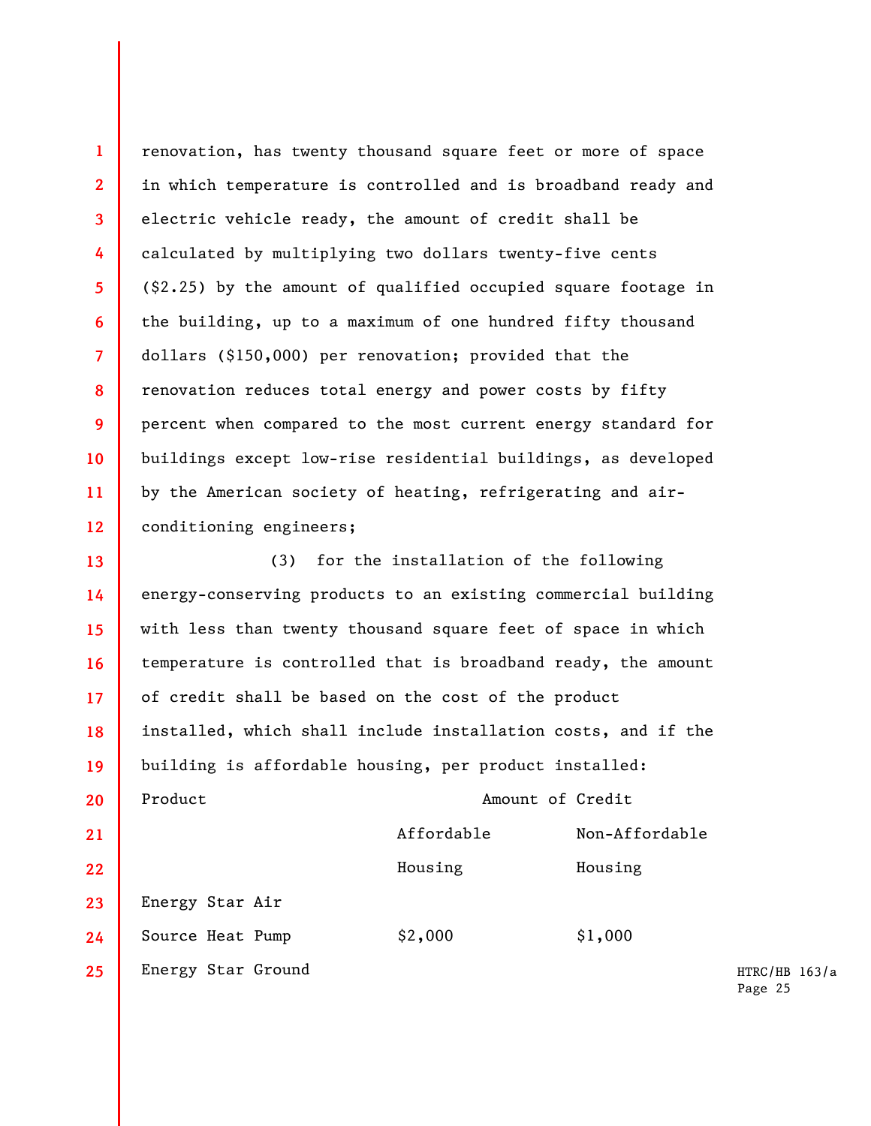**1 2 3 4 5 6 7 8 9 10 11 12**  renovation, has twenty thousand square feet or more of space in which temperature is controlled and is broadband ready and electric vehicle ready, the amount of credit shall be calculated by multiplying two dollars twenty-five cents (\$2.25) by the amount of qualified occupied square footage in the building, up to a maximum of one hundred fifty thousand dollars (\$150,000) per renovation; provided that the renovation reduces total energy and power costs by fifty percent when compared to the most current energy standard for buildings except low-rise residential buildings, as developed by the American society of heating, refrigerating and airconditioning engineers;

**13 14 15 16 17 18 19 20 21 22 23 24 25**  (3) for the installation of the following energy-conserving products to an existing commercial building with less than twenty thousand square feet of space in which temperature is controlled that is broadband ready, the amount of credit shall be based on the cost of the product installed, which shall include installation costs, and if the building is affordable housing, per product installed: Product Amount of Credit Affordable Non-Affordable Housing Housing Energy Star Air Source Heat Pump \$2,000 \$1,000 Energy Star Ground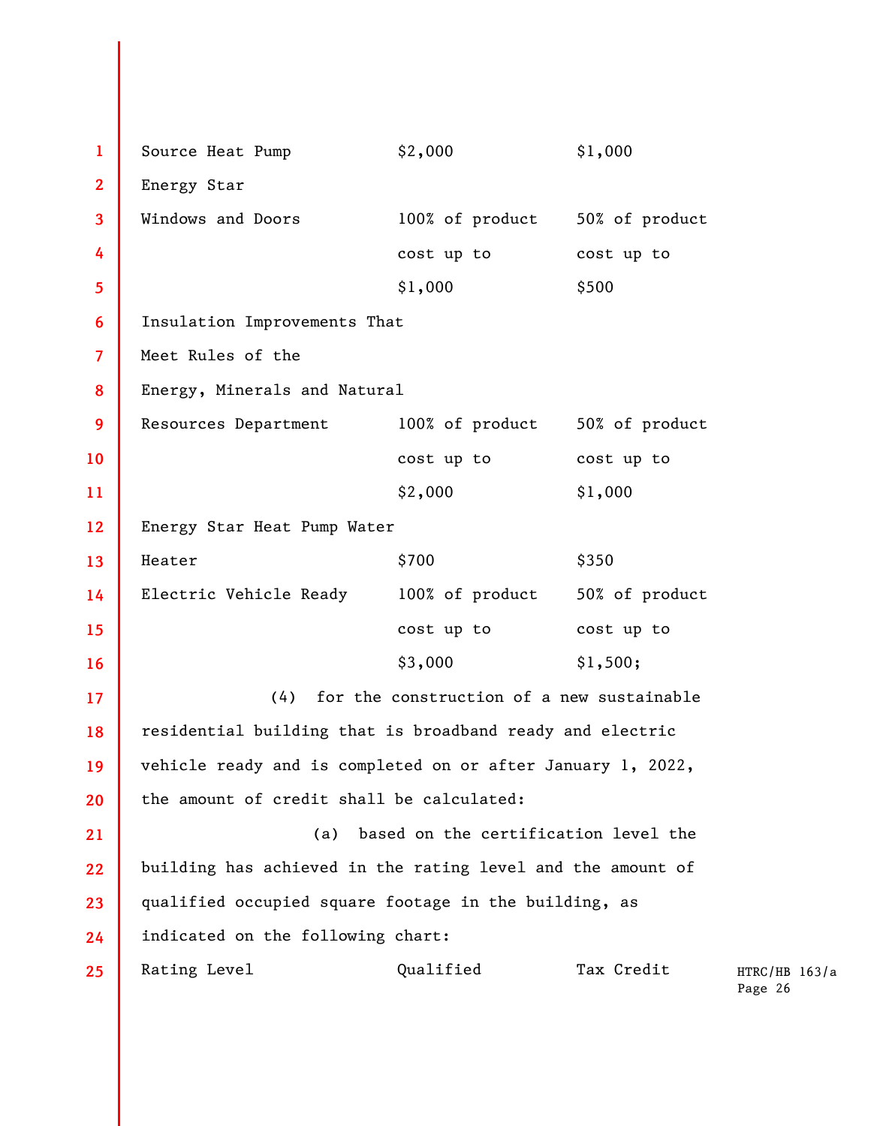**1 2 3 4 5 6 7 8 9 10 11 12 13 14 15 16 17 18 19 20 21 22 23 24 25**  Source Heat Pump  $$2,000$   $$1,000$ Energy Star Windows and Doors 100% of product 50% of product cost up to cost up to \$1,000 \$500 Insulation Improvements That Meet Rules of the Energy, Minerals and Natural Resources Department 100% of product 50% of product cost up to cost up to \$2,000 \$1,000 Energy Star Heat Pump Water  $\text{Heater}$   $\text{\$700}$   $\text{\$350}$ Electric Vehicle Ready 100% of product 50% of product cost up to cost up to \$3,000 \$1,500; (4) for the construction of a new sustainable residential building that is broadband ready and electric vehicle ready and is completed on or after January 1, 2022, the amount of credit shall be calculated: (a) based on the certification level the building has achieved in the rating level and the amount of qualified occupied square footage in the building, as indicated on the following chart: Rating Level **Qualified** Tax Credit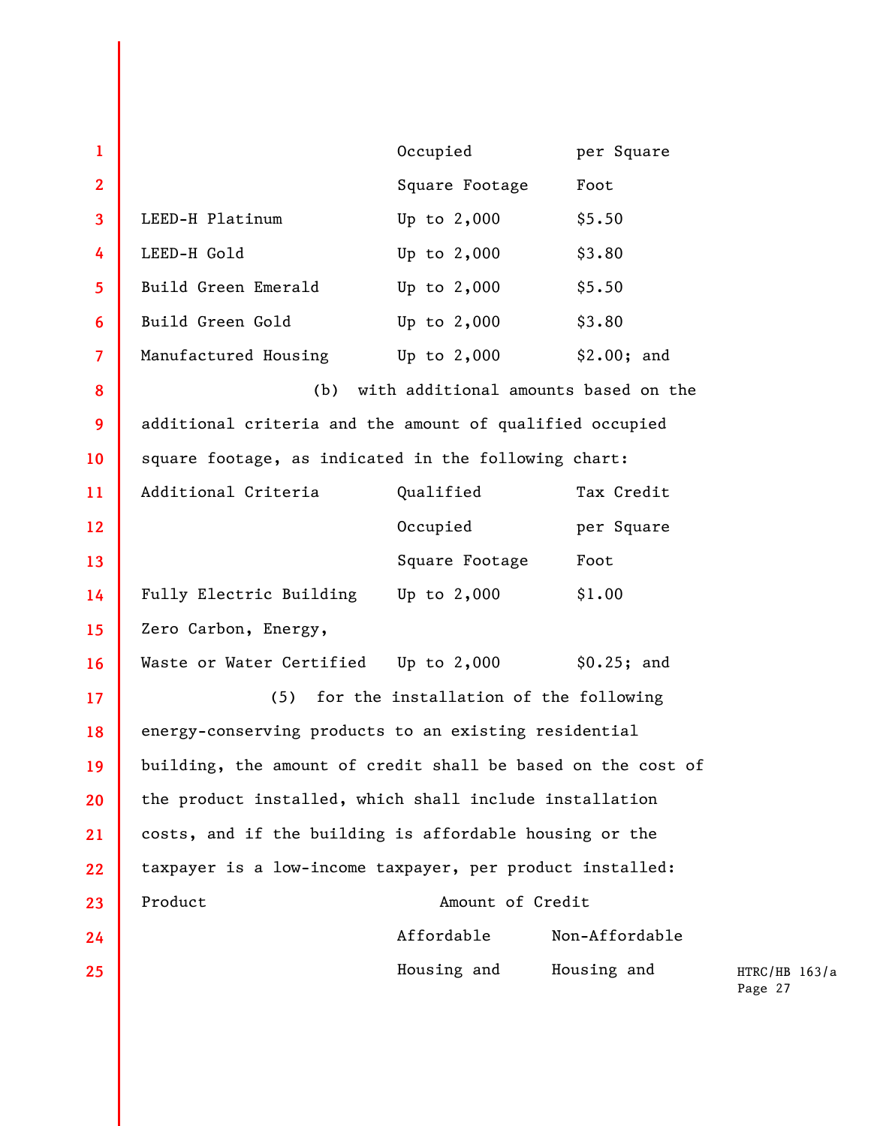| $\mathbf{1}$            |                                                              | Occupied                                  | per Square     |                   |
|-------------------------|--------------------------------------------------------------|-------------------------------------------|----------------|-------------------|
| $\overline{2}$          |                                                              | Square Footage                            | Foot           |                   |
| 3                       | LEED-H Platinum                                              | Up to $2,000$                             | \$5.50         |                   |
| 4                       | LEED-H Gold                                                  | Up to $2,000$                             | \$3.80         |                   |
| 5                       | Build Green Emerald                                          | Up to $2,000$                             | \$5.50         |                   |
| 6                       | Build Green Gold                                             | Up to $2,000$                             | \$3.80         |                   |
| $\overline{\mathbf{z}}$ | Manufactured Housing Up to 2,000                             |                                           | \$2.00; and    |                   |
| 8                       | with additional amounts based on the<br>(b)                  |                                           |                |                   |
| 9                       | additional criteria and the amount of qualified occupied     |                                           |                |                   |
| 10                      | square footage, as indicated in the following chart:         |                                           |                |                   |
| 11                      | Additional Criteria                                          | Qualified                                 | Tax Credit     |                   |
| 12                      |                                                              | Occupied                                  | per Square     |                   |
| 13                      |                                                              | Square Footage                            | Foot           |                   |
| 14                      | Fully Electric Building Up to 2,000                          |                                           | \$1.00         |                   |
| 15                      | Zero Carbon, Energy,                                         |                                           |                |                   |
| 16                      | Waste or Water Certified Up to 2,000                         |                                           | \$0.25; and    |                   |
| 17                      |                                                              | (5) for the installation of the following |                |                   |
| 18                      | energy-conserving products to an existing residential        |                                           |                |                   |
| 19                      | building, the amount of credit shall be based on the cost of |                                           |                |                   |
| 20                      | the product installed, which shall include installation      |                                           |                |                   |
| 21                      | costs, and if the building is affordable housing or the      |                                           |                |                   |
| 22                      | taxpayer is a low-income taxpayer, per product installed:    |                                           |                |                   |
| 23                      | Product                                                      | Amount of Credit                          |                |                   |
| 24                      |                                                              | Affordable                                | Non-Affordable |                   |
| $25\,$                  |                                                              | Housing and                               | Housing and    | <b>HTR</b><br>Pag |

 $RC/HB 163/a$  ${age}$  27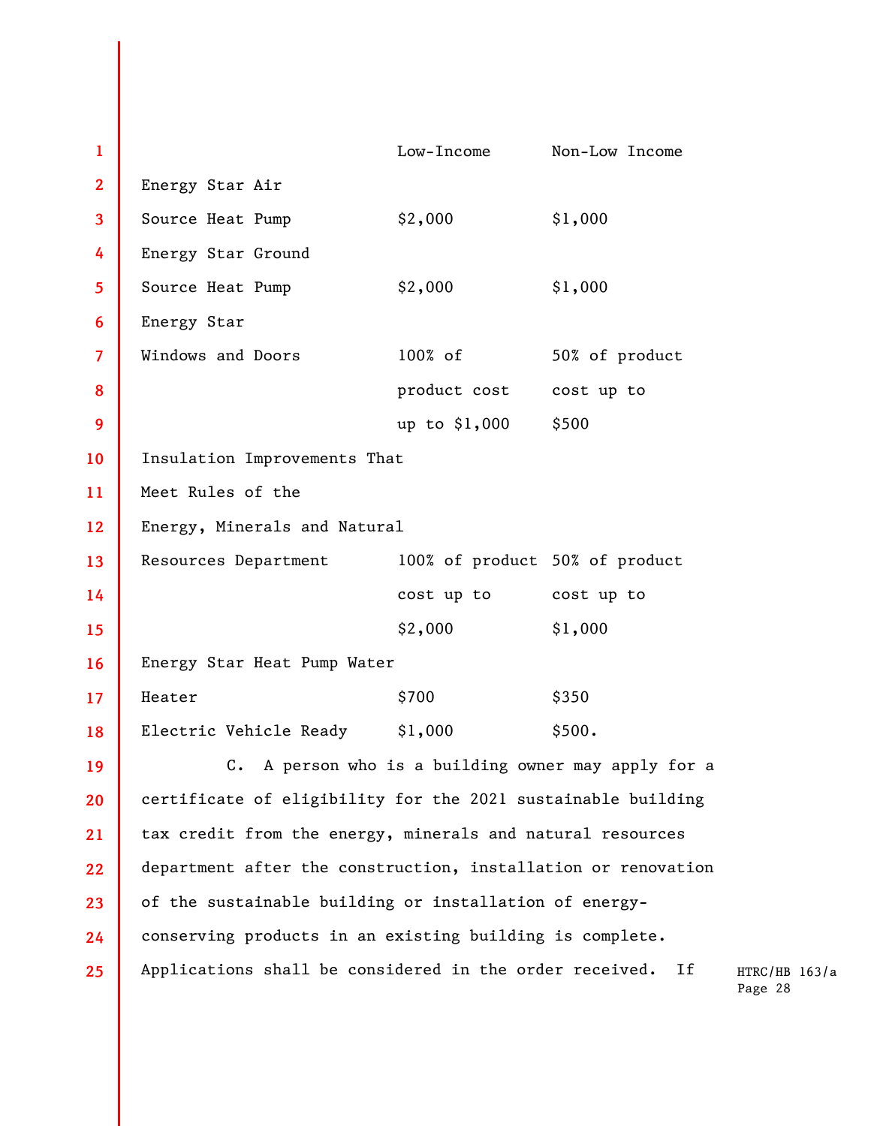| $\mathbf{1}$   |                                                                    | Low-Income                     | Non-Low Income |
|----------------|--------------------------------------------------------------------|--------------------------------|----------------|
| $\overline{2}$ | Energy Star Air                                                    |                                |                |
| $\mathbf{3}$   | Source Heat Pump                                                   | \$2,000                        | \$1,000        |
| 4              | Energy Star Ground                                                 |                                |                |
| 5              | Source Heat Pump                                                   | \$2,000                        | \$1,000        |
| 6              | Energy Star                                                        |                                |                |
| $\overline{7}$ | Windows and Doors                                                  | 100% of                        | 50% of product |
| 8              |                                                                    | product cost                   | cost up to     |
| 9              |                                                                    | up to \$1,000                  | \$500          |
| 10             | Insulation Improvements That                                       |                                |                |
| 11             | Meet Rules of the                                                  |                                |                |
| 12             | Energy, Minerals and Natural                                       |                                |                |
| 13             | Resources Department                                               | 100% of product 50% of product |                |
| 14             |                                                                    | cost up to                     | cost up to     |
| 15             |                                                                    | \$2,000                        | \$1,000        |
| 16             | Energy Star Heat Pump Water                                        |                                |                |
| 17             | Heater                                                             | \$700                          | \$350          |
| 18             | Electric Vehicle Ready                                             | \$1,000                        | \$500.         |
| 19             | A person who is a building owner may apply for a<br>$\mathsf{C}$ . |                                |                |
| 20             | certificate of eligibility for the 2021 sustainable building       |                                |                |
| 21             | tax credit from the energy, minerals and natural resources         |                                |                |
| 22             | department after the construction, installation or renovation      |                                |                |
| 23             | of the sustainable building or installation of energy-             |                                |                |
| 24             | conserving products in an existing building is complete.           |                                |                |
| 25             | Applications shall be considered in the order received.<br>If      |                                |                |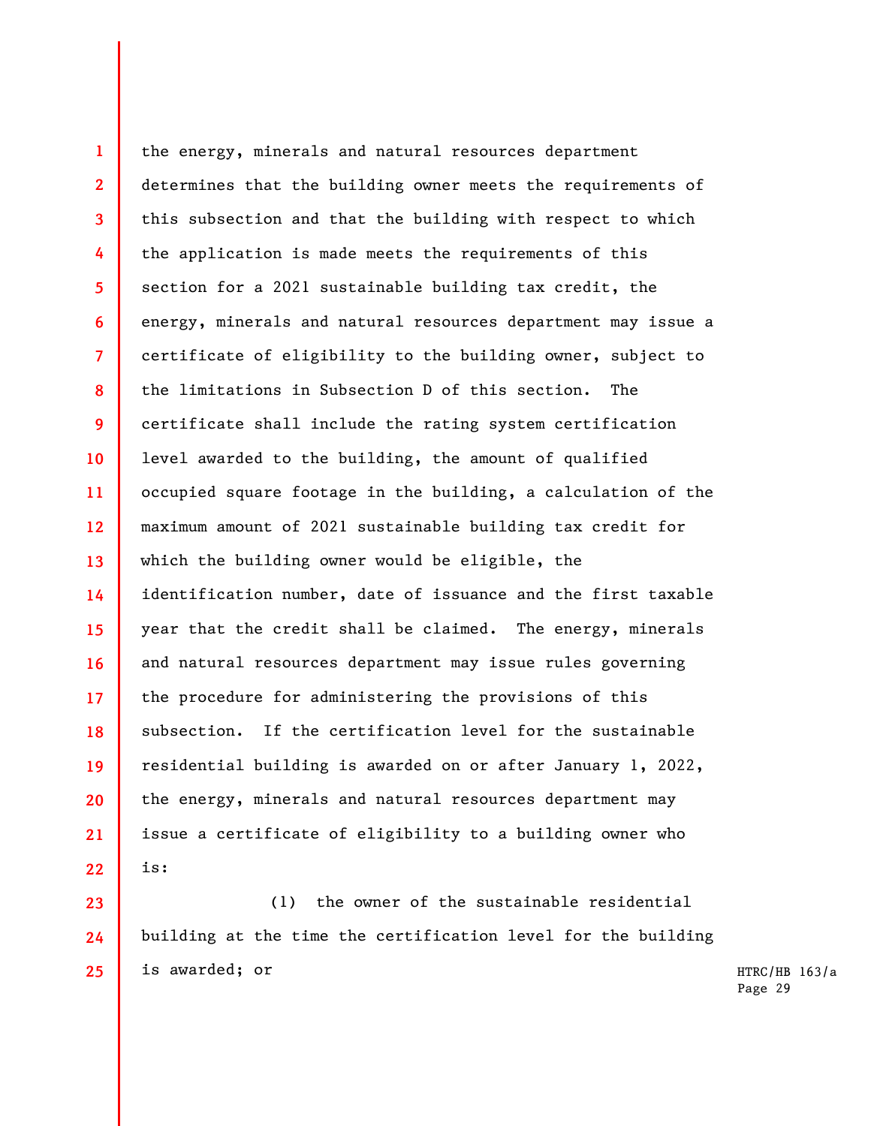**1 2 3 4 5 6 7 8 9 10 11 12 13 14 15 16 17 18 19 20 21 22**  the energy, minerals and natural resources department determines that the building owner meets the requirements of this subsection and that the building with respect to which the application is made meets the requirements of this section for a 2021 sustainable building tax credit, the energy, minerals and natural resources department may issue a certificate of eligibility to the building owner, subject to the limitations in Subsection D of this section. The certificate shall include the rating system certification level awarded to the building, the amount of qualified occupied square footage in the building, a calculation of the maximum amount of 2021 sustainable building tax credit for which the building owner would be eligible, the identification number, date of issuance and the first taxable year that the credit shall be claimed. The energy, minerals and natural resources department may issue rules governing the procedure for administering the provisions of this subsection. If the certification level for the sustainable residential building is awarded on or after January 1, 2022, the energy, minerals and natural resources department may issue a certificate of eligibility to a building owner who is:

(1) the owner of the sustainable residential building at the time the certification level for the building is awarded; or

**23** 

**24** 

**25**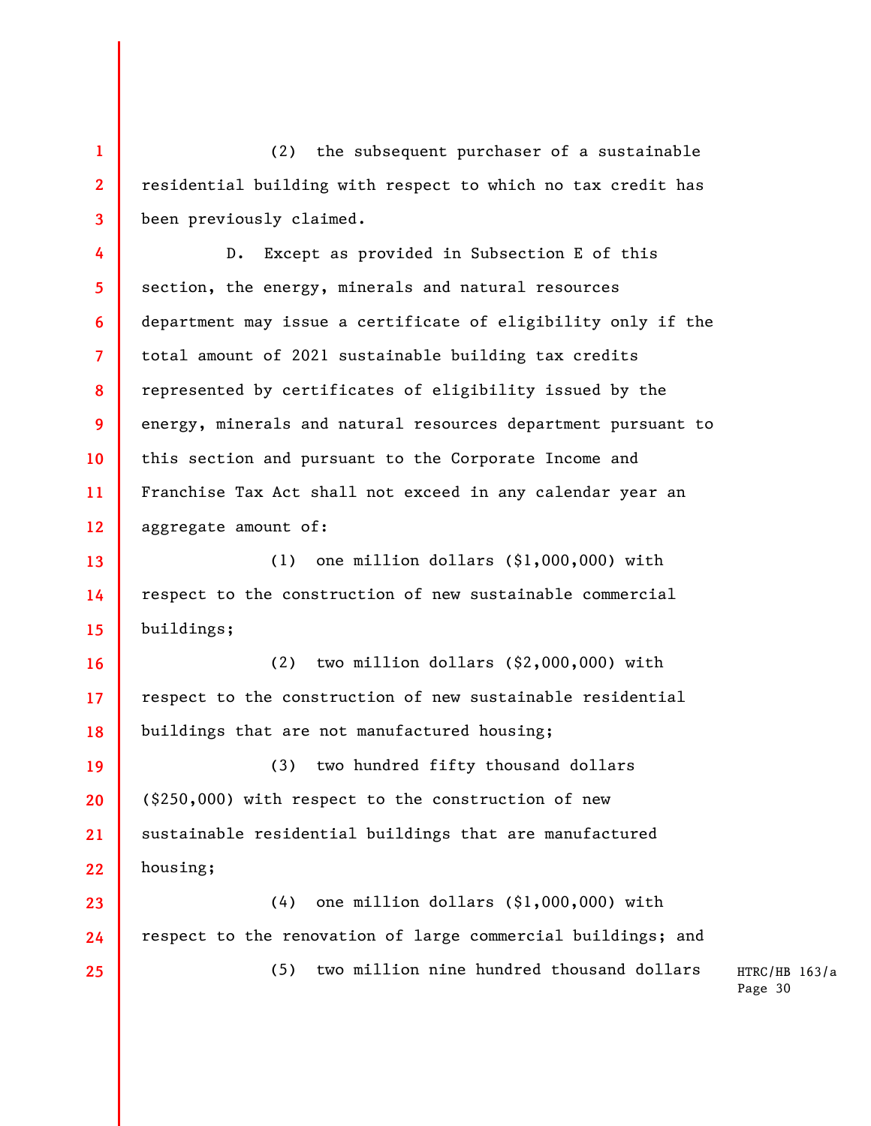(2) the subsequent purchaser of a sustainable residential building with respect to which no tax credit has been previously claimed.

**1** 

**2** 

**3** 

**4 5 6 7 8 9 10 11 12**  D. Except as provided in Subsection E of this section, the energy, minerals and natural resources department may issue a certificate of eligibility only if the total amount of 2021 sustainable building tax credits represented by certificates of eligibility issued by the energy, minerals and natural resources department pursuant to this section and pursuant to the Corporate Income and Franchise Tax Act shall not exceed in any calendar year an aggregate amount of:

**13 14 15**  (1) one million dollars (\$1,000,000) with respect to the construction of new sustainable commercial buildings;

**16 17 18**  (2) two million dollars (\$2,000,000) with respect to the construction of new sustainable residential buildings that are not manufactured housing;

**19 20 21 22**  (3) two hundred fifty thousand dollars (\$250,000) with respect to the construction of new sustainable residential buildings that are manufactured housing;

**23 24 25**  (4) one million dollars (\$1,000,000) with respect to the renovation of large commercial buildings; and (5) two million nine hundred thousand dollars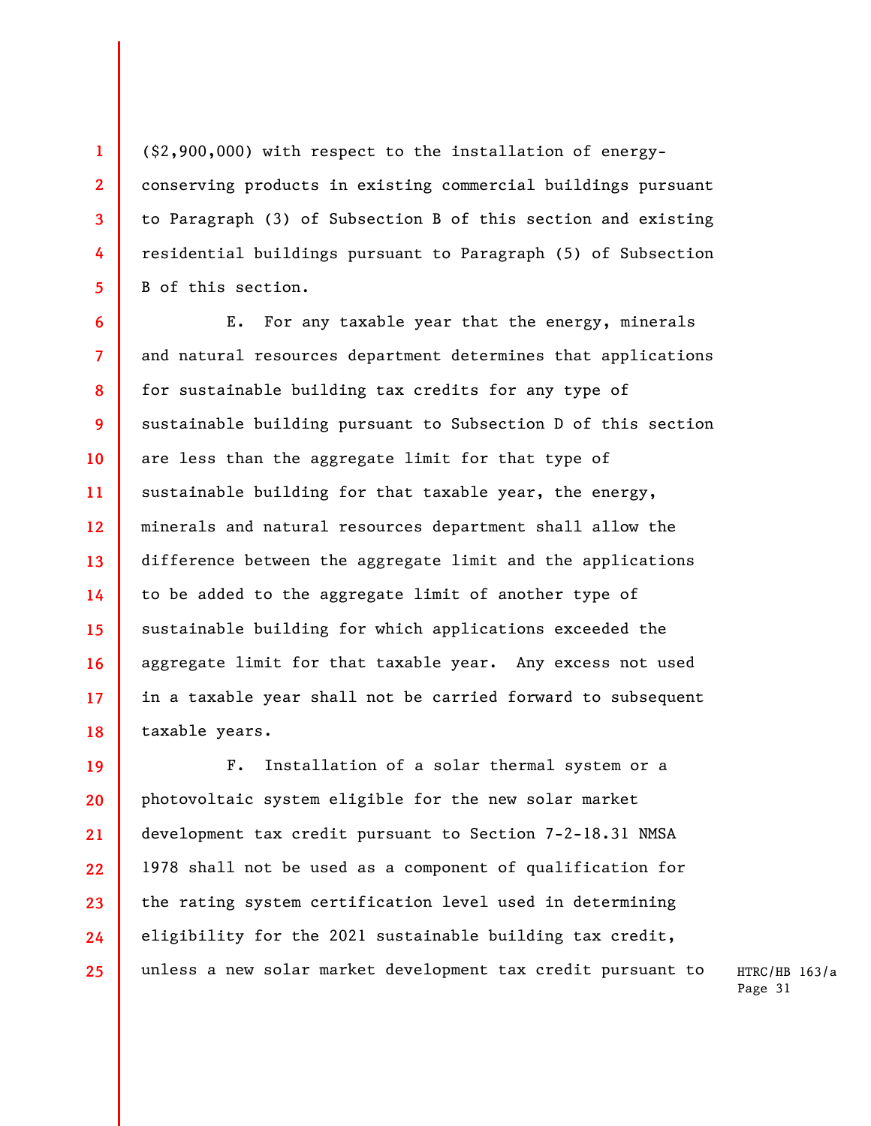(\$2,900,000) with respect to the installation of energyconserving products in existing commercial buildings pursuant to Paragraph (3) of Subsection B of this section and existing residential buildings pursuant to Paragraph (5) of Subsection B of this section.

**1** 

**2** 

**3** 

**4** 

**5** 

**6 7 8 9 10 11 12 13 14 15 16 17 18**  E. For any taxable year that the energy, minerals and natural resources department determines that applications for sustainable building tax credits for any type of sustainable building pursuant to Subsection D of this section are less than the aggregate limit for that type of sustainable building for that taxable year, the energy, minerals and natural resources department shall allow the difference between the aggregate limit and the applications to be added to the aggregate limit of another type of sustainable building for which applications exceeded the aggregate limit for that taxable year. Any excess not used in a taxable year shall not be carried forward to subsequent taxable years.

**19 20 21 22 23 24 25**  F. Installation of a solar thermal system or a photovoltaic system eligible for the new solar market development tax credit pursuant to Section 7-2-18.31 NMSA 1978 shall not be used as a component of qualification for the rating system certification level used in determining eligibility for the 2021 sustainable building tax credit, unless a new solar market development tax credit pursuant to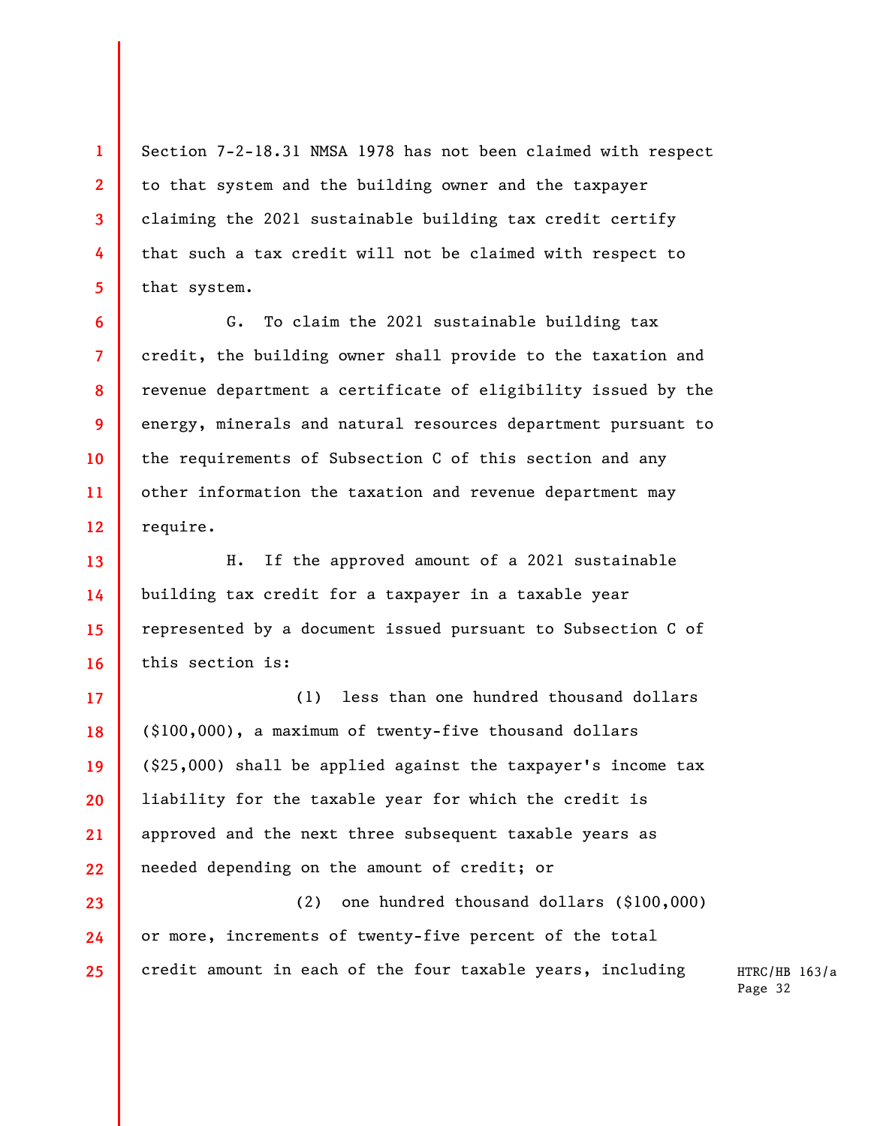Section 7-2-18.31 NMSA 1978 has not been claimed with respect to that system and the building owner and the taxpayer claiming the 2021 sustainable building tax credit certify that such a tax credit will not be claimed with respect to that system.

**1** 

**2** 

**3** 

**4** 

**5** 

**6** 

**7** 

**8** 

**9** 

**10** 

**11** 

**12** 

**17** 

**18** 

**19** 

**20** 

**21** 

G. To claim the 2021 sustainable building tax credit, the building owner shall provide to the taxation and revenue department a certificate of eligibility issued by the energy, minerals and natural resources department pursuant to the requirements of Subsection C of this section and any other information the taxation and revenue department may require.

**13 14 15 16**  H. If the approved amount of a 2021 sustainable building tax credit for a taxpayer in a taxable year represented by a document issued pursuant to Subsection C of this section is:

**22**  (1) less than one hundred thousand dollars (\$100,000), a maximum of twenty-five thousand dollars (\$25,000) shall be applied against the taxpayer's income tax liability for the taxable year for which the credit is approved and the next three subsequent taxable years as needed depending on the amount of credit; or

**23 24 25**  (2) one hundred thousand dollars (\$100,000) or more, increments of twenty-five percent of the total credit amount in each of the four taxable years, including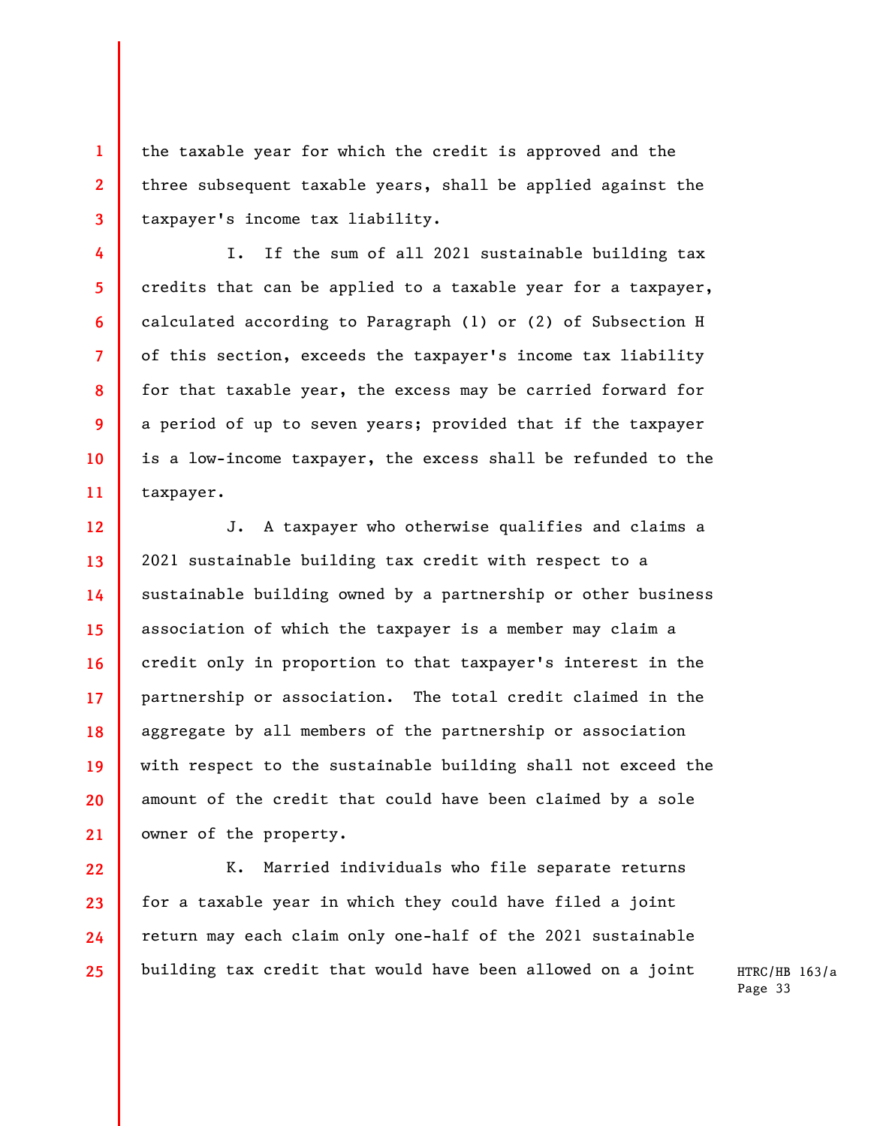the taxable year for which the credit is approved and the three subsequent taxable years, shall be applied against the taxpayer's income tax liability.

**1** 

**2** 

**3** 

**4** 

**5** 

**6** 

**7** 

**8** 

**9** 

**10** 

**11** 

I. If the sum of all 2021 sustainable building tax credits that can be applied to a taxable year for a taxpayer, calculated according to Paragraph (1) or (2) of Subsection H of this section, exceeds the taxpayer's income tax liability for that taxable year, the excess may be carried forward for a period of up to seven years; provided that if the taxpayer is a low-income taxpayer, the excess shall be refunded to the taxpayer.

**12 13 14 15 16 17 18 19 20 21**  J. A taxpayer who otherwise qualifies and claims a 2021 sustainable building tax credit with respect to a sustainable building owned by a partnership or other business association of which the taxpayer is a member may claim a credit only in proportion to that taxpayer's interest in the partnership or association. The total credit claimed in the aggregate by all members of the partnership or association with respect to the sustainable building shall not exceed the amount of the credit that could have been claimed by a sole owner of the property.

**22 23 24 25**  K. Married individuals who file separate returns for a taxable year in which they could have filed a joint return may each claim only one-half of the 2021 sustainable building tax credit that would have been allowed on a joint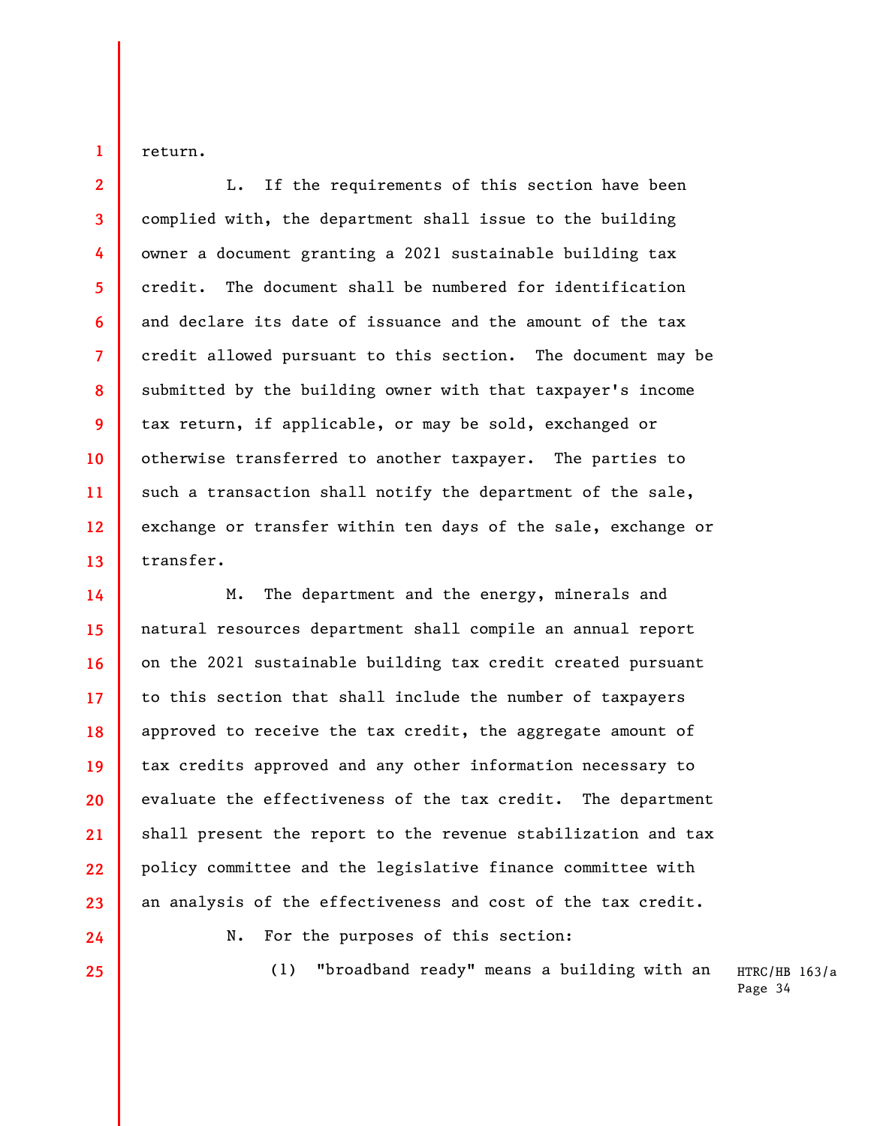return.

**1** 

**2** 

**3** 

**4** 

**5** 

**6** 

**7** 

**8** 

**9** 

**10** 

**11** 

**12** 

**13** 

**14** 

**15** 

**16** 

**17** 

**18** 

**19** 

**20** 

**21** 

**22** 

**23** 

**24** 

**25** 

L. If the requirements of this section have been complied with, the department shall issue to the building owner a document granting a 2021 sustainable building tax credit. The document shall be numbered for identification and declare its date of issuance and the amount of the tax credit allowed pursuant to this section. The document may be submitted by the building owner with that taxpayer's income tax return, if applicable, or may be sold, exchanged or otherwise transferred to another taxpayer. The parties to such a transaction shall notify the department of the sale, exchange or transfer within ten days of the sale, exchange or transfer.

M. The department and the energy, minerals and natural resources department shall compile an annual report on the 2021 sustainable building tax credit created pursuant to this section that shall include the number of taxpayers approved to receive the tax credit, the aggregate amount of tax credits approved and any other information necessary to evaluate the effectiveness of the tax credit. The department shall present the report to the revenue stabilization and tax policy committee and the legislative finance committee with an analysis of the effectiveness and cost of the tax credit.

N. For the purposes of this section:

(1) "broadband ready" means a building with an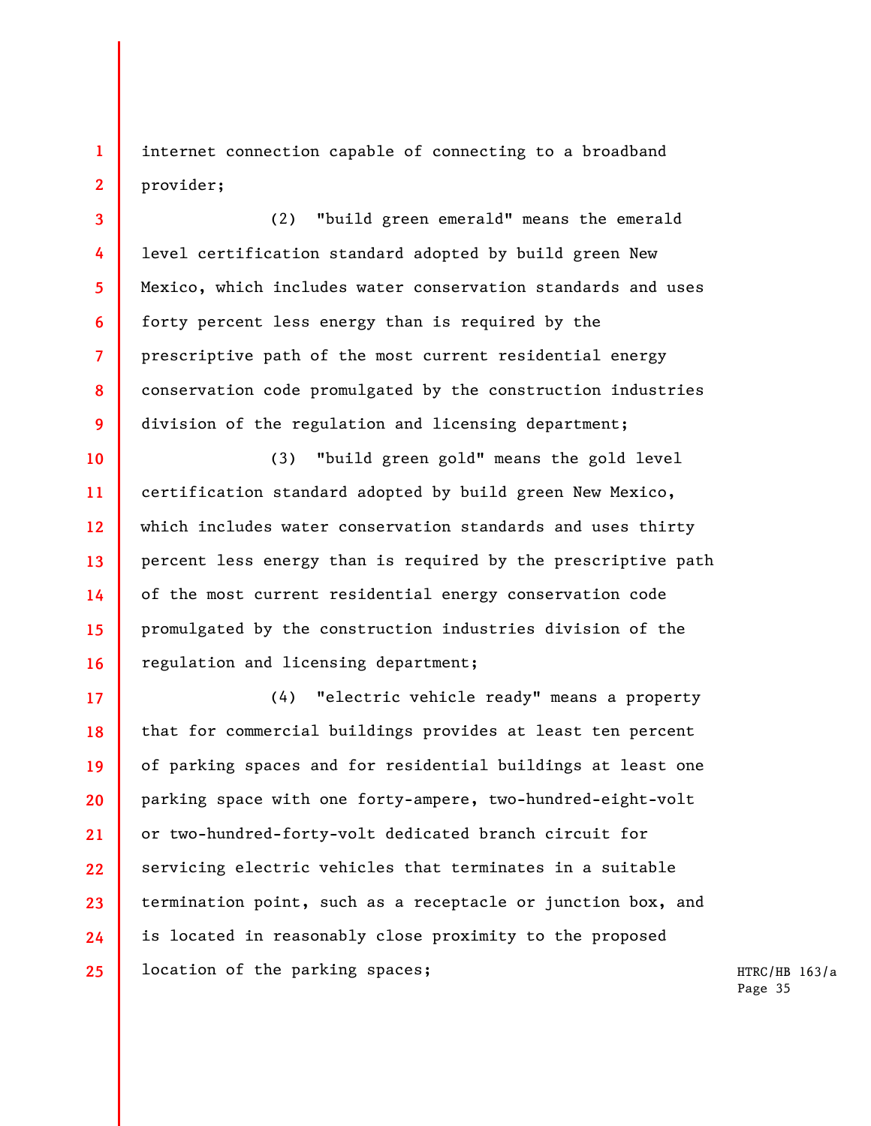internet connection capable of connecting to a broadband provider;

**1** 

**2** 

**3** 

**4** 

**5** 

**6** 

**7** 

**8** 

**9** 

(2) "build green emerald" means the emerald level certification standard adopted by build green New Mexico, which includes water conservation standards and uses forty percent less energy than is required by the prescriptive path of the most current residential energy conservation code promulgated by the construction industries division of the regulation and licensing department;

**10 11 12 13 14 15 16**  (3) "build green gold" means the gold level certification standard adopted by build green New Mexico, which includes water conservation standards and uses thirty percent less energy than is required by the prescriptive path of the most current residential energy conservation code promulgated by the construction industries division of the regulation and licensing department;

**17 18 19 20 21 22 23 24 25**  (4) "electric vehicle ready" means a property that for commercial buildings provides at least ten percent of parking spaces and for residential buildings at least one parking space with one forty-ampere, two-hundred-eight-volt or two-hundred-forty-volt dedicated branch circuit for servicing electric vehicles that terminates in a suitable termination point, such as a receptacle or junction box, and is located in reasonably close proximity to the proposed location of the parking spaces;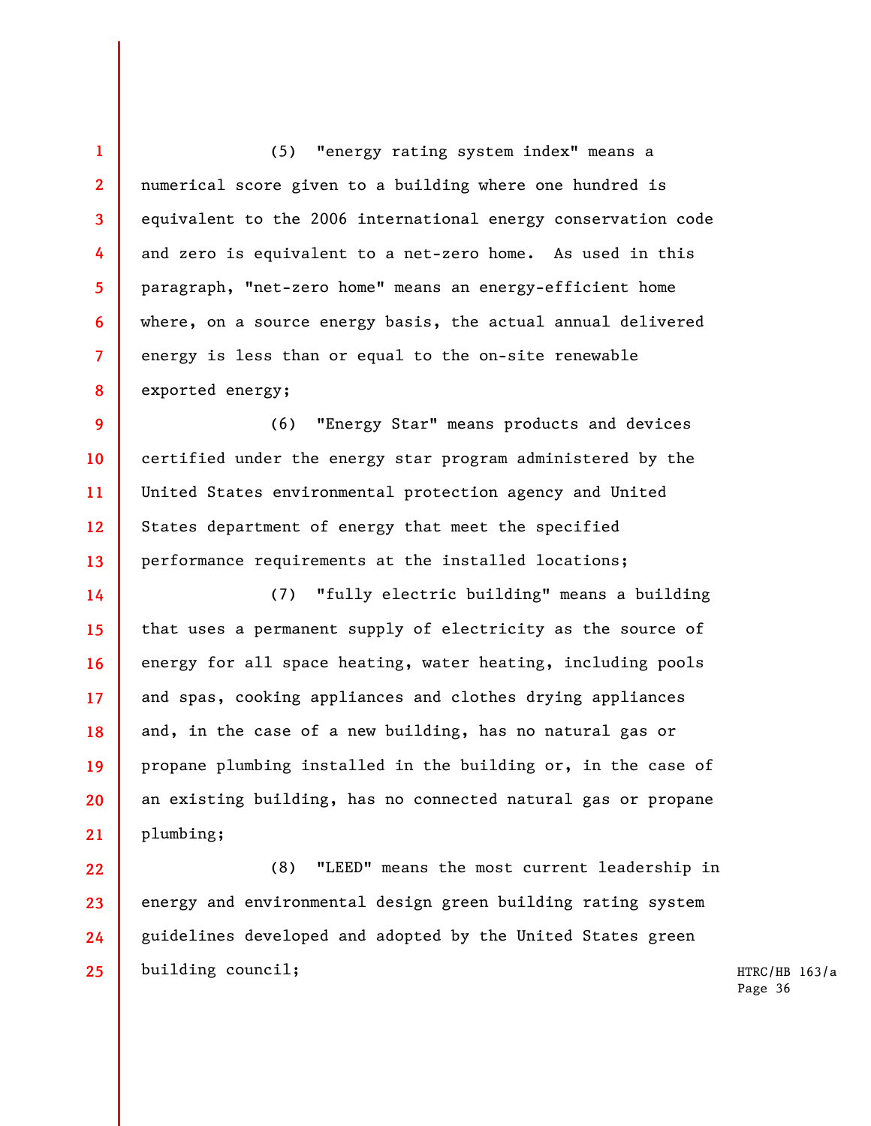**1 2 3 4 5 6 7 8**  (5) "energy rating system index" means a numerical score given to a building where one hundred is equivalent to the 2006 international energy conservation code and zero is equivalent to a net-zero home. As used in this paragraph, "net-zero home" means an energy-efficient home where, on a source energy basis, the actual annual delivered energy is less than or equal to the on-site renewable exported energy;

**9 10 11 12 13**  (6) "Energy Star" means products and devices certified under the energy star program administered by the United States environmental protection agency and United States department of energy that meet the specified performance requirements at the installed locations;

**14 15 16 17 18 19 20 21**  (7) "fully electric building" means a building that uses a permanent supply of electricity as the source of energy for all space heating, water heating, including pools and spas, cooking appliances and clothes drying appliances and, in the case of a new building, has no natural gas or propane plumbing installed in the building or, in the case of an existing building, has no connected natural gas or propane plumbing;

**22 23 24 25**  (8) "LEED" means the most current leadership in energy and environmental design green building rating system guidelines developed and adopted by the United States green building council;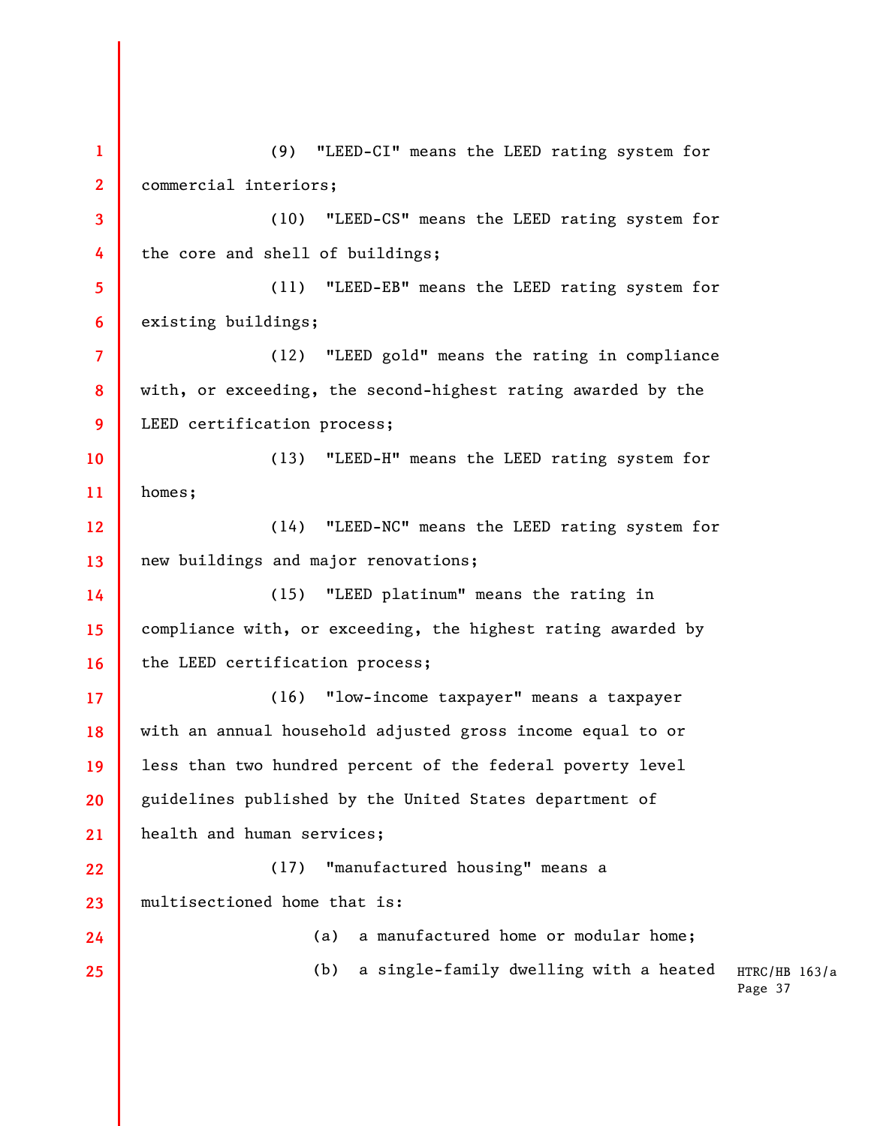HTRC/HB 163/a Page 37 **1 2 3 4 5 6 7 8 9 10 11 12 13 14 15 16 17 18 19 20 21 22 23 24 25**  (9) "LEED-CI" means the LEED rating system for commercial interiors; (10) "LEED-CS" means the LEED rating system for the core and shell of buildings; (11) "LEED-EB" means the LEED rating system for existing buildings; (12) "LEED gold" means the rating in compliance with, or exceeding, the second-highest rating awarded by the LEED certification process; (13) "LEED-H" means the LEED rating system for homes; (14) "LEED-NC" means the LEED rating system for new buildings and major renovations; (15) "LEED platinum" means the rating in compliance with, or exceeding, the highest rating awarded by the LEED certification process; (16) "low-income taxpayer" means a taxpayer with an annual household adjusted gross income equal to or less than two hundred percent of the federal poverty level guidelines published by the United States department of health and human services; (17) "manufactured housing" means a multisectioned home that is: (a) a manufactured home or modular home; (b) a single-family dwelling with a heated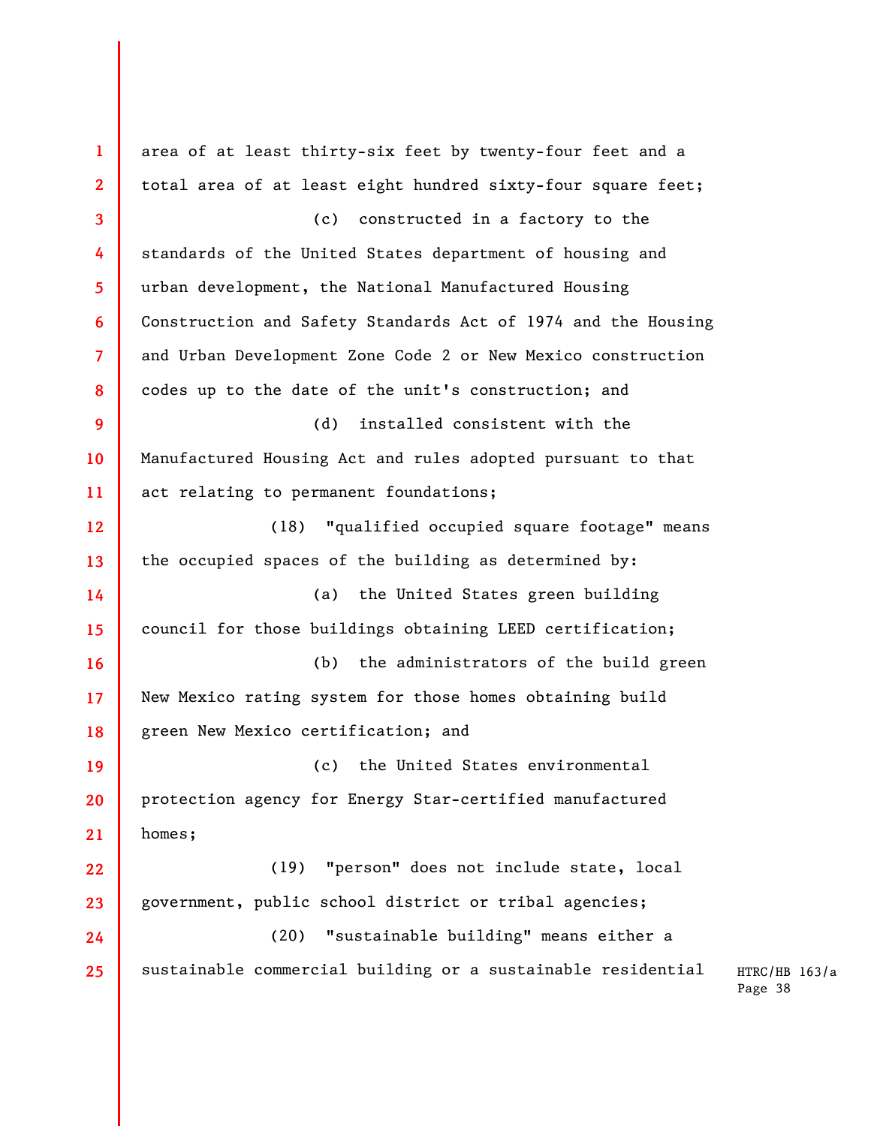| $\mathbf{1}$    | area of at least thirty-six feet by twenty-four feet and a    |
|-----------------|---------------------------------------------------------------|
| $\mathbf{2}$    | total area of at least eight hundred sixty-four square feet;  |
| 3               | (c) constructed in a factory to the                           |
| 4               | standards of the United States department of housing and      |
| 5               | urban development, the National Manufactured Housing          |
| 6               | Construction and Safety Standards Act of 1974 and the Housing |
| $\overline{7}$  | and Urban Development Zone Code 2 or New Mexico construction  |
| 8               | codes up to the date of the unit's construction; and          |
| 9               | (d)<br>installed consistent with the                          |
| 10              | Manufactured Housing Act and rules adopted pursuant to that   |
| 11              | act relating to permanent foundations;                        |
| 12 <sup>2</sup> | "qualified occupied square footage" means<br>(18)             |
| 13              | the occupied spaces of the building as determined by:         |
| 14              | (a) the United States green building                          |
| 15              | council for those buildings obtaining LEED certification;     |
| 16              | (b) the administrators of the build green                     |
| 17 <sup>2</sup> | New Mexico rating system for those homes obtaining build      |
| 18              | green New Mexico certification; and                           |
| 19              | the United States environmental<br>(c)                        |
| 20              | protection agency for Energy Star-certified manufactured      |
| 21              | homes;                                                        |
| 22              | "person" does not include state, local<br>(19)                |
| 23              | government, public school district or tribal agencies;        |
| 24              | "sustainable building" means either a<br>(20)                 |
| 25              | sustainable commercial building or a sustainable residential  |
|                 |                                                               |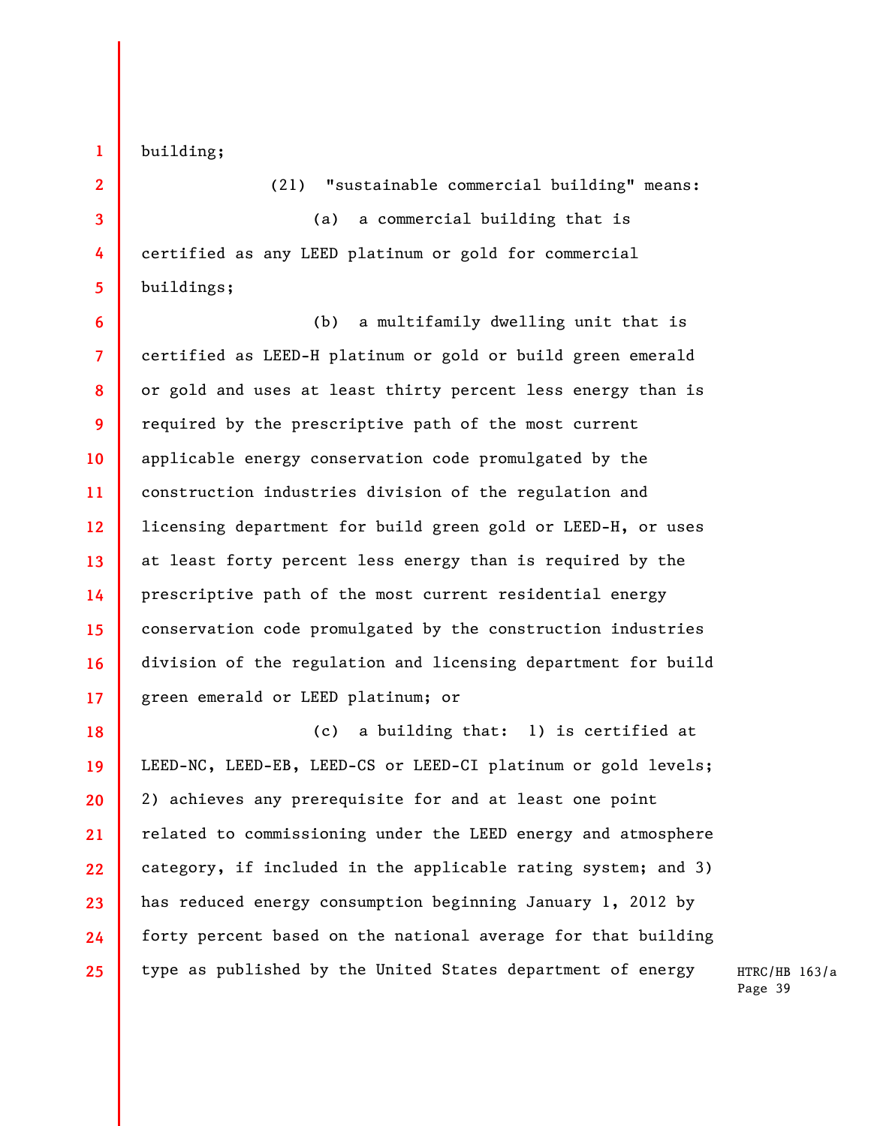**1** 

building;

**2** 

**3** 

**4** 

**5** 

(21) "sustainable commercial building" means: (a) a commercial building that is certified as any LEED platinum or gold for commercial buildings;

**6 7 8 9 10 11 12 13 14 15 16 17**  (b) a multifamily dwelling unit that is certified as LEED-H platinum or gold or build green emerald or gold and uses at least thirty percent less energy than is required by the prescriptive path of the most current applicable energy conservation code promulgated by the construction industries division of the regulation and licensing department for build green gold or LEED-H, or uses at least forty percent less energy than is required by the prescriptive path of the most current residential energy conservation code promulgated by the construction industries division of the regulation and licensing department for build green emerald or LEED platinum; or

**18 19 20 21 22 23 24 25**  (c) a building that: 1) is certified at LEED-NC, LEED-EB, LEED-CS or LEED-CI platinum or gold levels; 2) achieves any prerequisite for and at least one point related to commissioning under the LEED energy and atmosphere category, if included in the applicable rating system; and 3) has reduced energy consumption beginning January 1, 2012 by forty percent based on the national average for that building type as published by the United States department of energy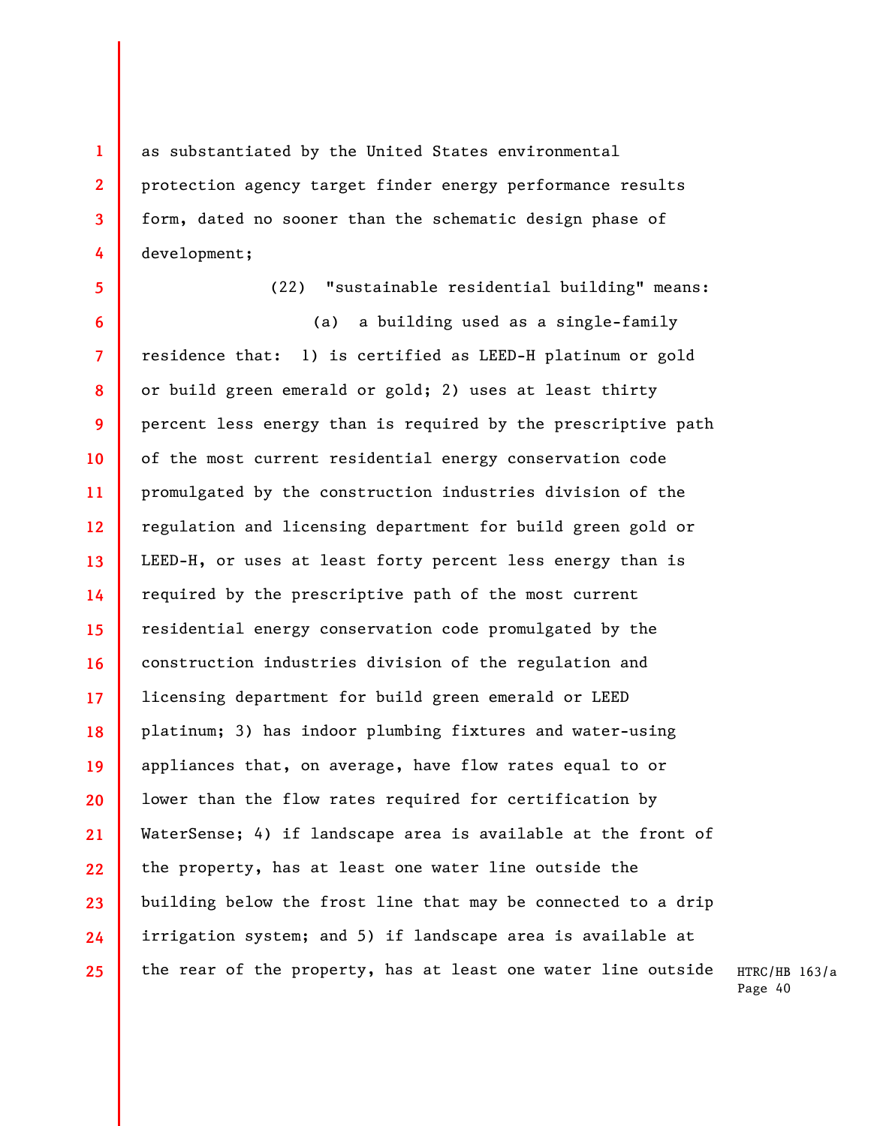as substantiated by the United States environmental protection agency target finder energy performance results form, dated no sooner than the schematic design phase of development;

**4 5 6 7 8 9 10 11 12 13 14 15 16 17 18 19 20 21 22 23**  (22) "sustainable residential building" means: (a) a building used as a single-family residence that: 1) is certified as LEED-H platinum or gold or build green emerald or gold; 2) uses at least thirty percent less energy than is required by the prescriptive path of the most current residential energy conservation code promulgated by the construction industries division of the regulation and licensing department for build green gold or LEED-H, or uses at least forty percent less energy than is required by the prescriptive path of the most current residential energy conservation code promulgated by the construction industries division of the regulation and licensing department for build green emerald or LEED platinum; 3) has indoor plumbing fixtures and water-using appliances that, on average, have flow rates equal to or lower than the flow rates required for certification by WaterSense; 4) if landscape area is available at the front of the property, has at least one water line outside the building below the frost line that may be connected to a drip

irrigation system; and 5) if landscape area is available at

the rear of the property, has at least one water line outside

**24 25** 

**1** 

**2** 

**3**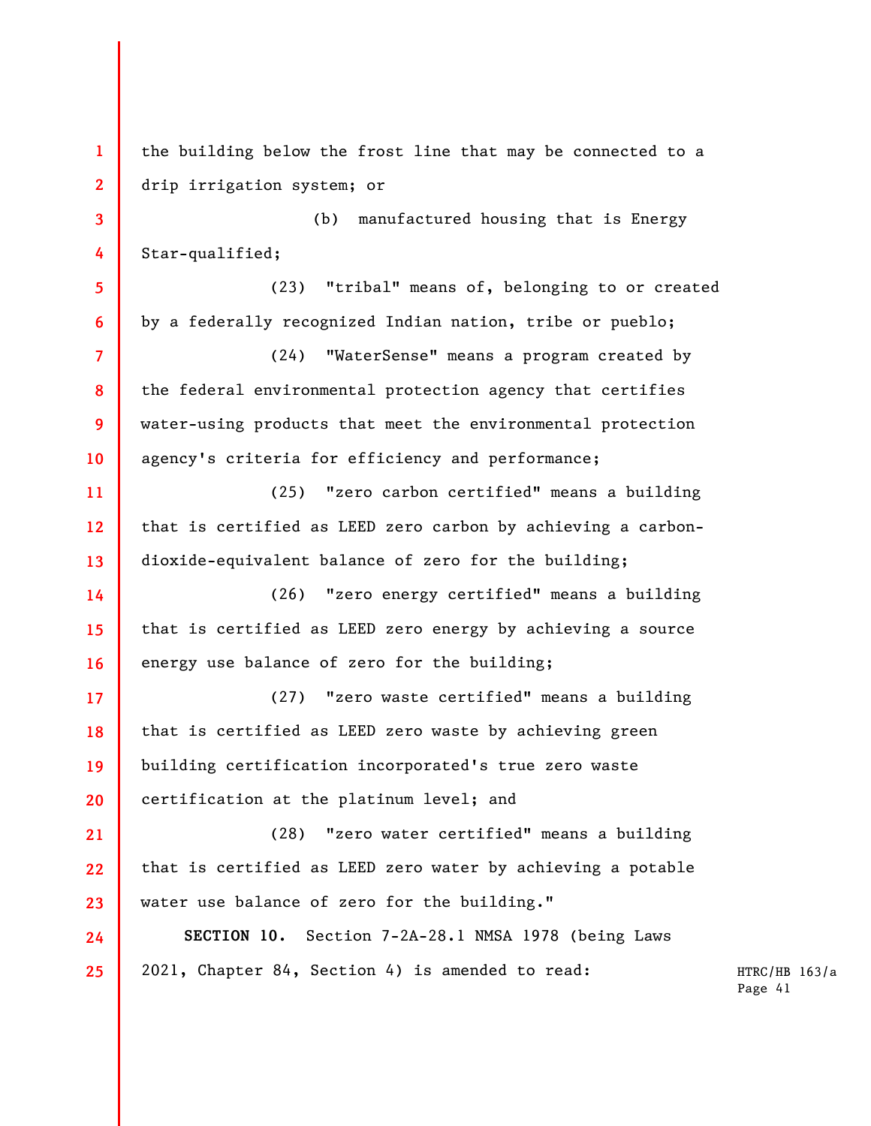**1 2 3 4 5 6 7 8 9 10 11 12 13 14 15 16 17 18 19 20 21 22 23 24 25**  the building below the frost line that may be connected to a drip irrigation system; or (b) manufactured housing that is Energy Star-qualified; (23) "tribal" means of, belonging to or created by a federally recognized Indian nation, tribe or pueblo; (24) "WaterSense" means a program created by the federal environmental protection agency that certifies water-using products that meet the environmental protection agency's criteria for efficiency and performance; (25) "zero carbon certified" means a building that is certified as LEED zero carbon by achieving a carbondioxide-equivalent balance of zero for the building; (26) "zero energy certified" means a building that is certified as LEED zero energy by achieving a source energy use balance of zero for the building; (27) "zero waste certified" means a building that is certified as LEED zero waste by achieving green building certification incorporated's true zero waste certification at the platinum level; and (28) "zero water certified" means a building that is certified as LEED zero water by achieving a potable water use balance of zero for the building." **SECTION 10.** Section 7-2A-28.1 NMSA 1978 (being Laws 2021, Chapter 84, Section 4) is amended to read: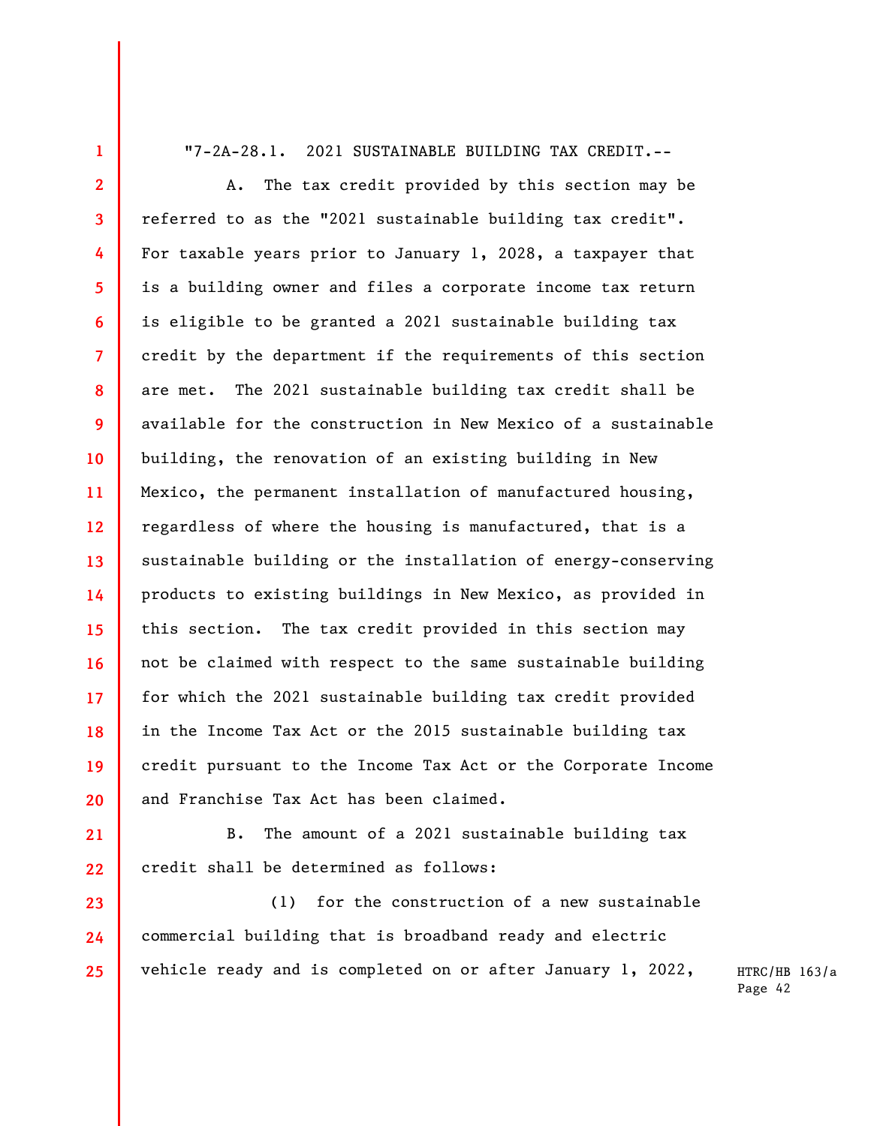"7-2A-28.1. 2021 SUSTAINABLE BUILDING TAX CREDIT.--

**1** 

**21** 

**22** 

**23** 

**24** 

**25** 

**2 3 4 5 6 7 8 9 10 11 12 13 14 15 16 17 18 19 20**  A. The tax credit provided by this section may be referred to as the "2021 sustainable building tax credit". For taxable years prior to January 1, 2028, a taxpayer that is a building owner and files a corporate income tax return is eligible to be granted a 2021 sustainable building tax credit by the department if the requirements of this section are met. The 2021 sustainable building tax credit shall be available for the construction in New Mexico of a sustainable building, the renovation of an existing building in New Mexico, the permanent installation of manufactured housing, regardless of where the housing is manufactured, that is a sustainable building or the installation of energy-conserving products to existing buildings in New Mexico, as provided in this section. The tax credit provided in this section may not be claimed with respect to the same sustainable building for which the 2021 sustainable building tax credit provided in the Income Tax Act or the 2015 sustainable building tax credit pursuant to the Income Tax Act or the Corporate Income and Franchise Tax Act has been claimed.

B. The amount of a 2021 sustainable building tax credit shall be determined as follows:

(1) for the construction of a new sustainable commercial building that is broadband ready and electric vehicle ready and is completed on or after January 1, 2022,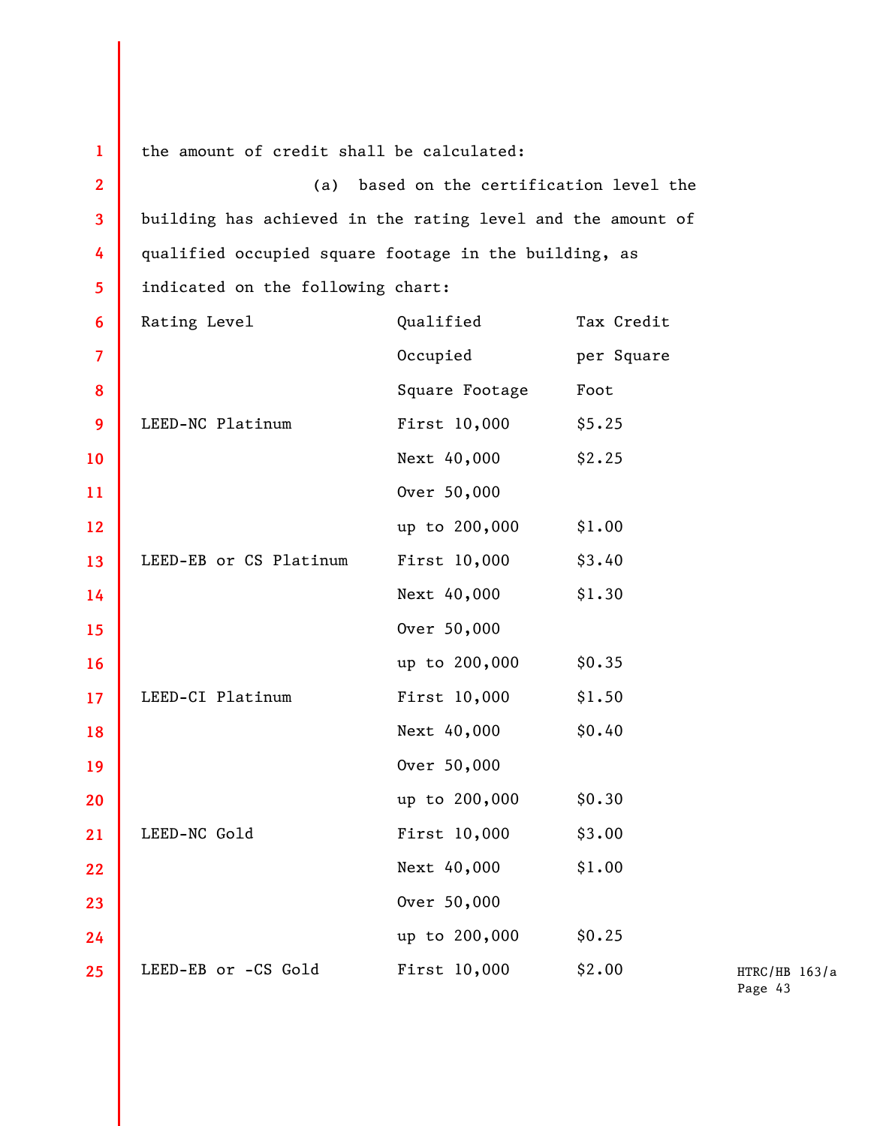| $\mathbf{1}$            | the amount of credit shall be calculated:                   |                |            |  |
|-------------------------|-------------------------------------------------------------|----------------|------------|--|
| $\overline{2}$          | (a) based on the certification level the                    |                |            |  |
| $\overline{\mathbf{3}}$ | building has achieved in the rating level and the amount of |                |            |  |
| 4                       | qualified occupied square footage in the building, as       |                |            |  |
| 5                       | indicated on the following chart:                           |                |            |  |
| 6                       | Rating Level                                                | Qualified      | Tax Credit |  |
| $\overline{\mathbf{7}}$ |                                                             | Occupied       | per Square |  |
| 8                       |                                                             | Square Footage | Foot       |  |
| 9                       | LEED-NC Platinum                                            | First 10,000   | \$5.25     |  |
| 10                      |                                                             | Next 40,000    | \$2.25     |  |
| 11                      |                                                             | Over 50,000    |            |  |
| 12                      |                                                             | up to 200,000  | \$1.00     |  |
| 13                      | LEED-EB or CS Platinum                                      | First 10,000   | \$3.40     |  |
| 14                      |                                                             | Next 40,000    | \$1.30     |  |
| 15                      |                                                             | Over 50,000    |            |  |
| 16                      |                                                             | up to 200,000  | \$0.35     |  |
| 17                      | LEED-CI Platinum                                            | First 10,000   | \$1.50     |  |
| 18                      |                                                             | Next 40,000    | \$0.40     |  |
| 19                      |                                                             | Over 50,000    |            |  |
| 20                      |                                                             | up to 200,000  | \$0.30     |  |
| 21                      | LEED-NC Gold                                                | First 10,000   | \$3.00     |  |
| 22                      |                                                             | Next 40,000    | \$1.00     |  |
| 23                      |                                                             | Over 50,000    |            |  |
| 24                      |                                                             | up to 200,000  | \$0.25     |  |
| 25                      | LEED-EB or -CS Gold                                         | First 10,000   | \$2.00     |  |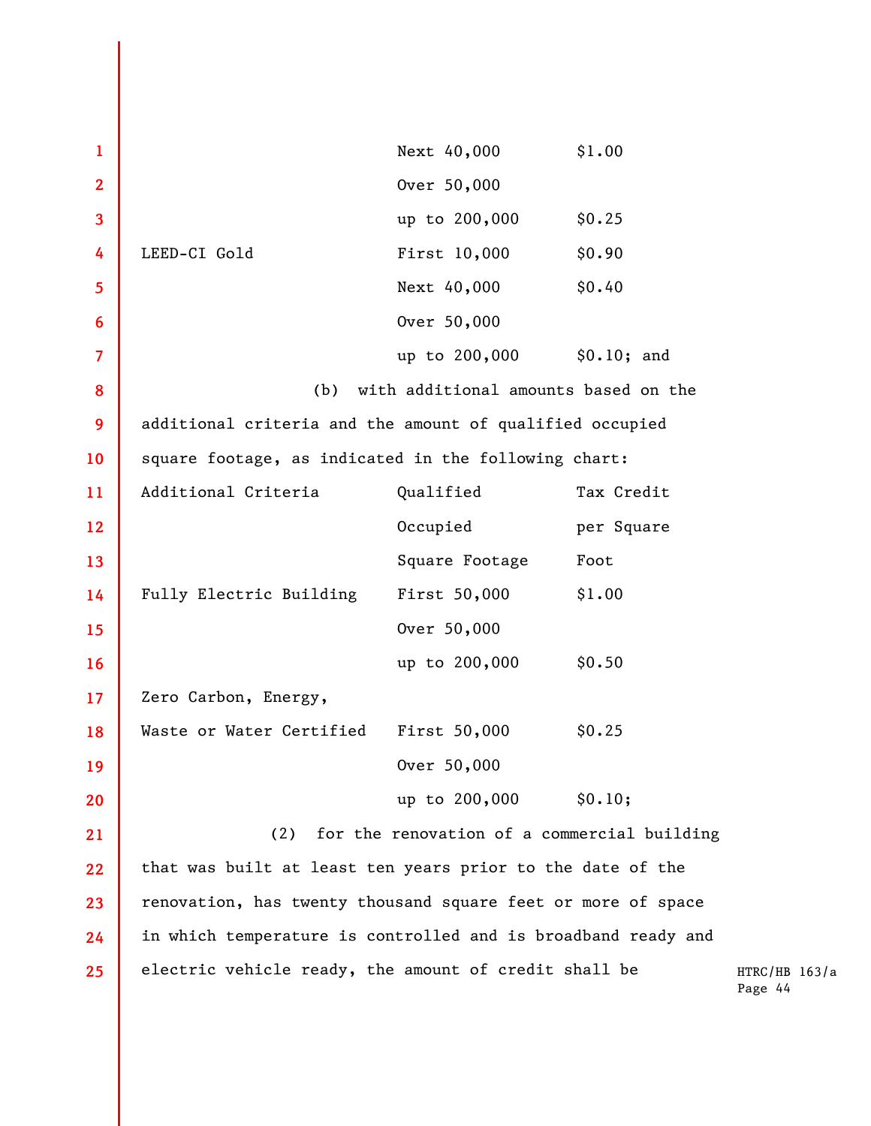| $\mathbf{1}$ |                                                               | Next 40,000                                 | \$1.00      |
|--------------|---------------------------------------------------------------|---------------------------------------------|-------------|
| $\mathbf{2}$ |                                                               | Over 50,000                                 |             |
| 3            |                                                               | up to 200,000                               | \$0.25      |
| 4            | LEED-CI Gold                                                  | First 10,000                                | \$0.90      |
| 5            |                                                               | Next 40,000                                 | \$0.40      |
| 6            |                                                               | Over 50,000                                 |             |
| 7            |                                                               | up to 200,000                               | \$0.10; and |
| 8            | (b)                                                           | with additional amounts based on the        |             |
| 9            | additional criteria and the amount of qualified occupied      |                                             |             |
| 10           | square footage, as indicated in the following chart:          |                                             |             |
| 11           | Additional Criteria                                           | Qualified                                   | Tax Credit  |
| 12           |                                                               | Occupied                                    | per Square  |
| 13           |                                                               | Square Footage                              | Foot        |
| 14           | Fully Electric Building                                       | First 50,000                                | \$1.00      |
| 15           |                                                               | Over 50,000                                 |             |
| 16           |                                                               | up to 200,000                               | \$0.50      |
| 17           | Zero Carbon, Energy,                                          |                                             |             |
| 18           | Waste or Water Certified                                      | First 50,000                                | \$0.25      |
| 19           |                                                               | Over 50,000                                 |             |
| 20           |                                                               | up to 200,000 \$0.10;                       |             |
| 21           | (2)                                                           | for the renovation of a commercial building |             |
| 22           | that was built at least ten years prior to the date of the    |                                             |             |
| 23           | renovation, has twenty thousand square feet or more of space  |                                             |             |
| 24           | in which temperature is controlled and is broadband ready and |                                             |             |
| 25           | electric vehicle ready, the amount of credit shall be         |                                             |             |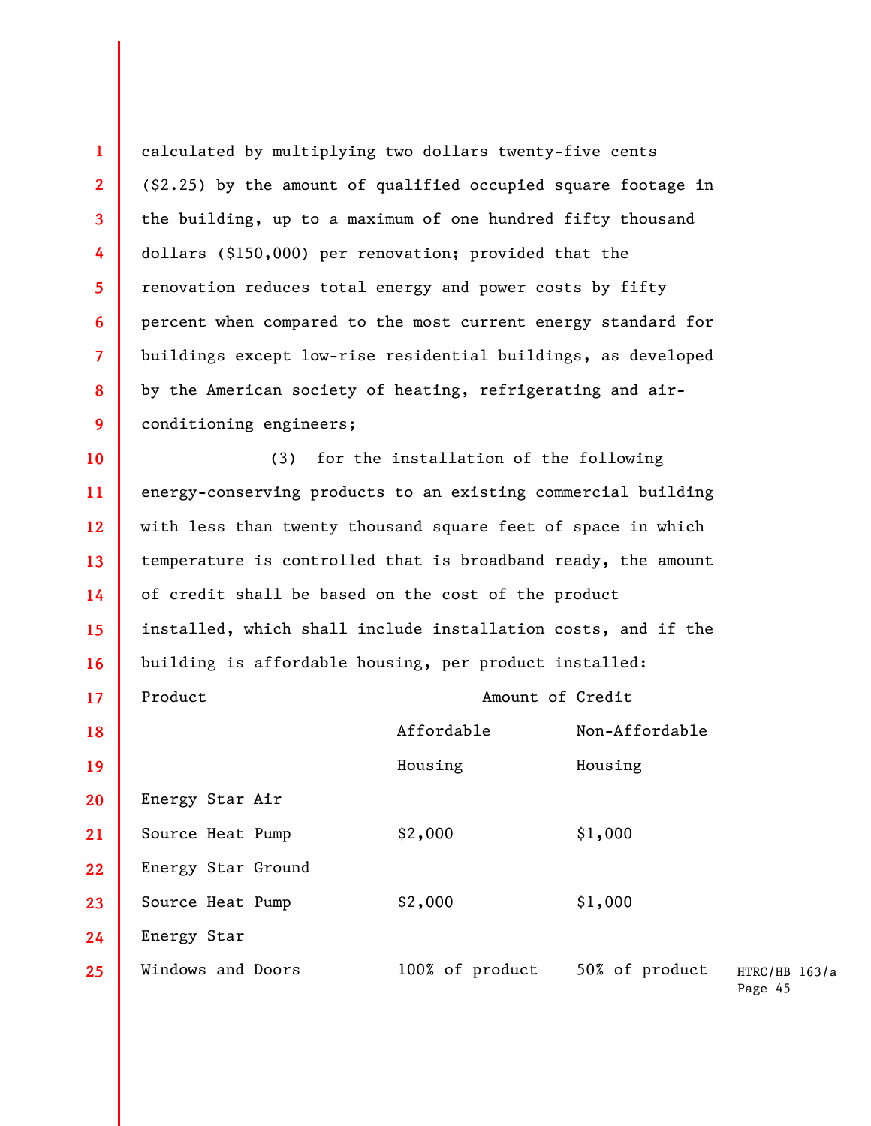**1 2 3 4 5 6 7 8 9 10 11 12 13**  calculated by multiplying two dollars twenty-five cents (\$2.25) by the amount of qualified occupied square footage in the building, up to a maximum of one hundred fifty thousand dollars (\$150,000) per renovation; provided that the renovation reduces total energy and power costs by fifty percent when compared to the most current energy standard for buildings except low-rise residential buildings, as developed by the American society of heating, refrigerating and airconditioning engineers; (3) for the installation of the following energy-conserving products to an existing commercial building with less than twenty thousand square feet of space in which temperature is controlled that is broadband ready, the amount

**14 15 16 17**  of credit shall be based on the cost of the product installed, which shall include installation costs, and if the building is affordable housing, per product installed: Product Amount of Credit

HTRC/HB 163/a Page 45 **18 19 20 21 22 23 24 25**  Affordable Non-Affordable Housing Housing Energy Star Air Source Heat Pump  $$2,000$   $$1,000$ Energy Star Ground Source Heat Pump  $$2,000$   $$1,000$ Energy Star Windows and Doors 100% of product 50% of product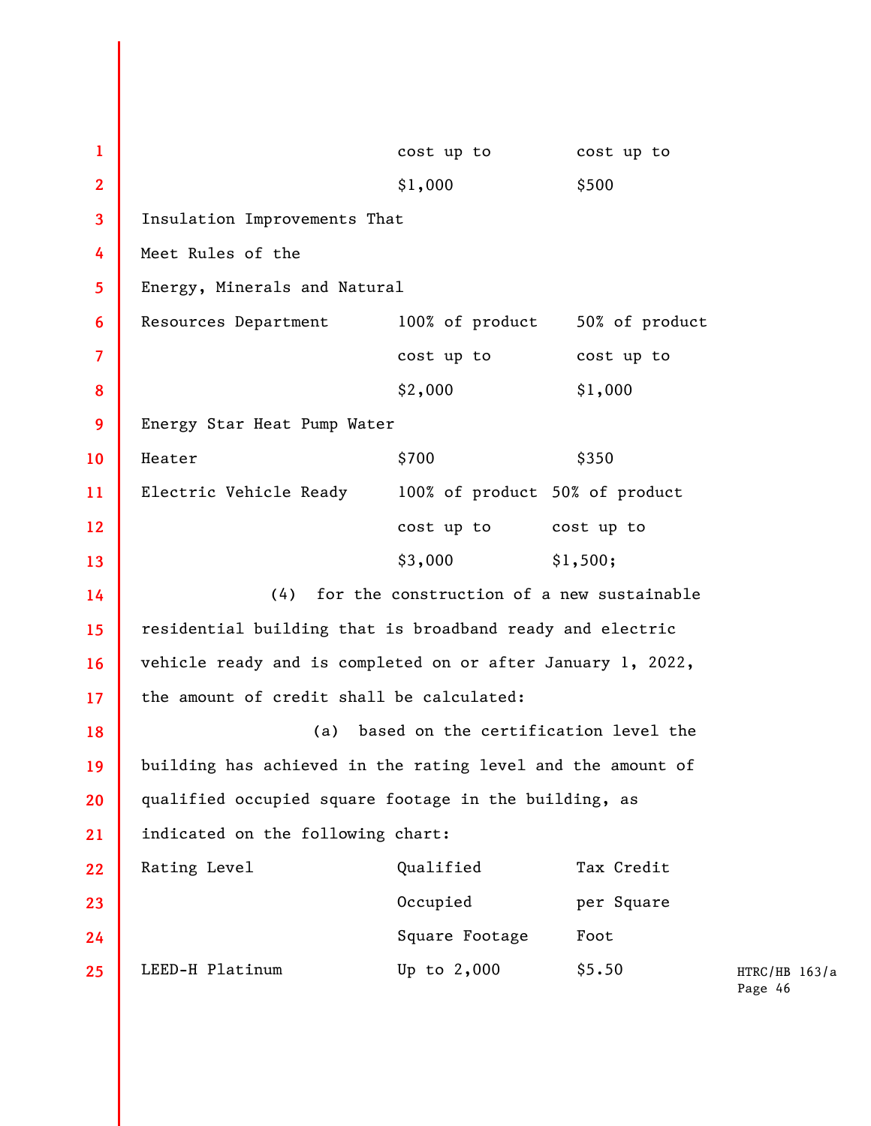| 1              |                                                             | cost up to     | cost up to |
|----------------|-------------------------------------------------------------|----------------|------------|
| $\overline{2}$ |                                                             | \$1,000        | \$500      |
| 3              | Insulation Improvements That                                |                |            |
| 4              | Meet Rules of the                                           |                |            |
| 5              | Energy, Minerals and Natural                                |                |            |
| 6              | Resources Department 100% of product 50% of product         |                |            |
| 7              |                                                             | cost up to     | cost up to |
| 8              |                                                             | \$2,000        | \$1,000    |
| 9              | Energy Star Heat Pump Water                                 |                |            |
| <b>10</b>      | Heater                                                      | \$700          | \$350      |
| 11             | Electric Vehicle Ready 100% of product 50% of product       |                |            |
| 12             | cost up to cost up to                                       |                |            |
| 13             |                                                             | \$3,000        | \$1,500;   |
| 14             | (4) for the construction of a new sustainable               |                |            |
| 15             | residential building that is broadband ready and electric   |                |            |
| 16             | vehicle ready and is completed on or after January 1, 2022, |                |            |
| 17             | the amount of credit shall be calculated:                   |                |            |
| 18             | based on the certification level the<br>(a)                 |                |            |
| 19             | building has achieved in the rating level and the amount of |                |            |
| 20             | qualified occupied square footage in the building, as       |                |            |
| 21             | indicated on the following chart:                           |                |            |
| 22             | Rating Level                                                | Qualified      | Tax Credit |
| 23             |                                                             | Occupied       | per Square |
| 24             |                                                             | Square Footage | Foot       |
| 25             | LEED-H Platinum                                             | Up to $2,000$  | \$5.50     |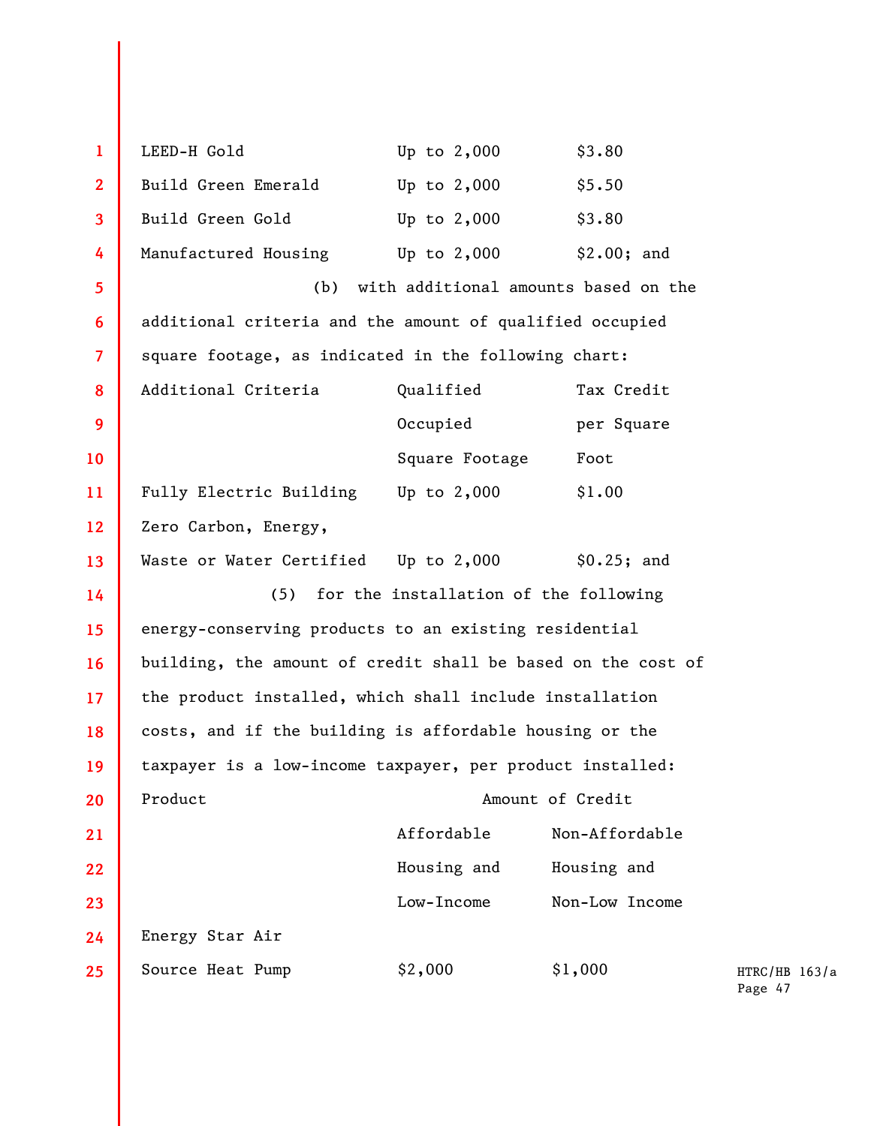| $\mathbf{1}$   | LEED-H Gold                                                  | Up to $2,000$                         | \$3.80           |          |
|----------------|--------------------------------------------------------------|---------------------------------------|------------------|----------|
| $\overline{2}$ | Build Green Emerald                                          | Up to 2,000                           | \$5.50           |          |
| 3              | Build Green Gold                                             | Up to $2,000$                         | \$3.80           |          |
| 4              | Manufactured Housing                                         | Up to $2,000$                         | \$2.00; and      |          |
| 5              | with additional amounts based on the<br>(b)                  |                                       |                  |          |
| 6              | additional criteria and the amount of qualified occupied     |                                       |                  |          |
| $\overline{7}$ | square footage, as indicated in the following chart:         |                                       |                  |          |
| 8              | Additional Criteria                                          | Qualified                             | Tax Credit       |          |
| 9              |                                                              | Occupied                              | per Square       |          |
| 10             |                                                              | Square Footage                        | Foot             |          |
| 11             | Fully Electric Building Up to 2,000                          |                                       | \$1.00           |          |
| 12             | Zero Carbon, Energy,                                         |                                       |                  |          |
| 13             | Waste or Water Certified Up to 2,000                         |                                       | \$0.25; and      |          |
| 14             | (5)                                                          | for the installation of the following |                  |          |
| 15             | energy-conserving products to an existing residential        |                                       |                  |          |
| 16             | building, the amount of credit shall be based on the cost of |                                       |                  |          |
| 17             | the product installed, which shall include installation      |                                       |                  |          |
| 18             | costs, and if the building is affordable housing or the      |                                       |                  |          |
| 19             | taxpayer is a low-income taxpayer, per product installed:    |                                       |                  |          |
| 20             | Product                                                      |                                       | Amount of Credit |          |
| 21             |                                                              | Affordable                            | Non-Affordable   |          |
| 22             |                                                              | Housing and                           | Housing and      |          |
| 23             |                                                              | Low-Income                            | Non-Low Income   |          |
| 24             | Energy Star Air                                              |                                       |                  |          |
| 25             | Source Heat Pump                                             | \$2,000                               | \$1,000          | HT<br>Pa |
|                |                                                              |                                       |                  |          |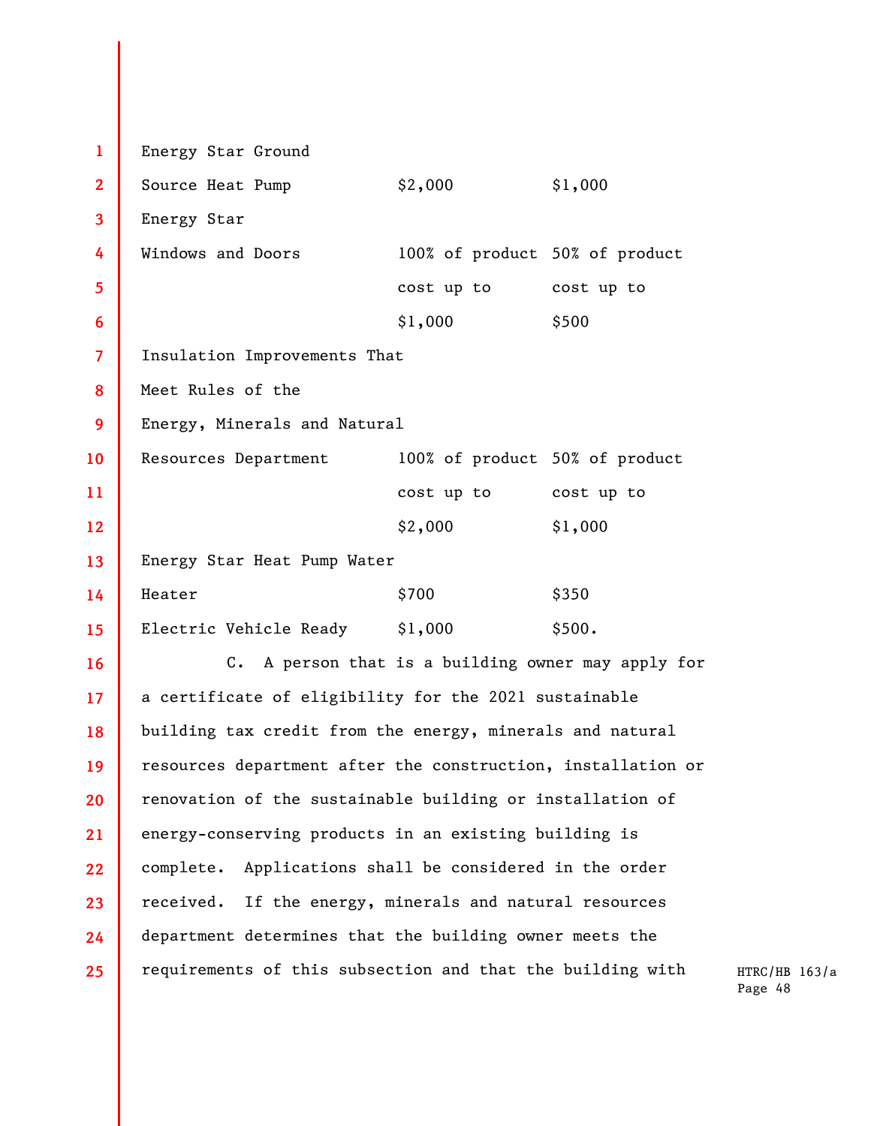**1 2 3 4 5 6 7 8 9 10 11 12 13 14 15 16 17 18 19 20 21 22 23 24 25**  Energy Star Ground Source Heat Pump  $$2,000$   $$1,000$ Energy Star Windows and Doors 100% of product 50% of product cost up to cost up to \$1,000 \$500 Insulation Improvements That Meet Rules of the Energy, Minerals and Natural Resources Department 100% of product 50% of product cost up to cost up to \$2,000 \$1,000 Energy Star Heat Pump Water  $\text{Heater}$   $\text{\$700}$   $\text{\$350}$ Electric Vehicle Ready \$1,000 \$500. C. A person that is a building owner may apply for a certificate of eligibility for the 2021 sustainable building tax credit from the energy, minerals and natural resources department after the construction, installation or renovation of the sustainable building or installation of energy-conserving products in an existing building is complete. Applications shall be considered in the order received. If the energy, minerals and natural resources department determines that the building owner meets the requirements of this subsection and that the building with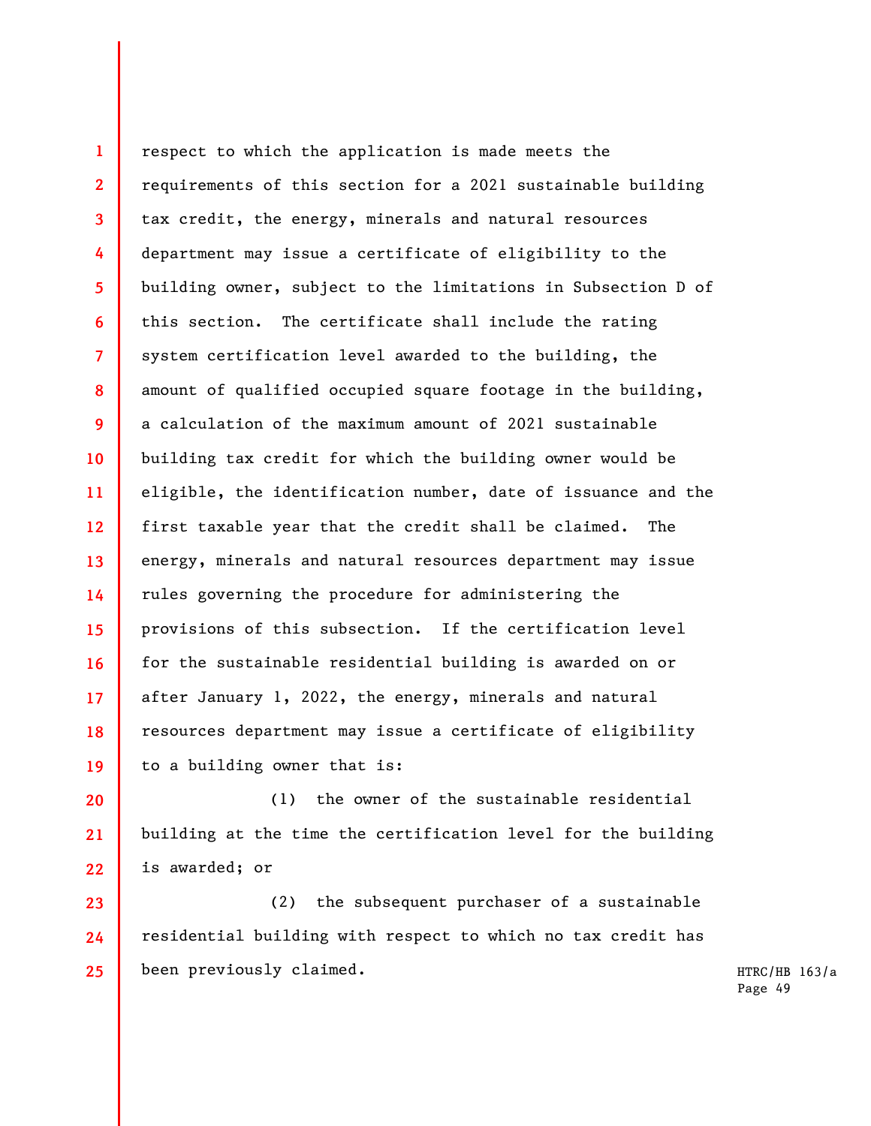**1 2 3 4 5 6 7 8 9 10 11 12 13 14 15 16 17 18 19**  respect to which the application is made meets the requirements of this section for a 2021 sustainable building tax credit, the energy, minerals and natural resources department may issue a certificate of eligibility to the building owner, subject to the limitations in Subsection D of this section. The certificate shall include the rating system certification level awarded to the building, the amount of qualified occupied square footage in the building, a calculation of the maximum amount of 2021 sustainable building tax credit for which the building owner would be eligible, the identification number, date of issuance and the first taxable year that the credit shall be claimed. The energy, minerals and natural resources department may issue rules governing the procedure for administering the provisions of this subsection. If the certification level for the sustainable residential building is awarded on or after January 1, 2022, the energy, minerals and natural resources department may issue a certificate of eligibility to a building owner that is:

**20 21 22**  (1) the owner of the sustainable residential building at the time the certification level for the building is awarded; or

**23 24 25**  (2) the subsequent purchaser of a sustainable residential building with respect to which no tax credit has been previously claimed.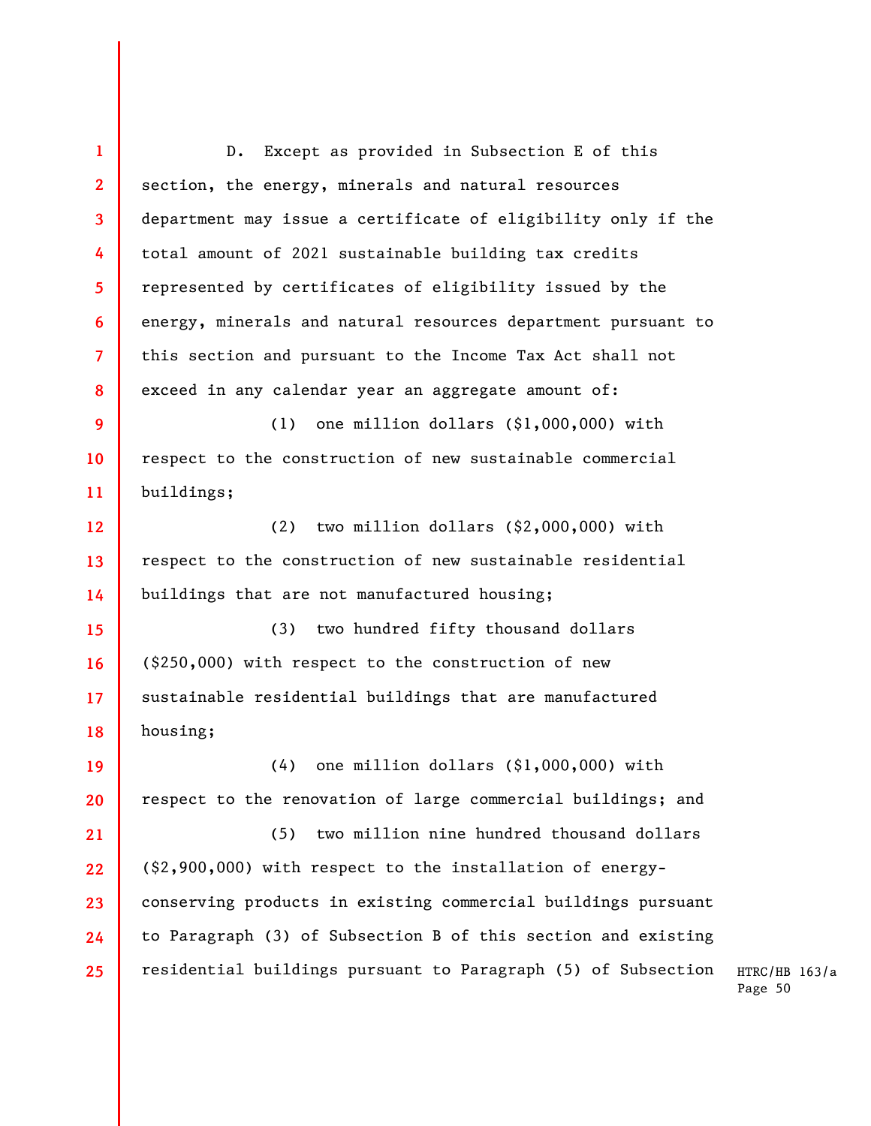**1 2 3 4 5 6 7 8 9 10 11 12 13 14 15 16 17 18 19 20 21 22 23 24 25**  D. Except as provided in Subsection E of this section, the energy, minerals and natural resources department may issue a certificate of eligibility only if the total amount of 2021 sustainable building tax credits represented by certificates of eligibility issued by the energy, minerals and natural resources department pursuant to this section and pursuant to the Income Tax Act shall not exceed in any calendar year an aggregate amount of: (1) one million dollars (\$1,000,000) with respect to the construction of new sustainable commercial buildings; (2) two million dollars (\$2,000,000) with respect to the construction of new sustainable residential buildings that are not manufactured housing; (3) two hundred fifty thousand dollars (\$250,000) with respect to the construction of new sustainable residential buildings that are manufactured housing; (4) one million dollars (\$1,000,000) with respect to the renovation of large commercial buildings; and (5) two million nine hundred thousand dollars (\$2,900,000) with respect to the installation of energyconserving products in existing commercial buildings pursuant to Paragraph (3) of Subsection B of this section and existing residential buildings pursuant to Paragraph (5) of Subsection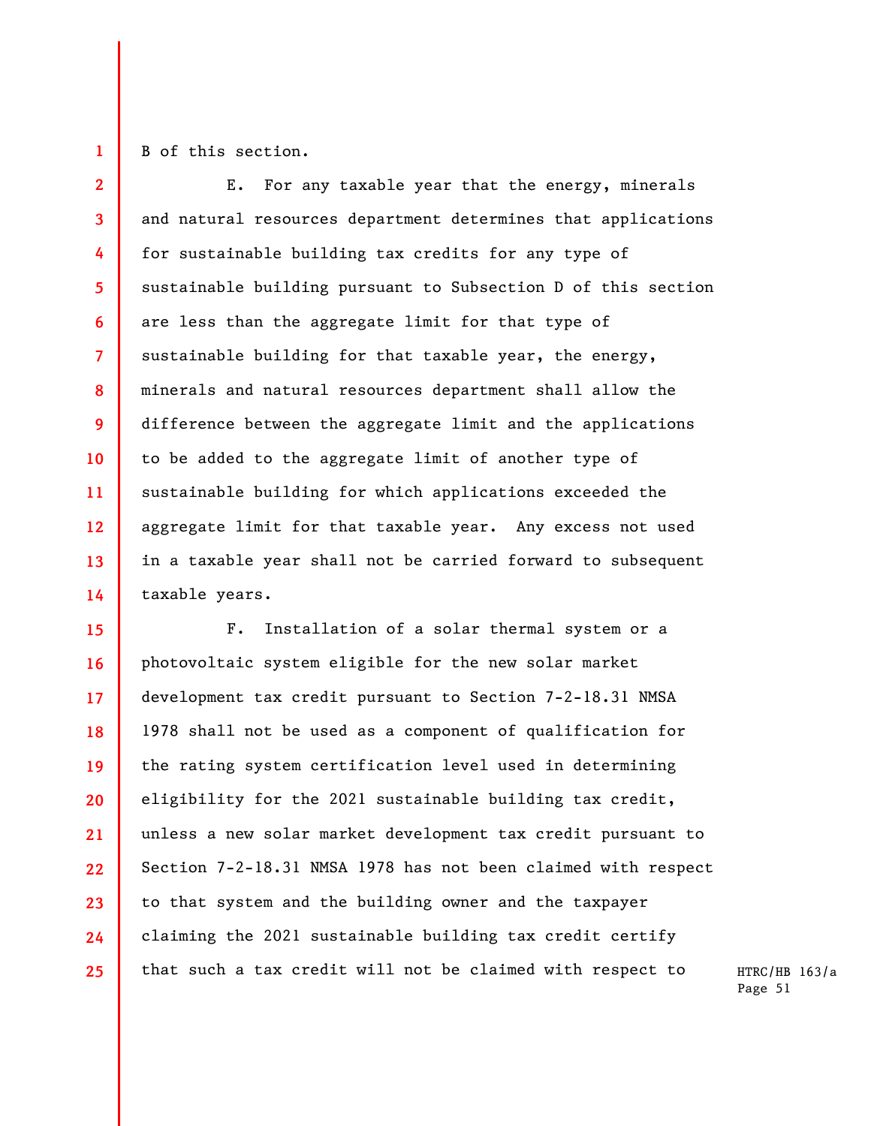**1** 

B of this section.

**2 3 4 5 6 7 8 9 10 11 12 13 14**  E. For any taxable year that the energy, minerals and natural resources department determines that applications for sustainable building tax credits for any type of sustainable building pursuant to Subsection D of this section are less than the aggregate limit for that type of sustainable building for that taxable year, the energy, minerals and natural resources department shall allow the difference between the aggregate limit and the applications to be added to the aggregate limit of another type of sustainable building for which applications exceeded the aggregate limit for that taxable year. Any excess not used in a taxable year shall not be carried forward to subsequent taxable years.

**15 16 17 18 19 20 21 22 23 24 25**  F. Installation of a solar thermal system or a photovoltaic system eligible for the new solar market development tax credit pursuant to Section 7-2-18.31 NMSA 1978 shall not be used as a component of qualification for the rating system certification level used in determining eligibility for the 2021 sustainable building tax credit, unless a new solar market development tax credit pursuant to Section 7-2-18.31 NMSA 1978 has not been claimed with respect to that system and the building owner and the taxpayer claiming the 2021 sustainable building tax credit certify that such a tax credit will not be claimed with respect to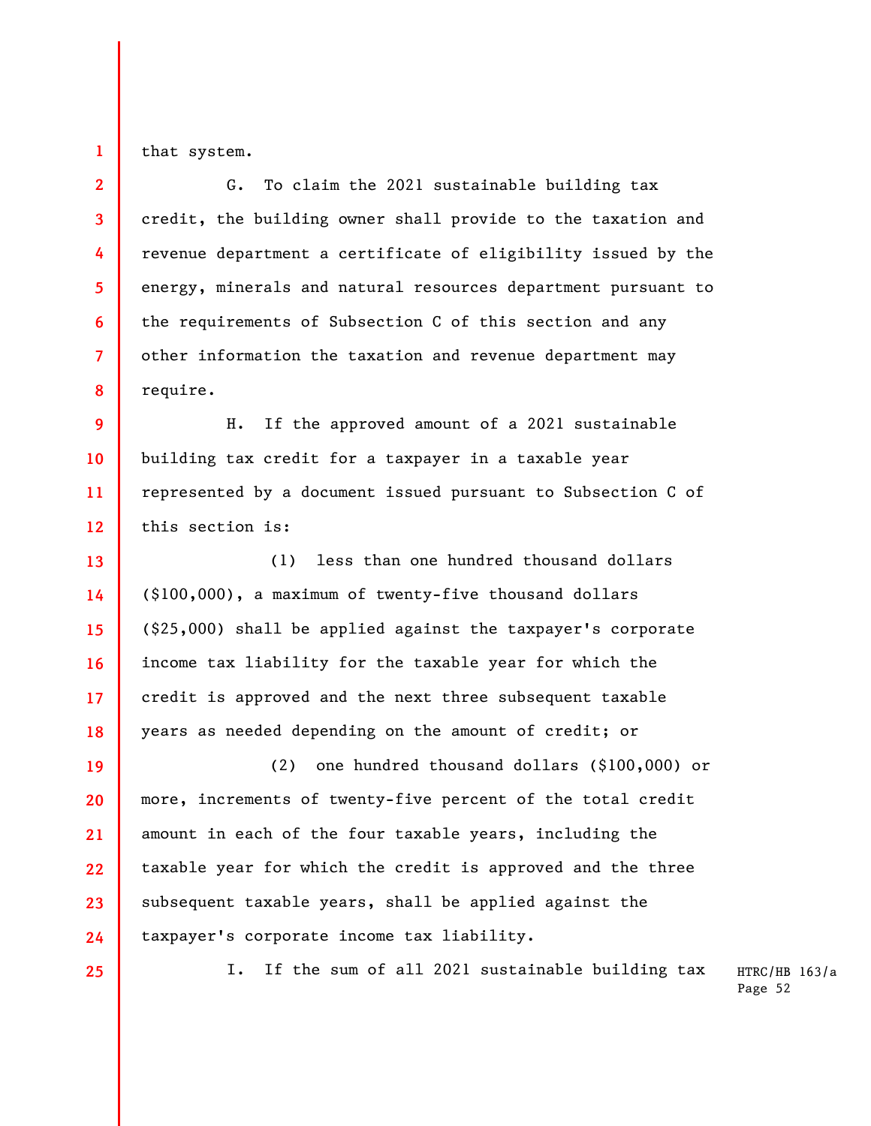that system.

**1** 

**2 3 4 5 6 7 8**  G. To claim the 2021 sustainable building tax credit, the building owner shall provide to the taxation and revenue department a certificate of eligibility issued by the energy, minerals and natural resources department pursuant to the requirements of Subsection C of this section and any other information the taxation and revenue department may require.

**9 10 11 12**  H. If the approved amount of a 2021 sustainable building tax credit for a taxpayer in a taxable year represented by a document issued pursuant to Subsection C of this section is:

**13 14 15 16 17 18**  (1) less than one hundred thousand dollars (\$100,000), a maximum of twenty-five thousand dollars (\$25,000) shall be applied against the taxpayer's corporate income tax liability for the taxable year for which the credit is approved and the next three subsequent taxable years as needed depending on the amount of credit; or

**19 20 21 22 23 24**  (2) one hundred thousand dollars (\$100,000) or more, increments of twenty-five percent of the total credit amount in each of the four taxable years, including the taxable year for which the credit is approved and the three subsequent taxable years, shall be applied against the taxpayer's corporate income tax liability.

**25** 

I. If the sum of all 2021 sustainable building tax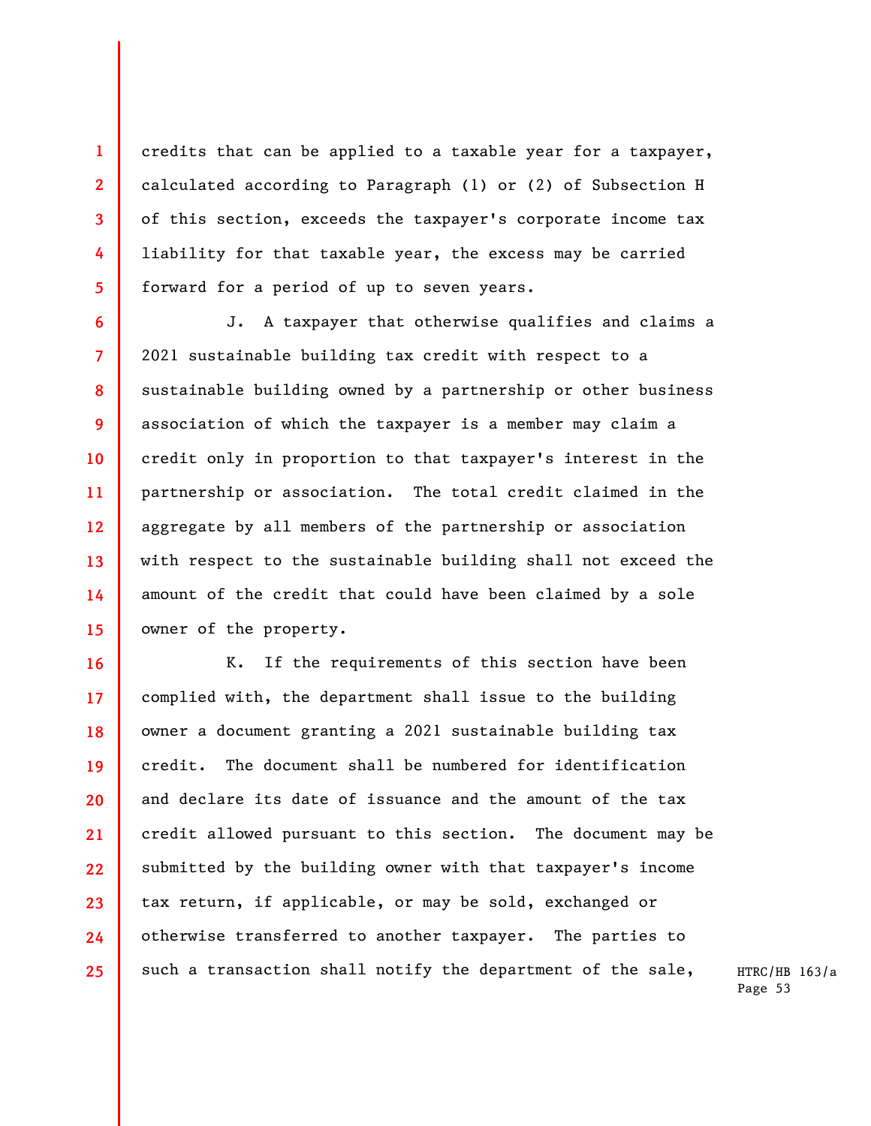credits that can be applied to a taxable year for a taxpayer, calculated according to Paragraph (1) or (2) of Subsection H of this section, exceeds the taxpayer's corporate income tax liability for that taxable year, the excess may be carried forward for a period of up to seven years.

**1** 

**2** 

**3** 

**4** 

**5** 

**6** 

**7** 

**8** 

**9** 

**10** 

**11** 

**12** 

**13** 

**14** 

**15** 

J. A taxpayer that otherwise qualifies and claims a 2021 sustainable building tax credit with respect to a sustainable building owned by a partnership or other business association of which the taxpayer is a member may claim a credit only in proportion to that taxpayer's interest in the partnership or association. The total credit claimed in the aggregate by all members of the partnership or association with respect to the sustainable building shall not exceed the amount of the credit that could have been claimed by a sole owner of the property.

**16 17 18 19 20 21 22 23 24 25**  K. If the requirements of this section have been complied with, the department shall issue to the building owner a document granting a 2021 sustainable building tax credit. The document shall be numbered for identification and declare its date of issuance and the amount of the tax credit allowed pursuant to this section. The document may be submitted by the building owner with that taxpayer's income tax return, if applicable, or may be sold, exchanged or otherwise transferred to another taxpayer. The parties to such a transaction shall notify the department of the sale,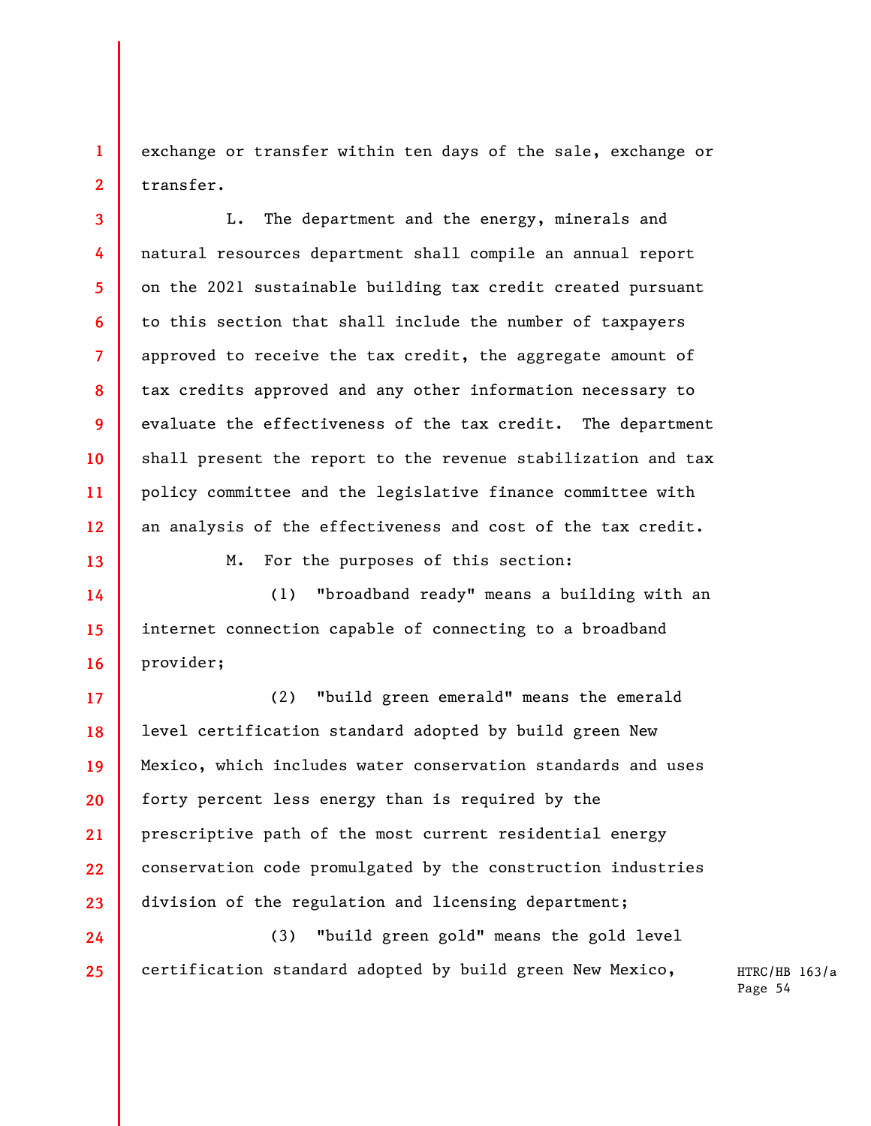exchange or transfer within ten days of the sale, exchange or transfer.

**1** 

**2** 

**3** 

**4** 

**5** 

**6** 

**7** 

**8** 

**9** 

**10** 

**11** 

**12** 

**13** 

**14** 

**15** 

**16** 

**24** 

**25** 

L. The department and the energy, minerals and natural resources department shall compile an annual report on the 2021 sustainable building tax credit created pursuant to this section that shall include the number of taxpayers approved to receive the tax credit, the aggregate amount of tax credits approved and any other information necessary to evaluate the effectiveness of the tax credit. The department shall present the report to the revenue stabilization and tax policy committee and the legislative finance committee with an analysis of the effectiveness and cost of the tax credit.

M. For the purposes of this section:

(1) "broadband ready" means a building with an internet connection capable of connecting to a broadband provider;

**17 18 19 20 21 22 23**  (2) "build green emerald" means the emerald level certification standard adopted by build green New Mexico, which includes water conservation standards and uses forty percent less energy than is required by the prescriptive path of the most current residential energy conservation code promulgated by the construction industries division of the regulation and licensing department;

(3) "build green gold" means the gold level certification standard adopted by build green New Mexico,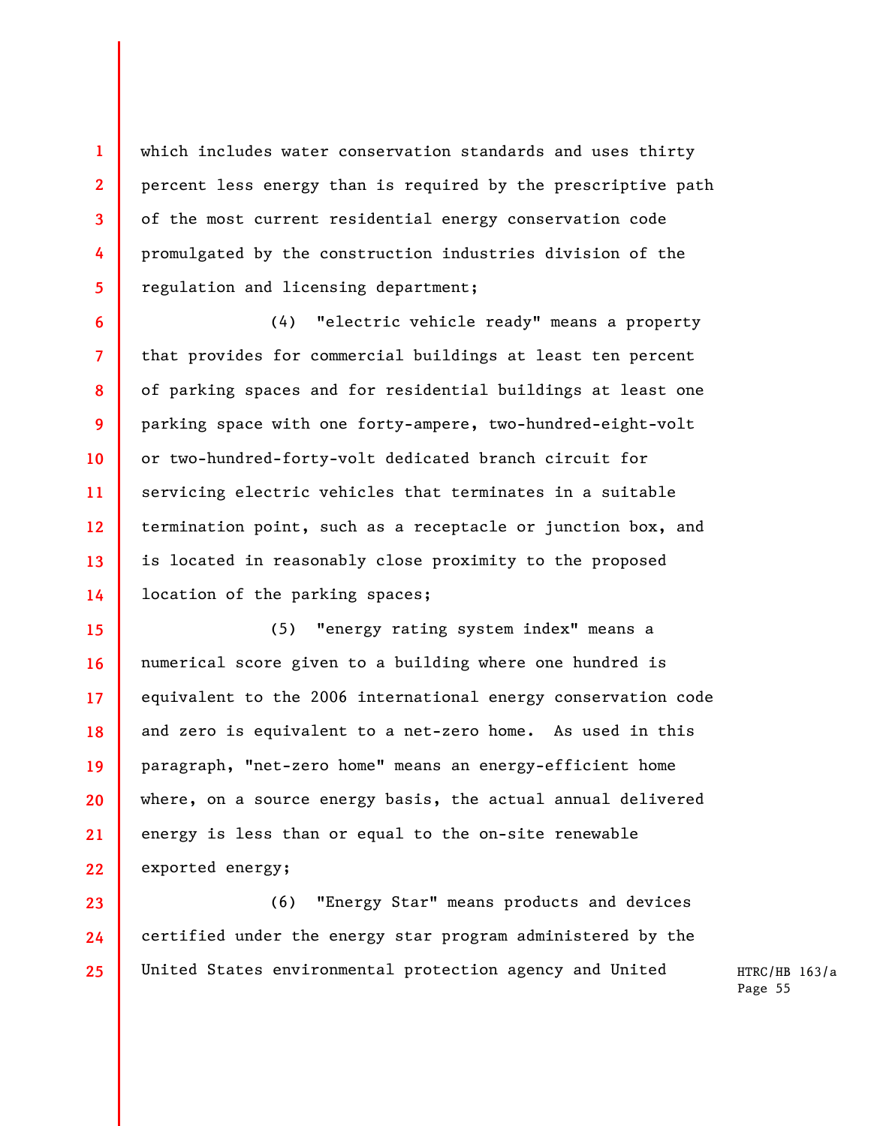which includes water conservation standards and uses thirty percent less energy than is required by the prescriptive path of the most current residential energy conservation code promulgated by the construction industries division of the regulation and licensing department;

**1** 

**2** 

**3** 

**4** 

**5** 

**6** 

**7** 

**8** 

**9** 

**10** 

**11** 

**12** 

**13** 

**14** 

(4) "electric vehicle ready" means a property that provides for commercial buildings at least ten percent of parking spaces and for residential buildings at least one parking space with one forty-ampere, two-hundred-eight-volt or two-hundred-forty-volt dedicated branch circuit for servicing electric vehicles that terminates in a suitable termination point, such as a receptacle or junction box, and is located in reasonably close proximity to the proposed location of the parking spaces;

**15 16 17 18 19 20 21 22**  (5) "energy rating system index" means a numerical score given to a building where one hundred is equivalent to the 2006 international energy conservation code and zero is equivalent to a net-zero home. As used in this paragraph, "net-zero home" means an energy-efficient home where, on a source energy basis, the actual annual delivered energy is less than or equal to the on-site renewable exported energy;

**23 24 25**  (6) "Energy Star" means products and devices certified under the energy star program administered by the United States environmental protection agency and United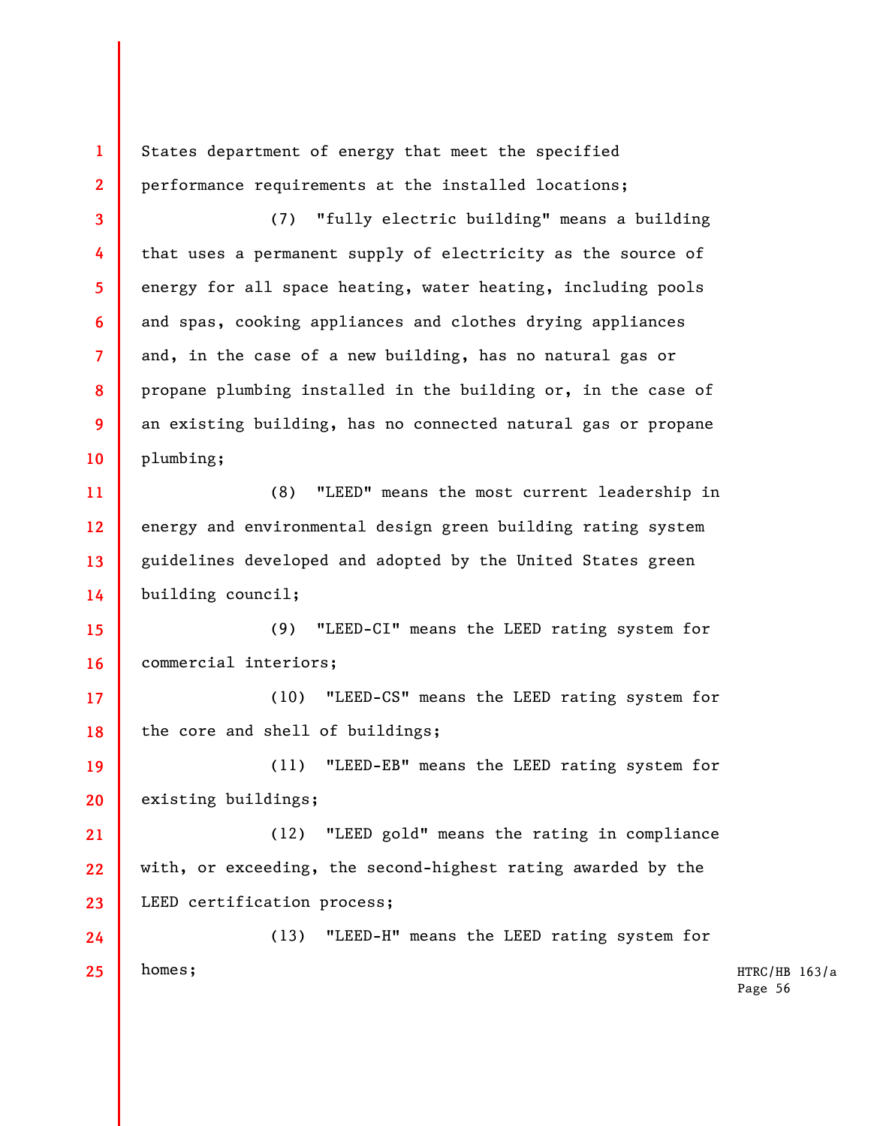**1 2 3 4 5 6 7 8 9 10 11 12 13 14 15 16 17 18 19 20 21 22 23 24 25**  States department of energy that meet the specified performance requirements at the installed locations; (7) "fully electric building" means a building that uses a permanent supply of electricity as the source of energy for all space heating, water heating, including pools and spas, cooking appliances and clothes drying appliances and, in the case of a new building, has no natural gas or propane plumbing installed in the building or, in the case of an existing building, has no connected natural gas or propane plumbing; (8) "LEED" means the most current leadership in energy and environmental design green building rating system guidelines developed and adopted by the United States green building council; (9) "LEED-CI" means the LEED rating system for commercial interiors; (10) "LEED-CS" means the LEED rating system for the core and shell of buildings; (11) "LEED-EB" means the LEED rating system for existing buildings; (12) "LEED gold" means the rating in compliance with, or exceeding, the second-highest rating awarded by the LEED certification process; (13) "LEED-H" means the LEED rating system for homes;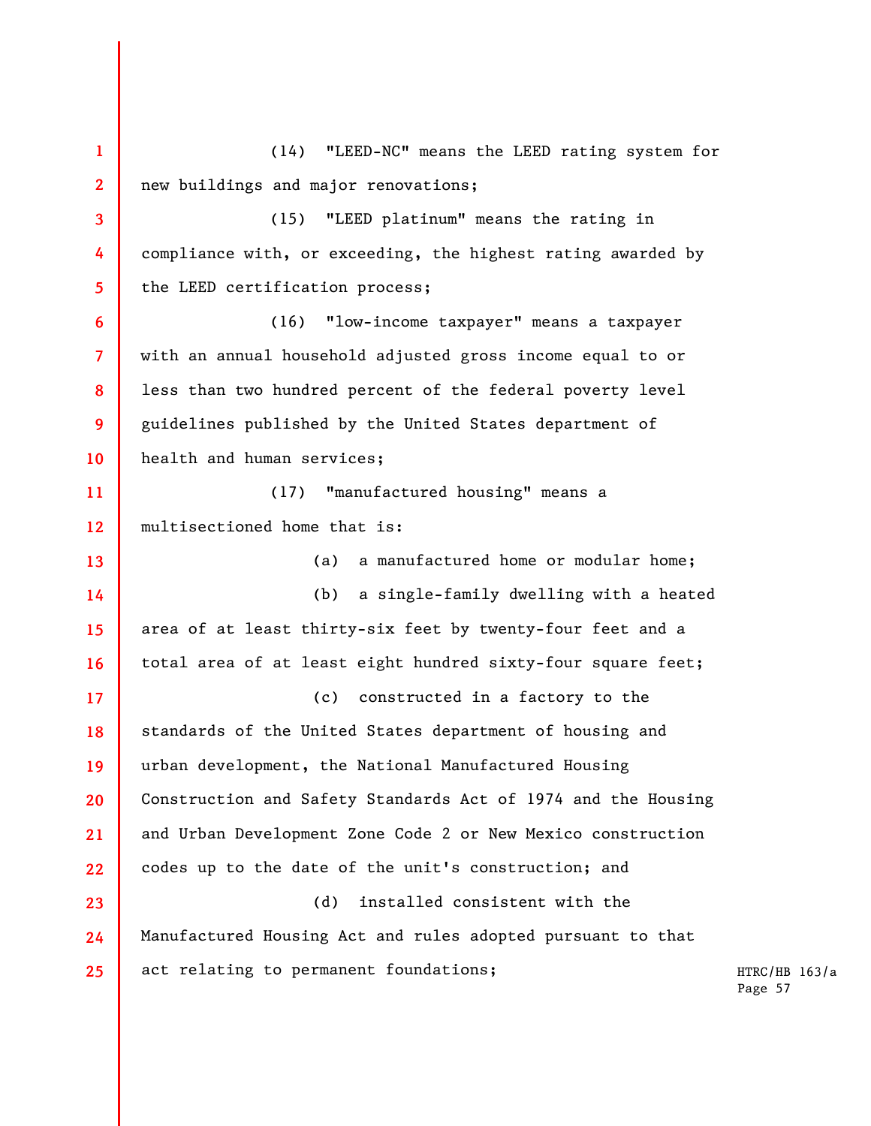HTRC/HB 163/a Page 57 **1 2 3 4 5 6 7 8 9 10 11 12 13 14 15 16 17 18 19 20 21 22 23 24 25**  (14) "LEED-NC" means the LEED rating system for new buildings and major renovations; (15) "LEED platinum" means the rating in compliance with, or exceeding, the highest rating awarded by the LEED certification process; (16) "low-income taxpayer" means a taxpayer with an annual household adjusted gross income equal to or less than two hundred percent of the federal poverty level guidelines published by the United States department of health and human services; (17) "manufactured housing" means a multisectioned home that is: (a) a manufactured home or modular home; (b) a single-family dwelling with a heated area of at least thirty-six feet by twenty-four feet and a total area of at least eight hundred sixty-four square feet; (c) constructed in a factory to the standards of the United States department of housing and urban development, the National Manufactured Housing Construction and Safety Standards Act of 1974 and the Housing and Urban Development Zone Code 2 or New Mexico construction codes up to the date of the unit's construction; and (d) installed consistent with the Manufactured Housing Act and rules adopted pursuant to that act relating to permanent foundations;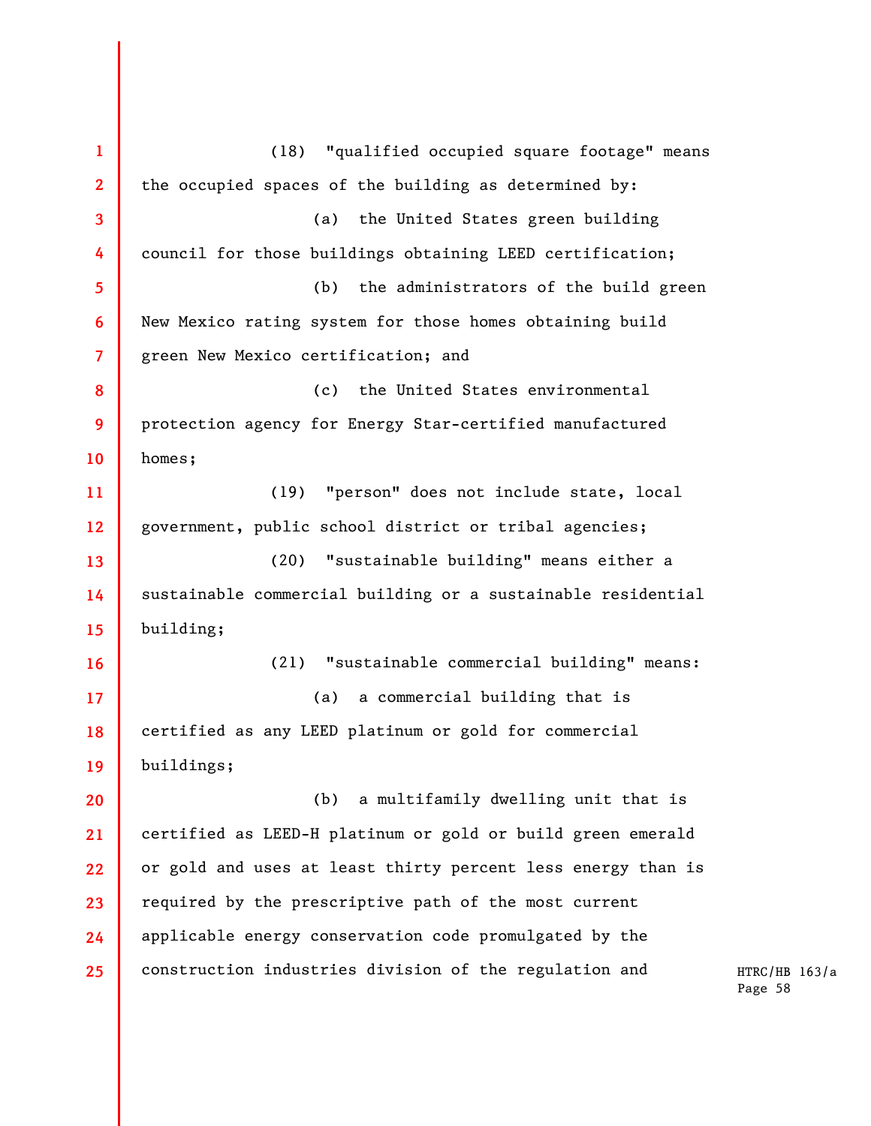**1 2 3 4 5 6 7 8 9 10 11 12 13 14 15 16 17 18 19 20 21 22 23 24 25**  (18) "qualified occupied square footage" means the occupied spaces of the building as determined by: (a) the United States green building council for those buildings obtaining LEED certification; (b) the administrators of the build green New Mexico rating system for those homes obtaining build green New Mexico certification; and (c) the United States environmental protection agency for Energy Star-certified manufactured homes; (19) "person" does not include state, local government, public school district or tribal agencies; (20) "sustainable building" means either a sustainable commercial building or a sustainable residential building; (21) "sustainable commercial building" means: (a) a commercial building that is certified as any LEED platinum or gold for commercial buildings; (b) a multifamily dwelling unit that is certified as LEED-H platinum or gold or build green emerald or gold and uses at least thirty percent less energy than is required by the prescriptive path of the most current applicable energy conservation code promulgated by the construction industries division of the regulation and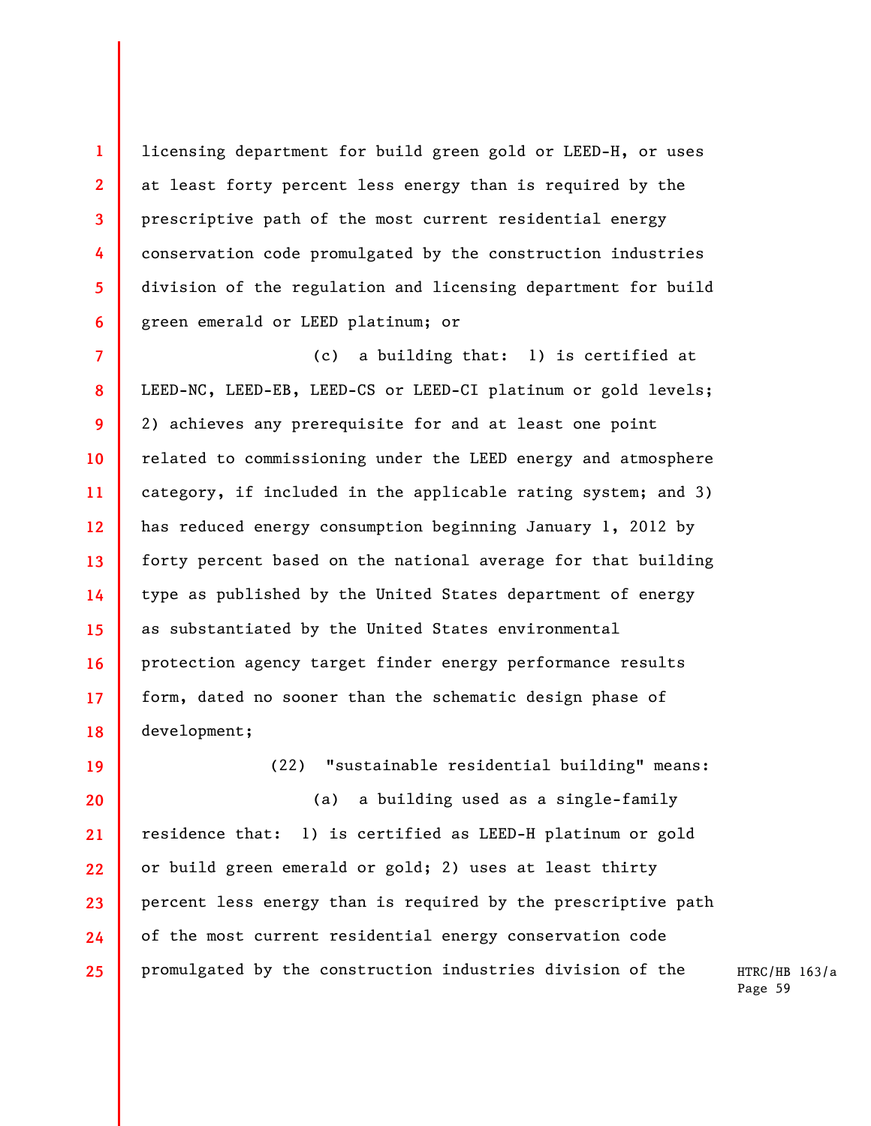licensing department for build green gold or LEED-H, or uses at least forty percent less energy than is required by the prescriptive path of the most current residential energy conservation code promulgated by the construction industries division of the regulation and licensing department for build green emerald or LEED platinum; or

**1** 

**2** 

**3** 

**4** 

**5** 

**6** 

**19** 

**20** 

**21** 

**22** 

**23** 

**24** 

**25** 

**7 8 9 10 11 12 13 14 15 16 17 18**  (c) a building that: 1) is certified at LEED-NC, LEED-EB, LEED-CS or LEED-CI platinum or gold levels; 2) achieves any prerequisite for and at least one point related to commissioning under the LEED energy and atmosphere category, if included in the applicable rating system; and 3) has reduced energy consumption beginning January 1, 2012 by forty percent based on the national average for that building type as published by the United States department of energy as substantiated by the United States environmental protection agency target finder energy performance results form, dated no sooner than the schematic design phase of development;

(22) "sustainable residential building" means: (a) a building used as a single-family residence that: 1) is certified as LEED-H platinum or gold or build green emerald or gold; 2) uses at least thirty percent less energy than is required by the prescriptive path of the most current residential energy conservation code promulgated by the construction industries division of the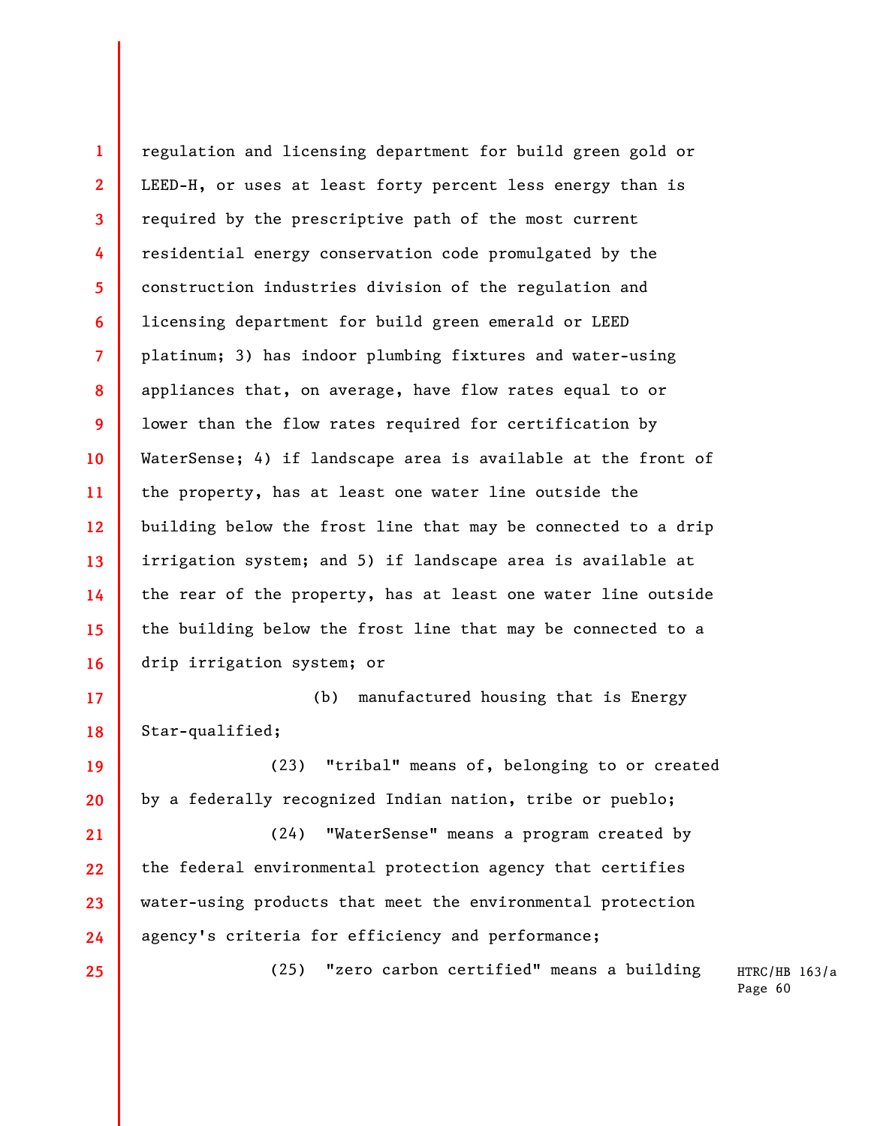**1 2 3 4 5 6 7 8 9 10 11 12 13 14 15 16**  regulation and licensing department for build green gold or LEED-H, or uses at least forty percent less energy than is required by the prescriptive path of the most current residential energy conservation code promulgated by the construction industries division of the regulation and licensing department for build green emerald or LEED platinum; 3) has indoor plumbing fixtures and water-using appliances that, on average, have flow rates equal to or lower than the flow rates required for certification by WaterSense; 4) if landscape area is available at the front of the property, has at least one water line outside the building below the frost line that may be connected to a drip irrigation system; and 5) if landscape area is available at the rear of the property, has at least one water line outside the building below the frost line that may be connected to a drip irrigation system; or

**17 18**  (b) manufactured housing that is Energy Star-qualified;

**19 20**  (23) "tribal" means of, belonging to or created by a federally recognized Indian nation, tribe or pueblo;

**21 22 23 24**  (24) "WaterSense" means a program created by the federal environmental protection agency that certifies water-using products that meet the environmental protection agency's criteria for efficiency and performance;

**25** 

(25) "zero carbon certified" means a building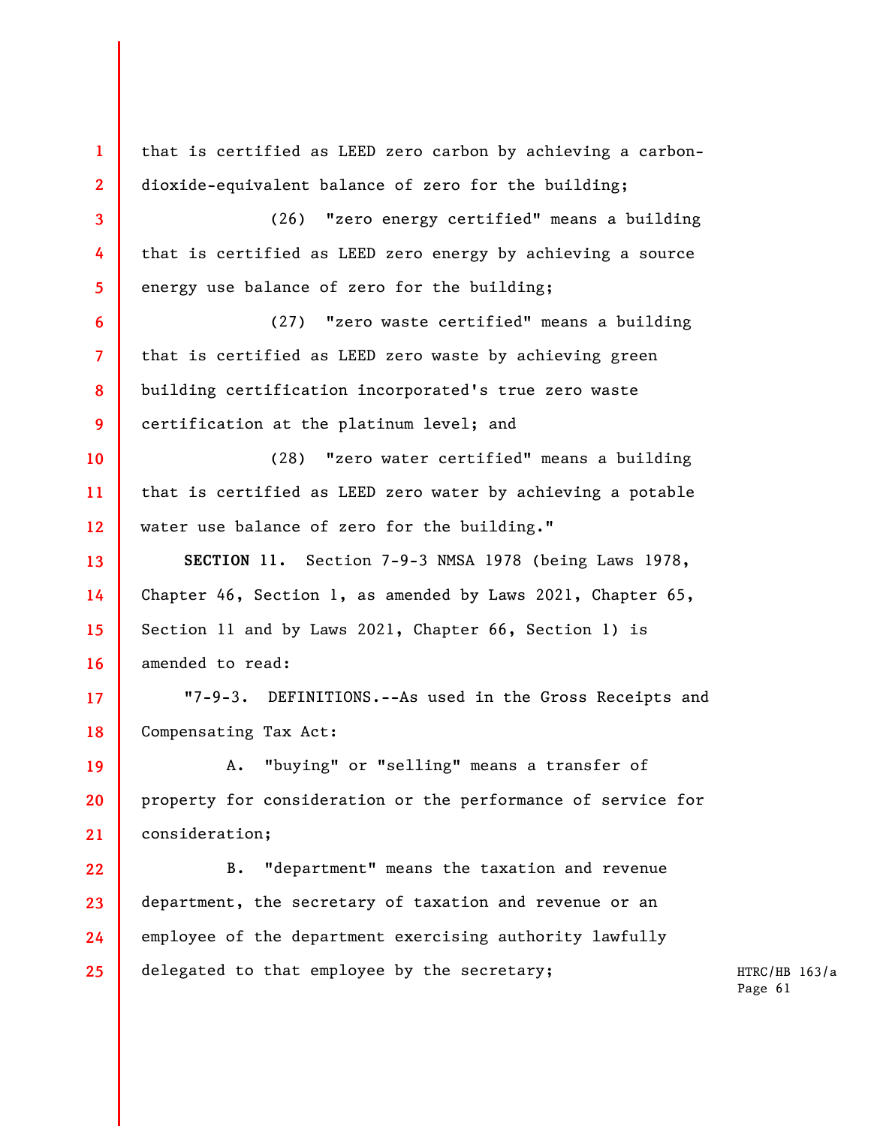**1 2 3 4 5 6 7 8 9 10 11 12 13 14 15 16 17 18 19 20 21 22 23 24 25**  that is certified as LEED zero carbon by achieving a carbondioxide-equivalent balance of zero for the building; (26) "zero energy certified" means a building that is certified as LEED zero energy by achieving a source energy use balance of zero for the building; (27) "zero waste certified" means a building that is certified as LEED zero waste by achieving green building certification incorporated's true zero waste certification at the platinum level; and (28) "zero water certified" means a building that is certified as LEED zero water by achieving a potable water use balance of zero for the building." **SECTION 11.** Section 7-9-3 NMSA 1978 (being Laws 1978, Chapter 46, Section 1, as amended by Laws 2021, Chapter 65, Section 11 and by Laws 2021, Chapter 66, Section 1) is amended to read: "7-9-3. DEFINITIONS.--As used in the Gross Receipts and Compensating Tax Act: A. "buying" or "selling" means a transfer of property for consideration or the performance of service for consideration; B. "department" means the taxation and revenue department, the secretary of taxation and revenue or an employee of the department exercising authority lawfully delegated to that employee by the secretary;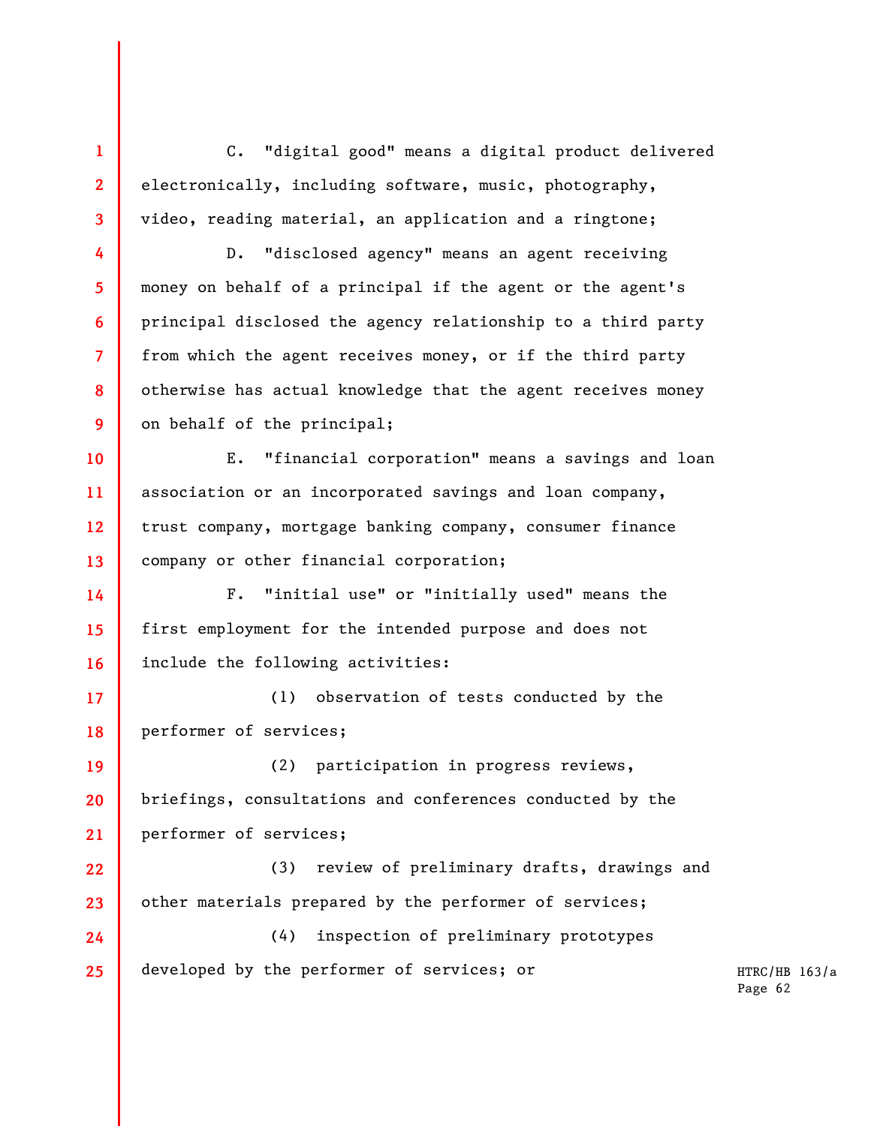C. "digital good" means a digital product delivered electronically, including software, music, photography, video, reading material, an application and a ringtone;

**1** 

**2** 

**3** 

**4** 

**5** 

**6** 

**7** 

**8** 

**9** 

D. "disclosed agency" means an agent receiving money on behalf of a principal if the agent or the agent's principal disclosed the agency relationship to a third party from which the agent receives money, or if the third party otherwise has actual knowledge that the agent receives money on behalf of the principal;

**10 11 12 13**  E. "financial corporation" means a savings and loan association or an incorporated savings and loan company, trust company, mortgage banking company, consumer finance company or other financial corporation;

**14 15 16**  F. "initial use" or "initially used" means the first employment for the intended purpose and does not include the following activities:

**17 18**  (1) observation of tests conducted by the performer of services;

**19 20 21**  (2) participation in progress reviews, briefings, consultations and conferences conducted by the performer of services;

**22 23**  (3) review of preliminary drafts, drawings and other materials prepared by the performer of services;

**24 25**  (4) inspection of preliminary prototypes developed by the performer of services; or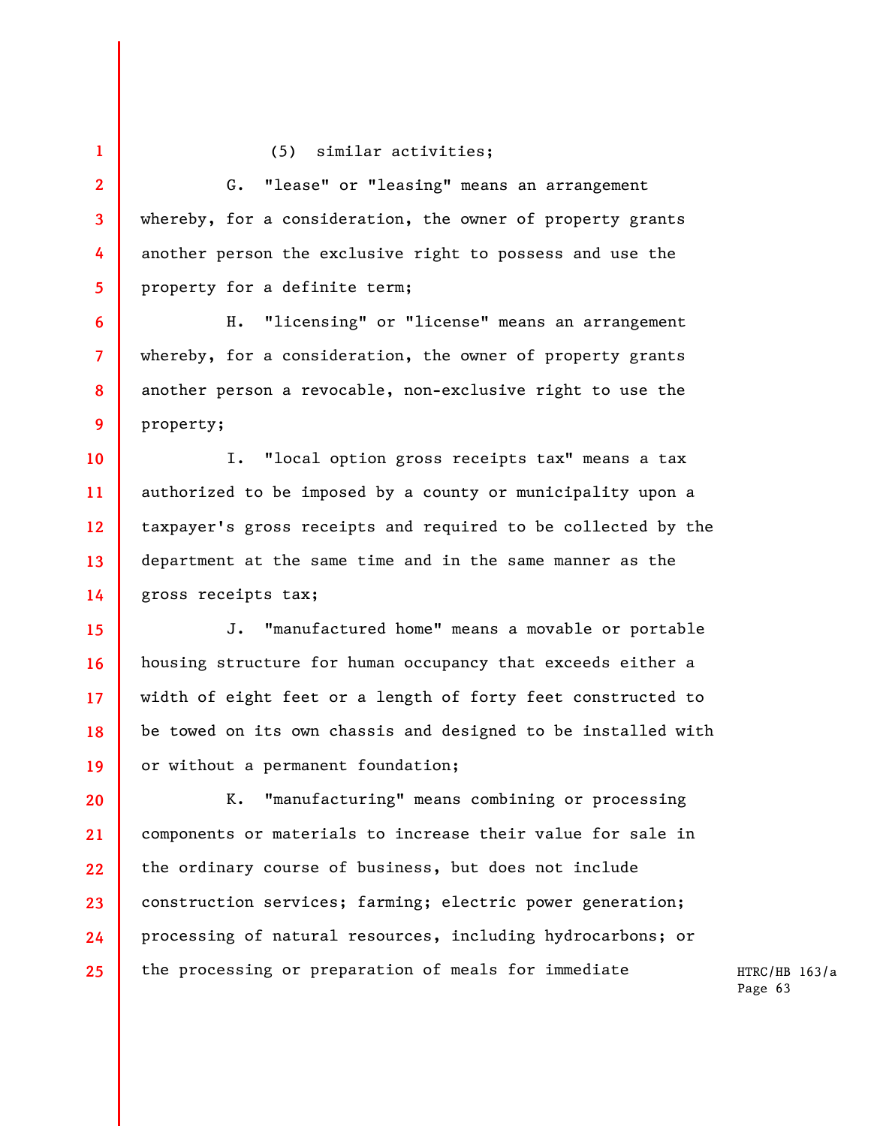## (5) similar activities;

**1** 

**2** 

**5** 

**6** 

**7** 

**8** 

**9** 

**3 4**  G. "lease" or "leasing" means an arrangement whereby, for a consideration, the owner of property grants another person the exclusive right to possess and use the property for a definite term;

H. "licensing" or "license" means an arrangement whereby, for a consideration, the owner of property grants another person a revocable, non-exclusive right to use the property;

**10 11 12 13 14**  I. "local option gross receipts tax" means a tax authorized to be imposed by a county or municipality upon a taxpayer's gross receipts and required to be collected by the department at the same time and in the same manner as the gross receipts tax;

**15 16 17 18 19**  J. "manufactured home" means a movable or portable housing structure for human occupancy that exceeds either a width of eight feet or a length of forty feet constructed to be towed on its own chassis and designed to be installed with or without a permanent foundation;

**20 21 22 23 24 25**  K. "manufacturing" means combining or processing components or materials to increase their value for sale in the ordinary course of business, but does not include construction services; farming; electric power generation; processing of natural resources, including hydrocarbons; or the processing or preparation of meals for immediate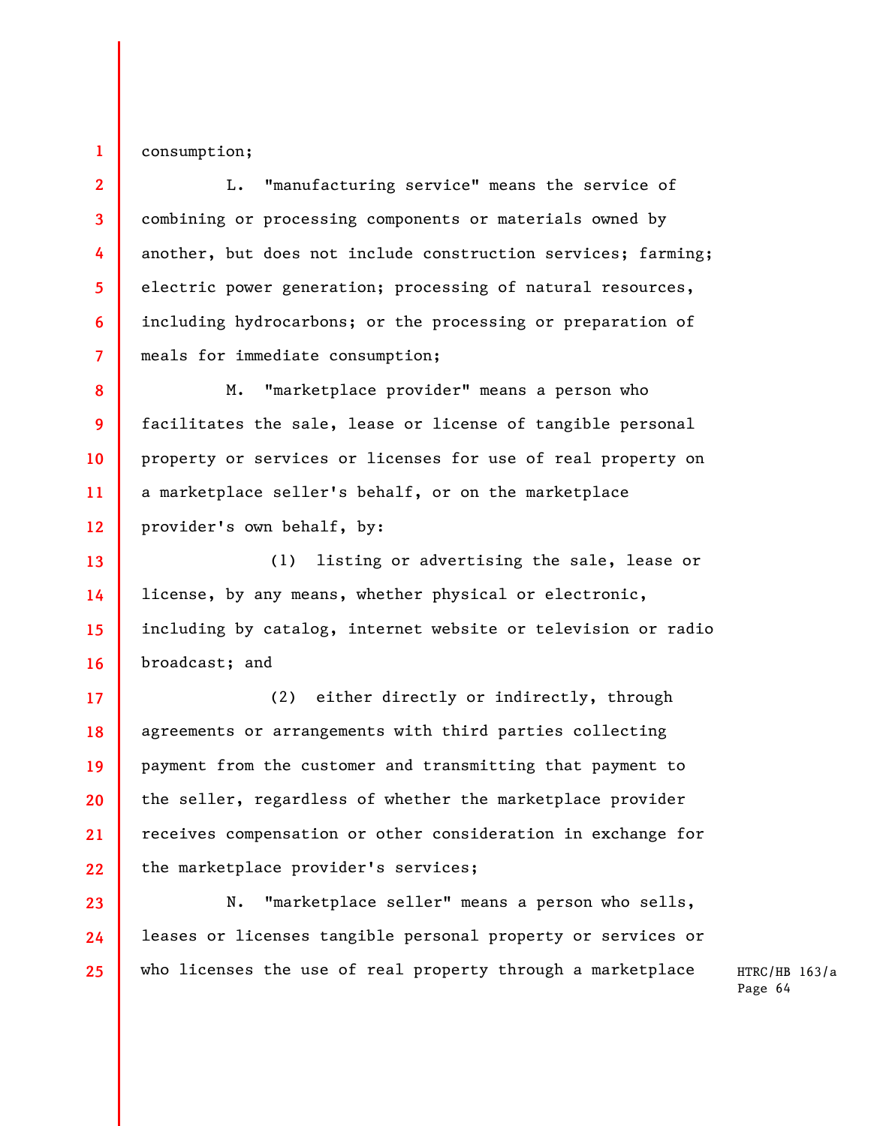consumption;

**1** 

**2** 

**3** 

**4** 

**5** 

**6** 

**7** 

**17** 

**19** 

**20** 

**21** 

**23** 

**24** 

**25** 

L. "manufacturing service" means the service of combining or processing components or materials owned by another, but does not include construction services; farming; electric power generation; processing of natural resources, including hydrocarbons; or the processing or preparation of meals for immediate consumption;

**8 9 10 11 12**  M. "marketplace provider" means a person who facilitates the sale, lease or license of tangible personal property or services or licenses for use of real property on a marketplace seller's behalf, or on the marketplace provider's own behalf, by:

**13 14 15 16**  (1) listing or advertising the sale, lease or license, by any means, whether physical or electronic, including by catalog, internet website or television or radio broadcast; and

**18 22**  (2) either directly or indirectly, through agreements or arrangements with third parties collecting payment from the customer and transmitting that payment to the seller, regardless of whether the marketplace provider receives compensation or other consideration in exchange for the marketplace provider's services;

N. "marketplace seller" means a person who sells, leases or licenses tangible personal property or services or who licenses the use of real property through a marketplace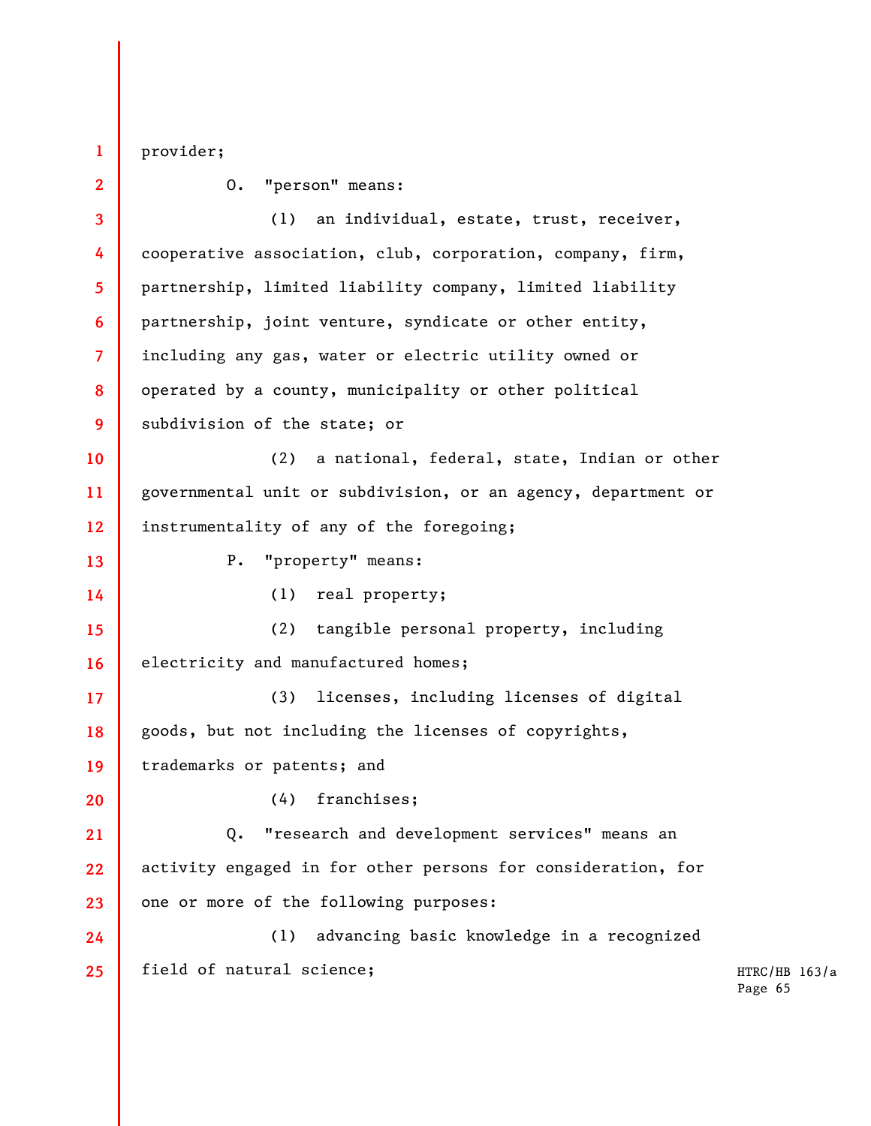provider;

**1** 

**2 3 4 5 6 7 8 9 10 11 12 13 14 15 16 17 18 19 20 21 22 23 24 25**  O. "person" means: (1) an individual, estate, trust, receiver, cooperative association, club, corporation, company, firm, partnership, limited liability company, limited liability partnership, joint venture, syndicate or other entity, including any gas, water or electric utility owned or operated by a county, municipality or other political subdivision of the state; or (2) a national, federal, state, Indian or other governmental unit or subdivision, or an agency, department or instrumentality of any of the foregoing; P. "property" means: (1) real property; (2) tangible personal property, including electricity and manufactured homes; (3) licenses, including licenses of digital goods, but not including the licenses of copyrights, trademarks or patents; and (4) franchises; Q. "research and development services" means an activity engaged in for other persons for consideration, for one or more of the following purposes: (1) advancing basic knowledge in a recognized field of natural science;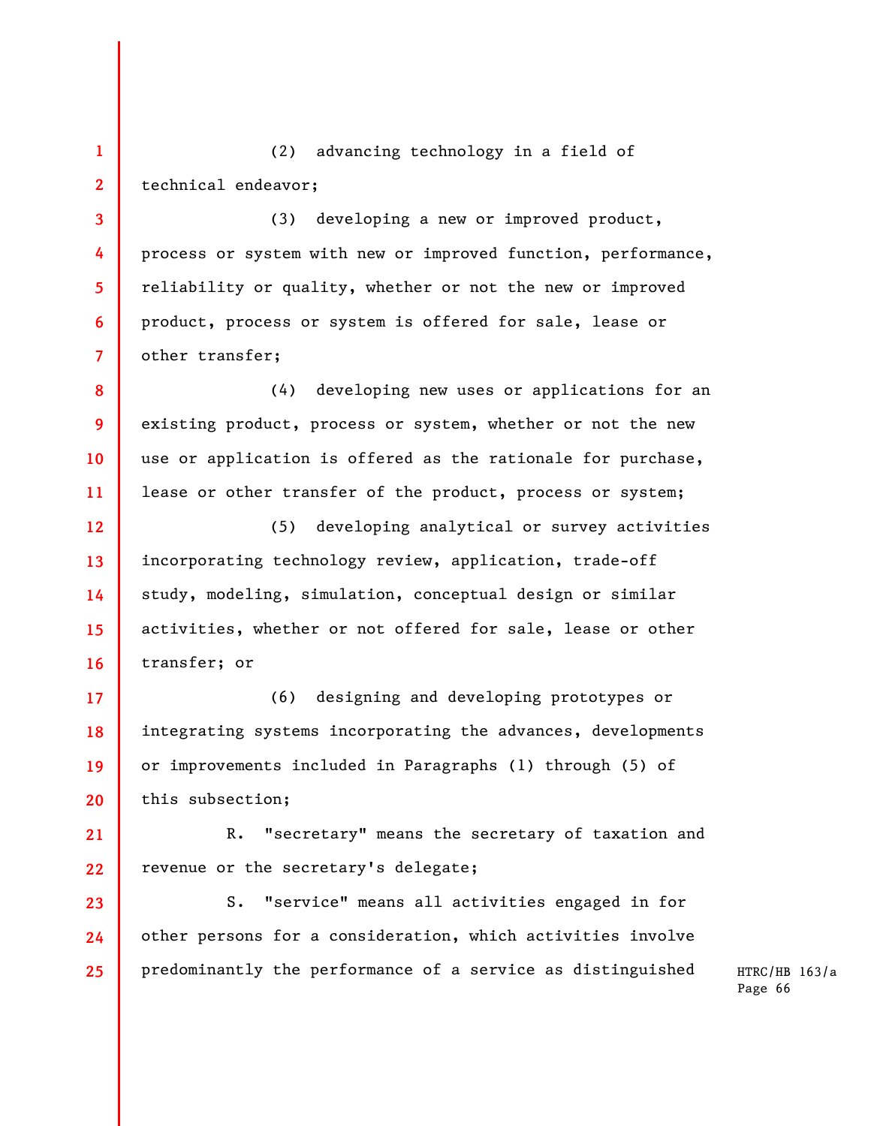**1 2**  (2) advancing technology in a field of technical endeavor;

**3** 

**4** 

**5** 

**6** 

**7** 

**8** 

**9** 

**10** 

**11** 

**17** 

**18** 

**19** 

**20** 

(3) developing a new or improved product, process or system with new or improved function, performance, reliability or quality, whether or not the new or improved product, process or system is offered for sale, lease or other transfer;

(4) developing new uses or applications for an existing product, process or system, whether or not the new use or application is offered as the rationale for purchase, lease or other transfer of the product, process or system;

**12 13 14 15 16**  (5) developing analytical or survey activities incorporating technology review, application, trade-off study, modeling, simulation, conceptual design or similar activities, whether or not offered for sale, lease or other transfer; or

(6) designing and developing prototypes or integrating systems incorporating the advances, developments or improvements included in Paragraphs (1) through (5) of this subsection;

**21 22**  R. "secretary" means the secretary of taxation and revenue or the secretary's delegate;

**23 24 25**  S. "service" means all activities engaged in for other persons for a consideration, which activities involve predominantly the performance of a service as distinguished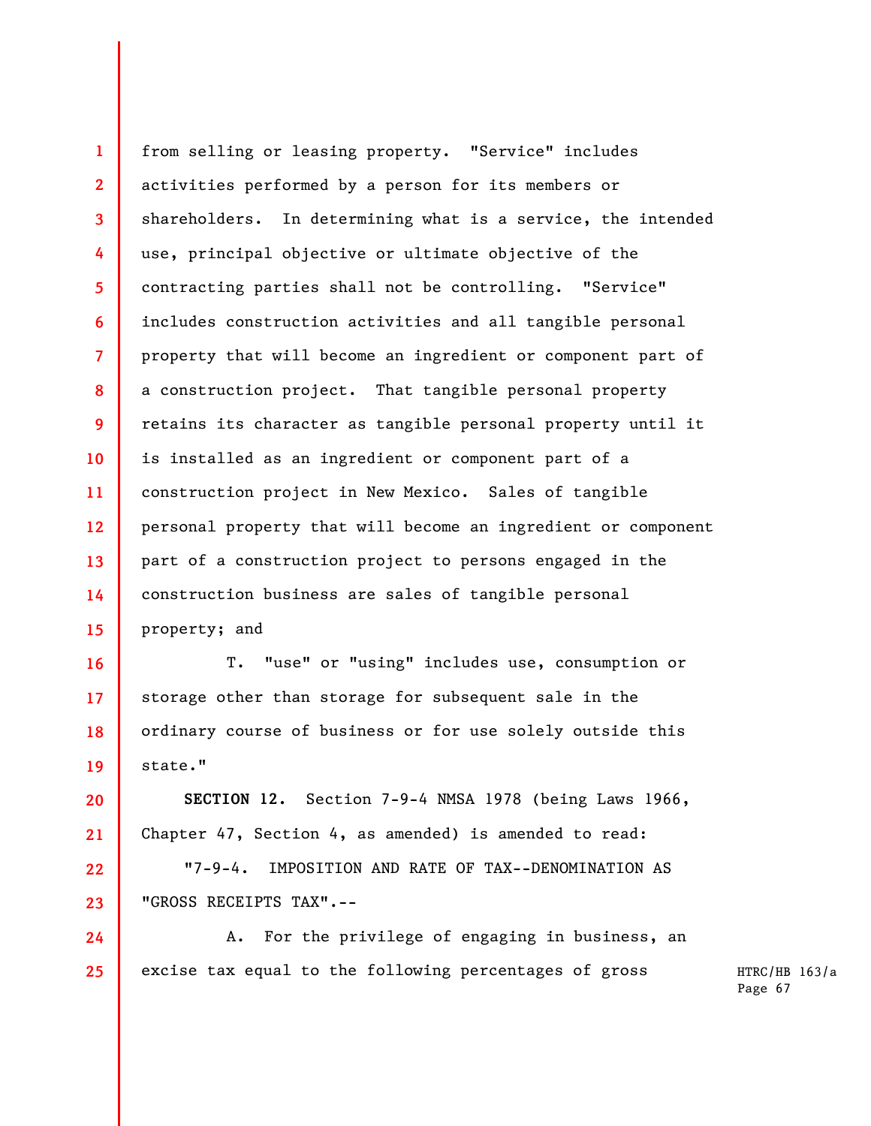**1 2 3 4 5 6 7 8 9 10 11 12 13 14 15**  from selling or leasing property. "Service" includes activities performed by a person for its members or shareholders. In determining what is a service, the intended use, principal objective or ultimate objective of the contracting parties shall not be controlling. "Service" includes construction activities and all tangible personal property that will become an ingredient or component part of a construction project. That tangible personal property retains its character as tangible personal property until it is installed as an ingredient or component part of a construction project in New Mexico. Sales of tangible personal property that will become an ingredient or component part of a construction project to persons engaged in the construction business are sales of tangible personal property; and

T. "use" or "using" includes use, consumption or storage other than storage for subsequent sale in the ordinary course of business or for use solely outside this state."

**16** 

**17** 

**18** 

**19** 

**20** 

**21** 

**22** 

**23** 

**24** 

**25** 

**SECTION 12.** Section 7-9-4 NMSA 1978 (being Laws 1966, Chapter 47, Section 4, as amended) is amended to read:

"7-9-4. IMPOSITION AND RATE OF TAX--DENOMINATION AS "GROSS RECEIPTS TAX".--

A. For the privilege of engaging in business, an excise tax equal to the following percentages of gross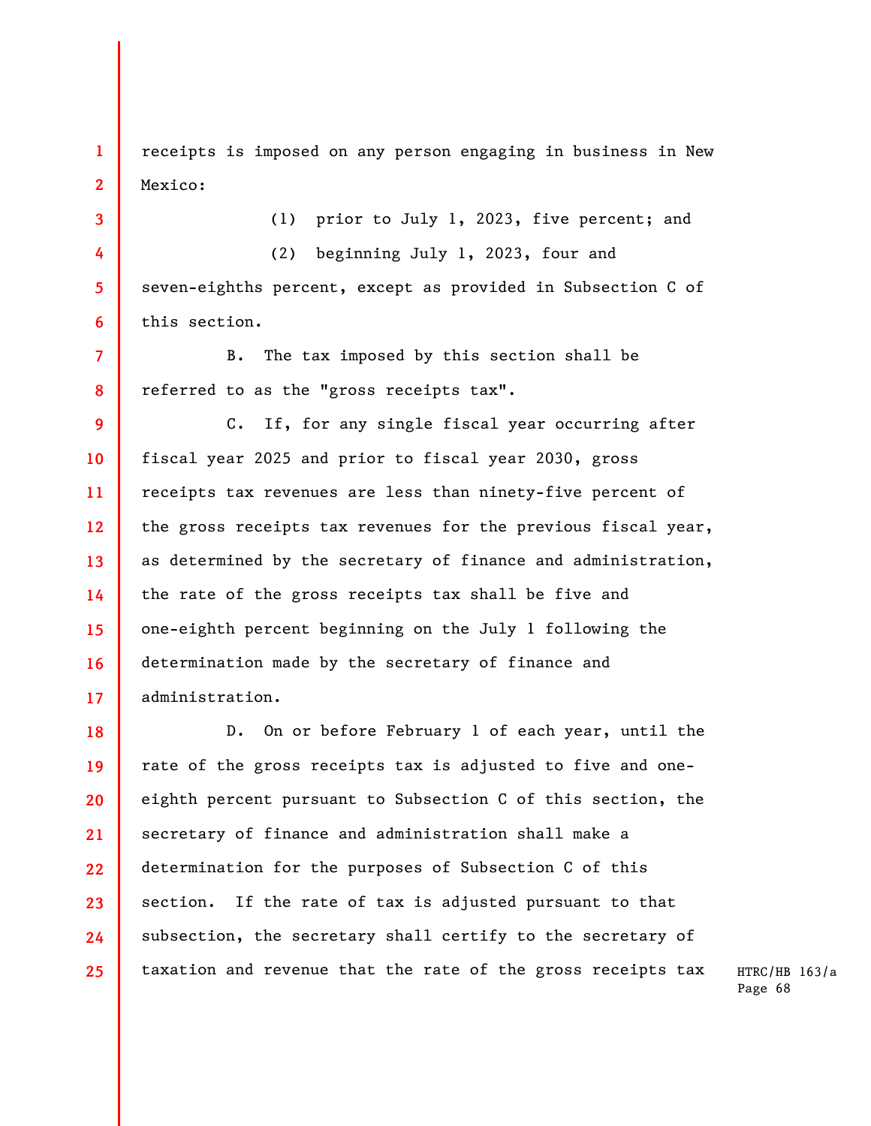**1 2**  receipts is imposed on any person engaging in business in New Mexico:

(1) prior to July 1, 2023, five percent; and

(2) beginning July 1, 2023, four and seven-eighths percent, except as provided in Subsection C of this section.

**7 8**  B. The tax imposed by this section shall be referred to as the "gross receipts tax".

**3** 

**4** 

**5** 

**6** 

**9 10 11 12 13 14 15 16 17**  C. If, for any single fiscal year occurring after fiscal year 2025 and prior to fiscal year 2030, gross receipts tax revenues are less than ninety-five percent of the gross receipts tax revenues for the previous fiscal year, as determined by the secretary of finance and administration, the rate of the gross receipts tax shall be five and one-eighth percent beginning on the July 1 following the determination made by the secretary of finance and administration.

**18 19 20 21 22 23 24 25**  D. On or before February 1 of each year, until the rate of the gross receipts tax is adjusted to five and oneeighth percent pursuant to Subsection C of this section, the secretary of finance and administration shall make a determination for the purposes of Subsection C of this section. If the rate of tax is adjusted pursuant to that subsection, the secretary shall certify to the secretary of taxation and revenue that the rate of the gross receipts tax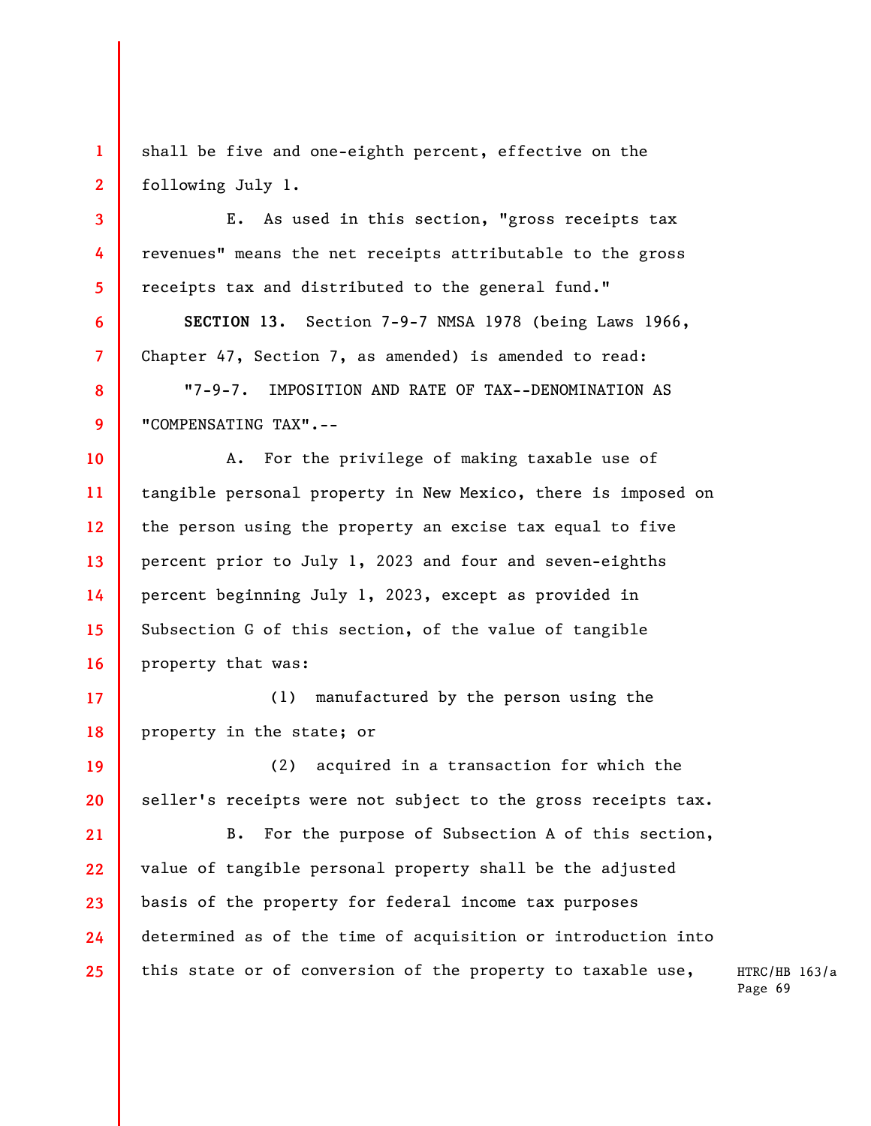shall be five and one-eighth percent, effective on the following July 1.

**1** 

**2** 

**3** 

**4** 

**5** 

**6** 

**7** 

**8** 

**9** 

**10** 

**11** 

**12** 

**13** 

**14** 

**15** 

**16** 

E. As used in this section, "gross receipts tax revenues" means the net receipts attributable to the gross receipts tax and distributed to the general fund."

**SECTION 13.** Section 7-9-7 NMSA 1978 (being Laws 1966, Chapter 47, Section 7, as amended) is amended to read:

"7-9-7. IMPOSITION AND RATE OF TAX--DENOMINATION AS "COMPENSATING TAX".--

A. For the privilege of making taxable use of tangible personal property in New Mexico, there is imposed on the person using the property an excise tax equal to five percent prior to July 1, 2023 and four and seven-eighths percent beginning July 1, 2023, except as provided in Subsection G of this section, of the value of tangible property that was:

**17 18**  (1) manufactured by the person using the property in the state; or

**19 20**  (2) acquired in a transaction for which the seller's receipts were not subject to the gross receipts tax.

**21 22 23 24 25**  B. For the purpose of Subsection A of this section, value of tangible personal property shall be the adjusted basis of the property for federal income tax purposes determined as of the time of acquisition or introduction into this state or of conversion of the property to taxable use,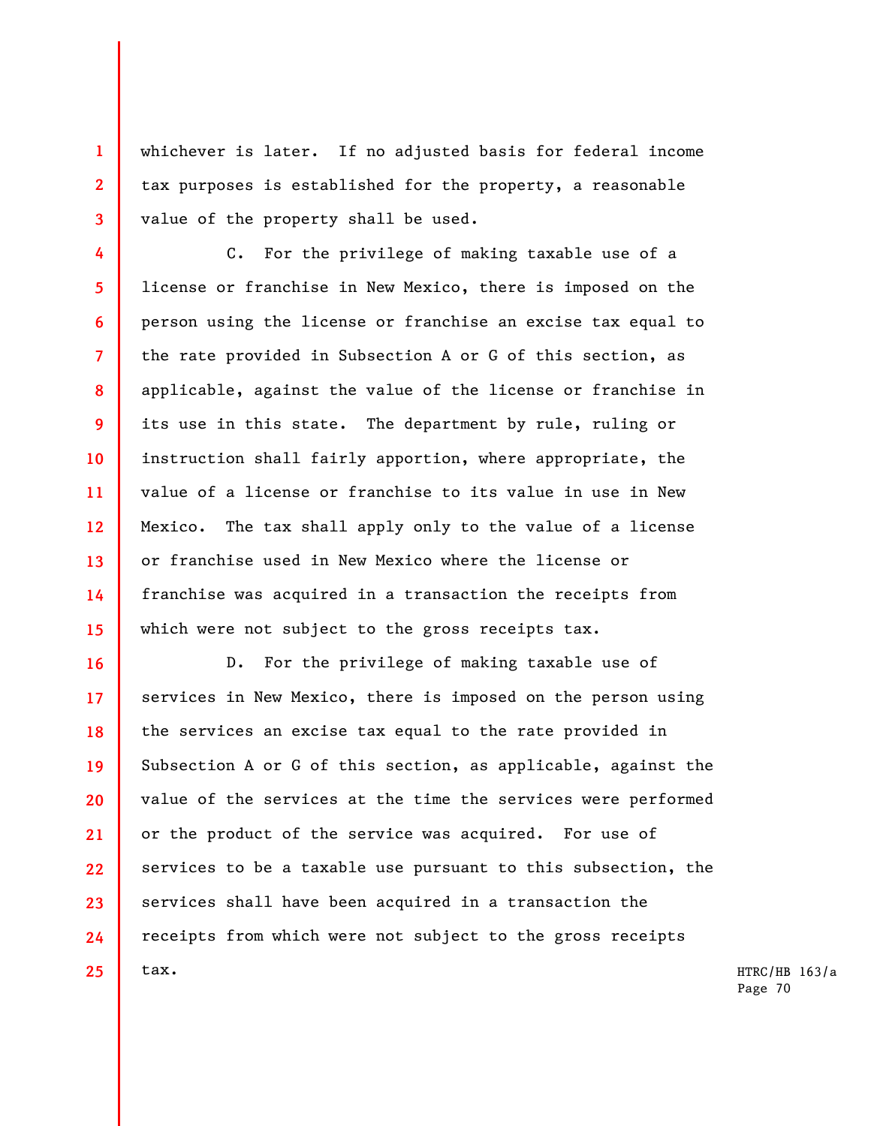whichever is later. If no adjusted basis for federal income tax purposes is established for the property, a reasonable value of the property shall be used.

**1** 

**2** 

**3** 

**4** 

**5** 

**6** 

**7** 

**8** 

**9** 

**10** 

**11** 

**12** 

**13** 

**14** 

**15** 

C. For the privilege of making taxable use of a license or franchise in New Mexico, there is imposed on the person using the license or franchise an excise tax equal to the rate provided in Subsection A or G of this section, as applicable, against the value of the license or franchise in its use in this state. The department by rule, ruling or instruction shall fairly apportion, where appropriate, the value of a license or franchise to its value in use in New Mexico. The tax shall apply only to the value of a license or franchise used in New Mexico where the license or franchise was acquired in a transaction the receipts from which were not subject to the gross receipts tax.

**16 17 18 19 20 21 22 23 24 25**  D. For the privilege of making taxable use of services in New Mexico, there is imposed on the person using the services an excise tax equal to the rate provided in Subsection A or G of this section, as applicable, against the value of the services at the time the services were performed or the product of the service was acquired. For use of services to be a taxable use pursuant to this subsection, the services shall have been acquired in a transaction the receipts from which were not subject to the gross receipts tax.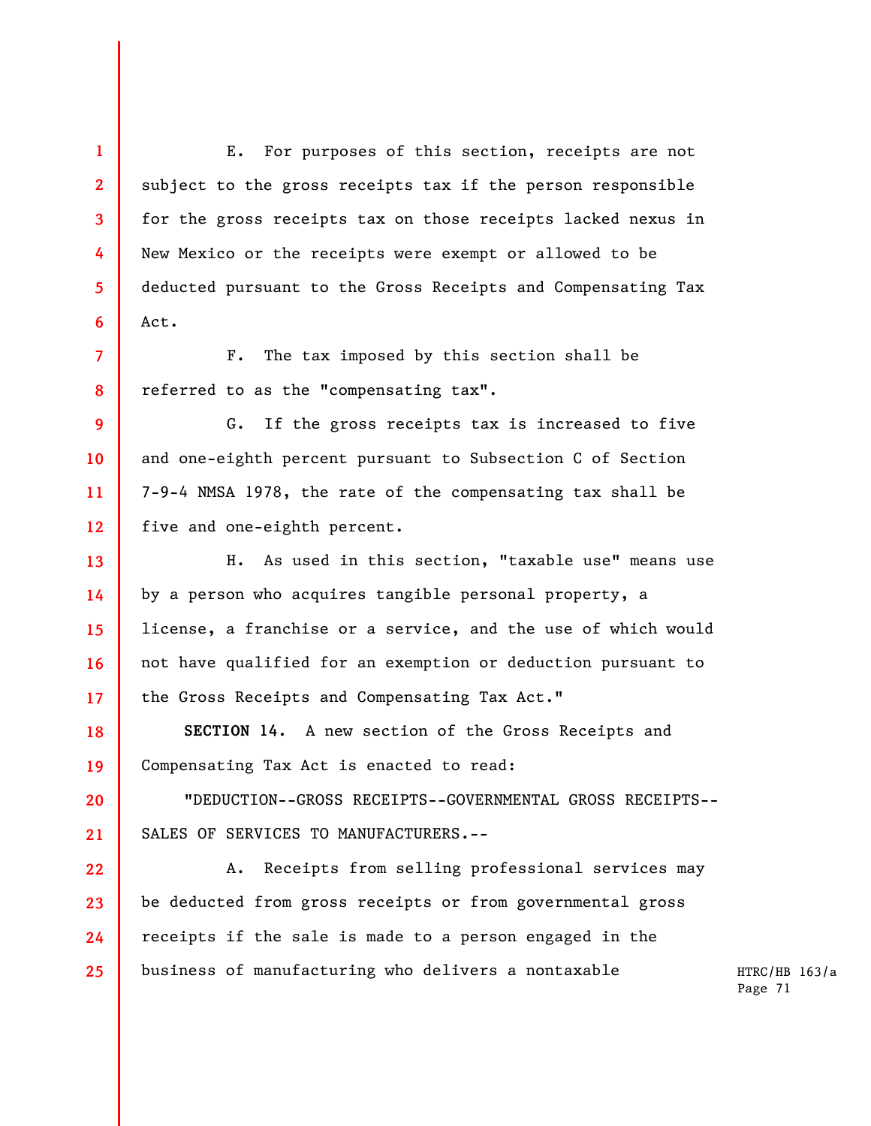E. For purposes of this section, receipts are not subject to the gross receipts tax if the person responsible for the gross receipts tax on those receipts lacked nexus in New Mexico or the receipts were exempt or allowed to be deducted pursuant to the Gross Receipts and Compensating Tax Act.

**7 8**  F. The tax imposed by this section shall be referred to as the "compensating tax".

**1** 

**2** 

**3** 

**4** 

**5** 

**6** 

**9 10 11 12**  G. If the gross receipts tax is increased to five and one-eighth percent pursuant to Subsection C of Section 7-9-4 NMSA 1978, the rate of the compensating tax shall be five and one-eighth percent.

**13 14 15 16 17**  H. As used in this section, "taxable use" means use by a person who acquires tangible personal property, a license, a franchise or a service, and the use of which would not have qualified for an exemption or deduction pursuant to the Gross Receipts and Compensating Tax Act."

**18 19 SECTION 14**. A new section of the Gross Receipts and Compensating Tax Act is enacted to read:

**20 21**  "DEDUCTION--GROSS RECEIPTS--GOVERNMENTAL GROSS RECEIPTS-- SALES OF SERVICES TO MANUFACTURERS.--

**22 23 24 25**  A. Receipts from selling professional services may be deducted from gross receipts or from governmental gross receipts if the sale is made to a person engaged in the business of manufacturing who delivers a nontaxable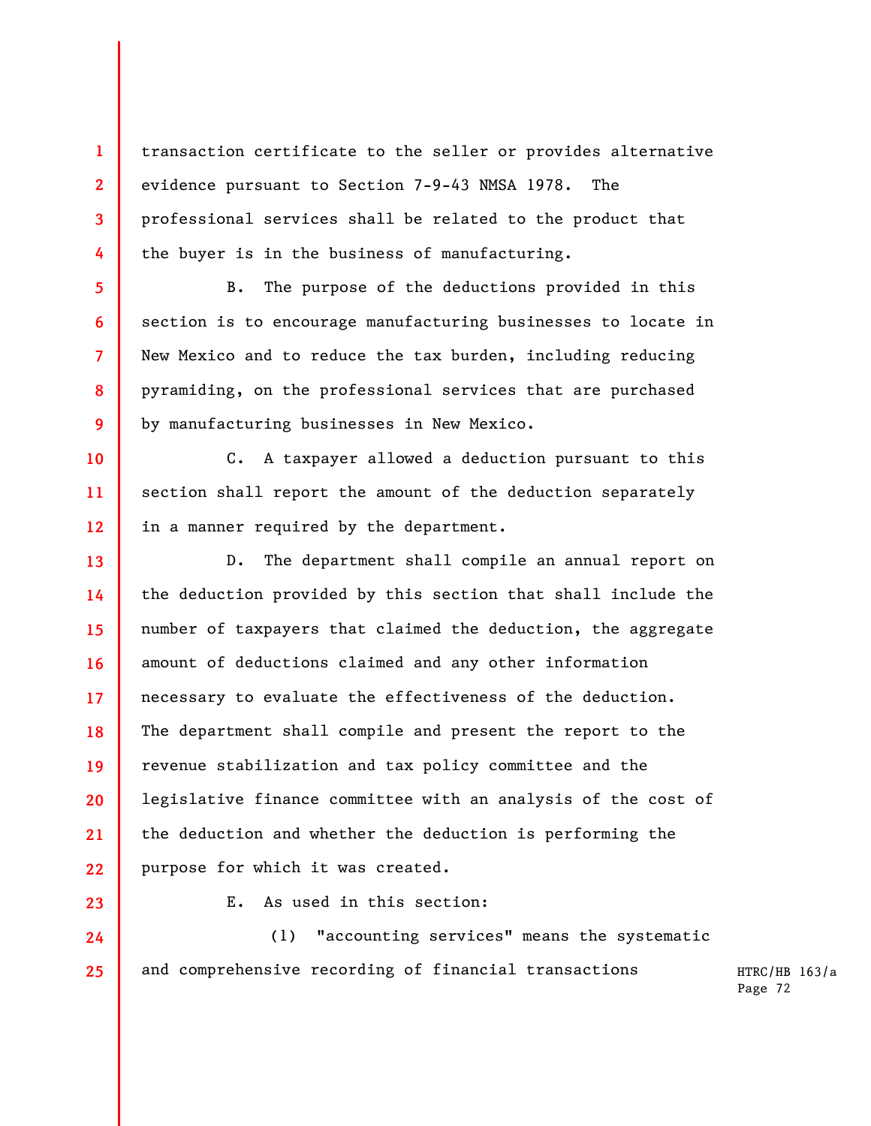transaction certificate to the seller or provides alternative evidence pursuant to Section 7-9-43 NMSA 1978. The professional services shall be related to the product that the buyer is in the business of manufacturing.

B. The purpose of the deductions provided in this section is to encourage manufacturing businesses to locate in New Mexico and to reduce the tax burden, including reducing pyramiding, on the professional services that are purchased by manufacturing businesses in New Mexico.

C. A taxpayer allowed a deduction pursuant to this section shall report the amount of the deduction separately in a manner required by the department.

**13 14 15 16 17 18 19 20 21 22**  D. The department shall compile an annual report on the deduction provided by this section that shall include the number of taxpayers that claimed the deduction, the aggregate amount of deductions claimed and any other information necessary to evaluate the effectiveness of the deduction. The department shall compile and present the report to the revenue stabilization and tax policy committee and the legislative finance committee with an analysis of the cost of the deduction and whether the deduction is performing the purpose for which it was created.

**23 24** 

**25** 

**1** 

**2** 

**3** 

**4** 

**5** 

**6** 

**7** 

**8** 

**9** 

**10** 

**11** 

**12** 

E. As used in this section:

(1) "accounting services" means the systematic and comprehensive recording of financial transactions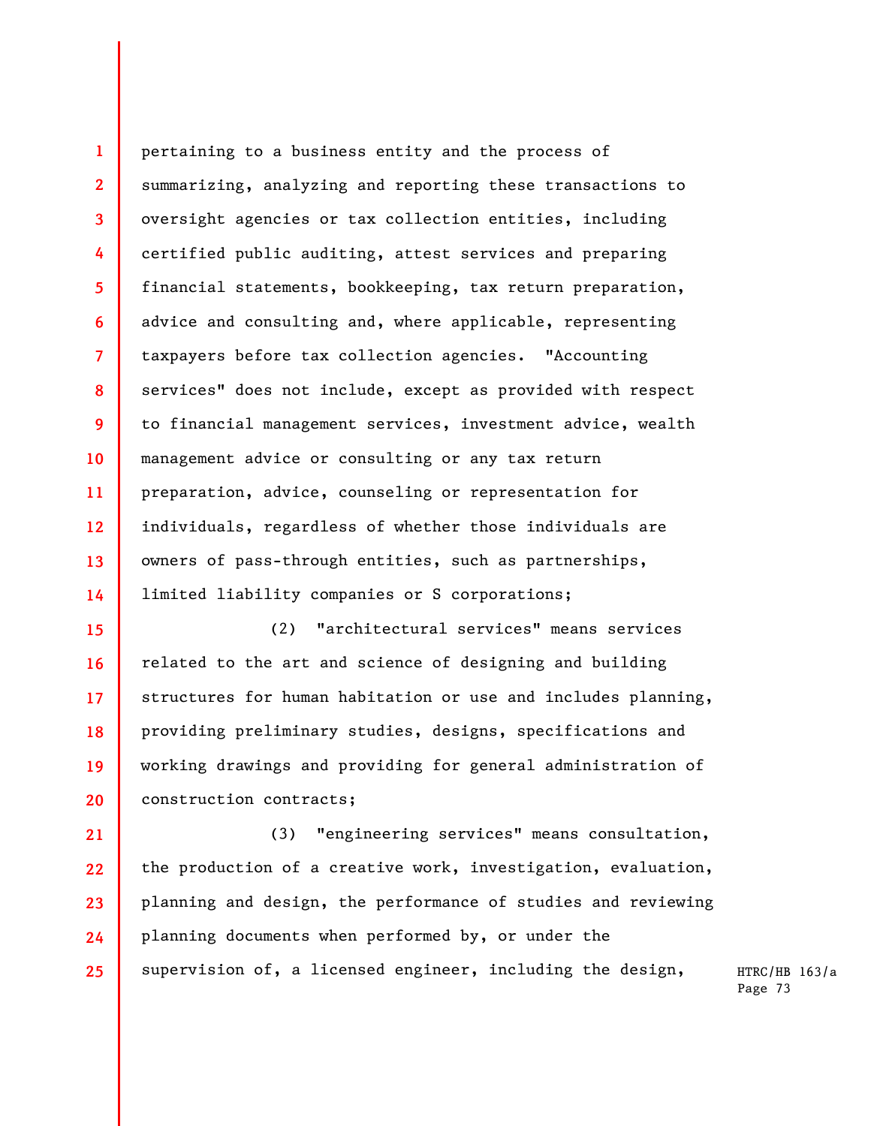**1 2 3 4 5 6 7 8 9 10 11 12 13 14**  pertaining to a business entity and the process of summarizing, analyzing and reporting these transactions to oversight agencies or tax collection entities, including certified public auditing, attest services and preparing financial statements, bookkeeping, tax return preparation, advice and consulting and, where applicable, representing taxpayers before tax collection agencies. "Accounting services" does not include, except as provided with respect to financial management services, investment advice, wealth management advice or consulting or any tax return preparation, advice, counseling or representation for individuals, regardless of whether those individuals are owners of pass-through entities, such as partnerships, limited liability companies or S corporations;

**15 16 17 18 19 20**  (2) "architectural services" means services related to the art and science of designing and building structures for human habitation or use and includes planning, providing preliminary studies, designs, specifications and working drawings and providing for general administration of construction contracts;

**21 22 23 24 25**  (3) "engineering services" means consultation, the production of a creative work, investigation, evaluation, planning and design, the performance of studies and reviewing planning documents when performed by, or under the supervision of, a licensed engineer, including the design,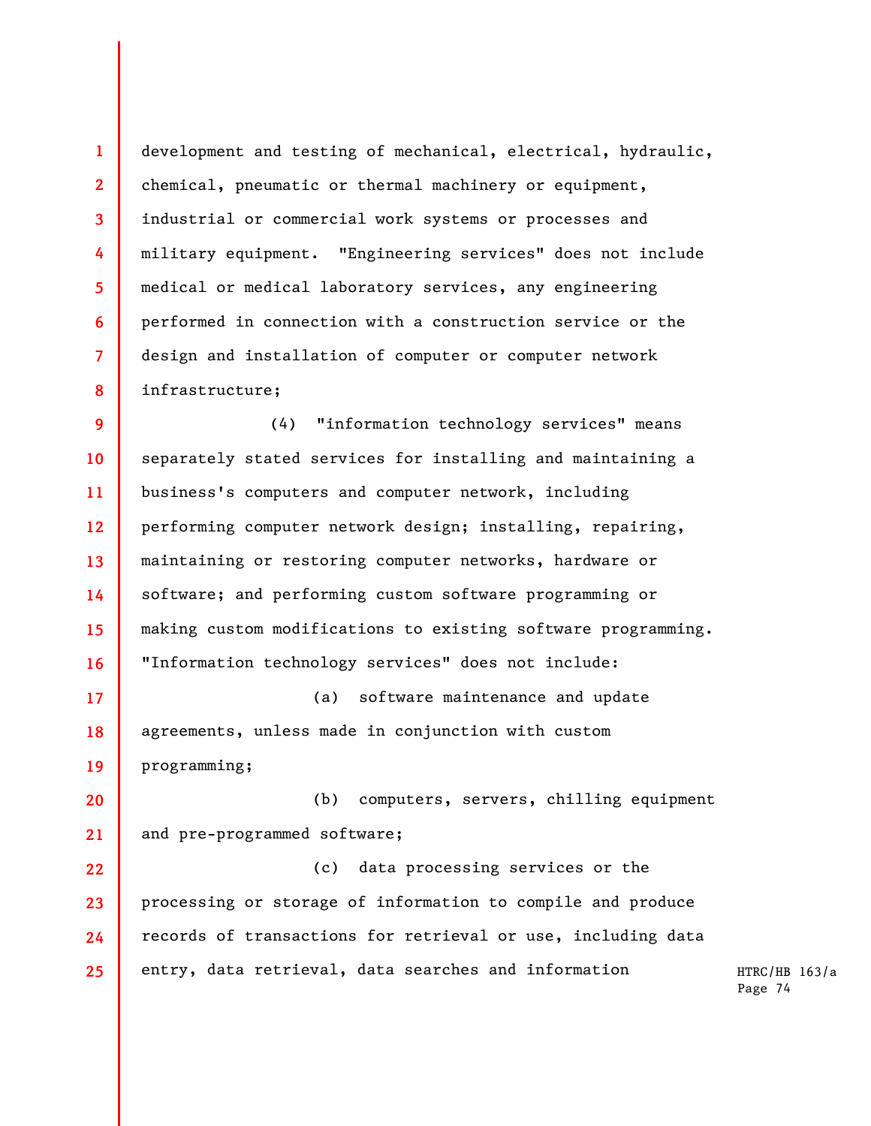**1 2 3 4 5 6 7 8**  development and testing of mechanical, electrical, hydraulic, chemical, pneumatic or thermal machinery or equipment, industrial or commercial work systems or processes and military equipment. "Engineering services" does not include medical or medical laboratory services, any engineering performed in connection with a construction service or the design and installation of computer or computer network infrastructure;

**9 10 11 12 13 14 15 16**  (4) "information technology services" means separately stated services for installing and maintaining a business's computers and computer network, including performing computer network design; installing, repairing, maintaining or restoring computer networks, hardware or software; and performing custom software programming or making custom modifications to existing software programming. "Information technology services" does not include:

**17 18 19**  (a) software maintenance and update agreements, unless made in conjunction with custom programming;

**20 21**  (b) computers, servers, chilling equipment and pre-programmed software;

**22 23 24 25**  (c) data processing services or the processing or storage of information to compile and produce records of transactions for retrieval or use, including data entry, data retrieval, data searches and information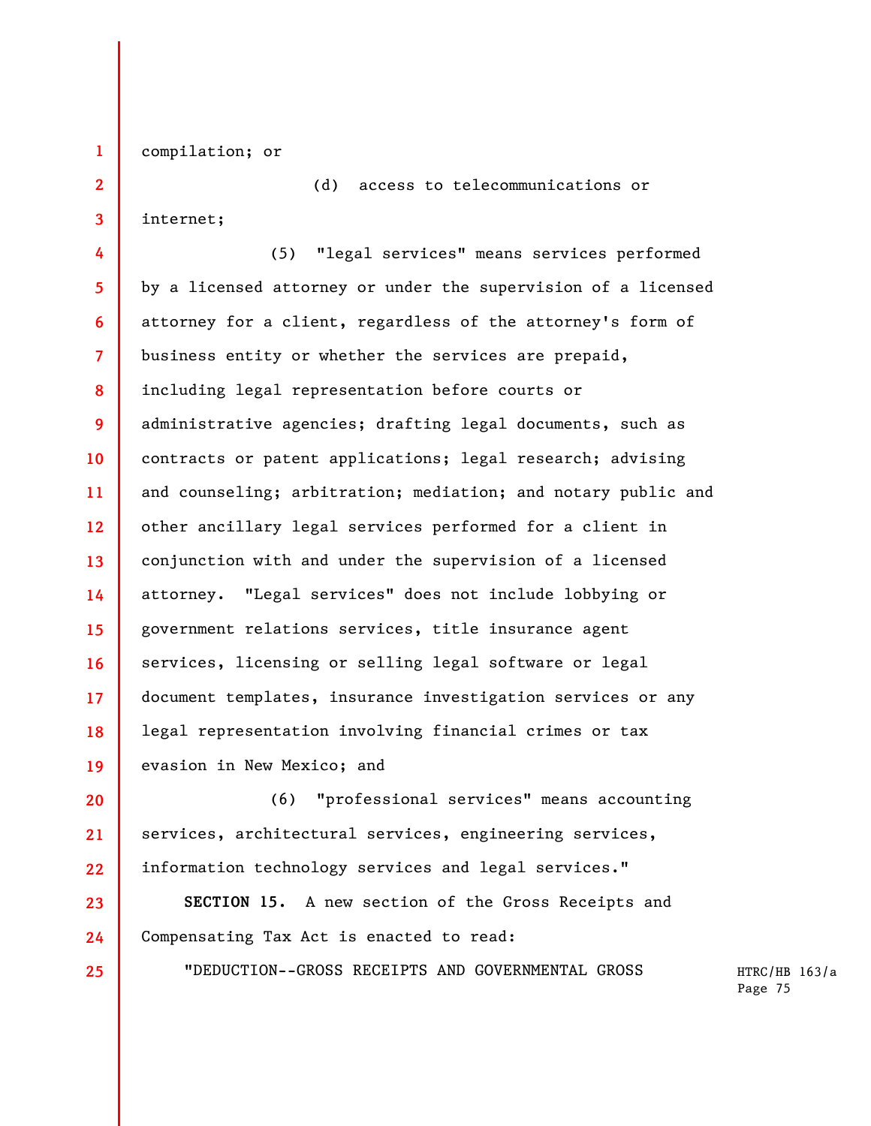compilation; or

(d) access to telecommunications or

internet;

**1** 

**2** 

**3** 

**25** 

**4 5 6 7 8 9 10 11 12 13 14 15 16 17 18 19**  (5) "legal services" means services performed by a licensed attorney or under the supervision of a licensed attorney for a client, regardless of the attorney's form of business entity or whether the services are prepaid, including legal representation before courts or administrative agencies; drafting legal documents, such as contracts or patent applications; legal research; advising and counseling; arbitration; mediation; and notary public and other ancillary legal services performed for a client in conjunction with and under the supervision of a licensed attorney. "Legal services" does not include lobbying or government relations services, title insurance agent services, licensing or selling legal software or legal document templates, insurance investigation services or any legal representation involving financial crimes or tax evasion in New Mexico; and

**20 21 22**  (6) "professional services" means accounting services, architectural services, engineering services, information technology services and legal services."

**23 24 SECTION 15.** A new section of the Gross Receipts and Compensating Tax Act is enacted to read:

"DEDUCTION--GROSS RECEIPTS AND GOVERNMENTAL GROSS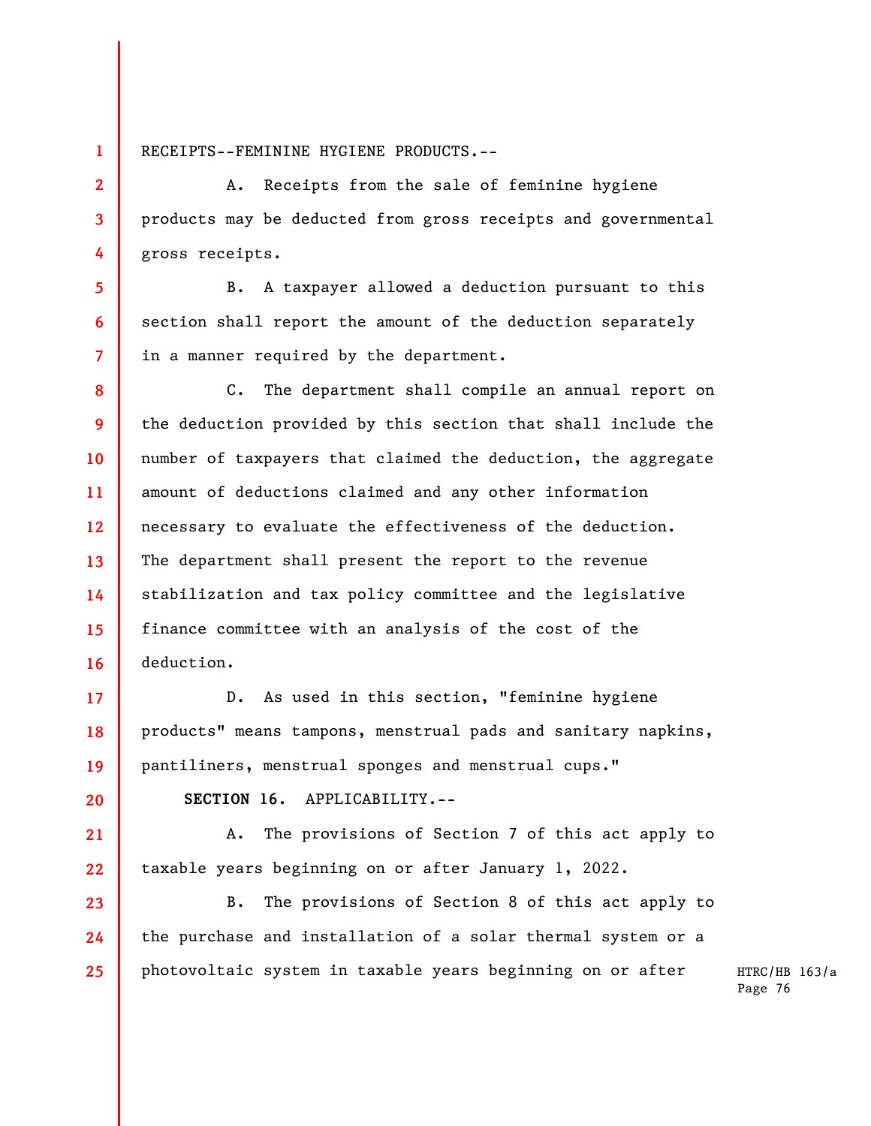RECEIPTS--FEMININE HYGIENE PRODUCTS.--

**1** 

**2** 

**3** 

**4** 

**5** 

**6** 

**7** 

**17** 

**18** 

**19** 

**20** 

**21** 

**22** 

A. Receipts from the sale of feminine hygiene products may be deducted from gross receipts and governmental gross receipts.

B. A taxpayer allowed a deduction pursuant to this section shall report the amount of the deduction separately in a manner required by the department.

**8 9 10 11 12 13 14 15 16**  C. The department shall compile an annual report on the deduction provided by this section that shall include the number of taxpayers that claimed the deduction, the aggregate amount of deductions claimed and any other information necessary to evaluate the effectiveness of the deduction. The department shall present the report to the revenue stabilization and tax policy committee and the legislative finance committee with an analysis of the cost of the deduction.

D. As used in this section, "feminine hygiene products" means tampons, menstrual pads and sanitary napkins, pantiliners, menstrual sponges and menstrual cups."

**SECTION 16.** APPLICABILITY.--

A. The provisions of Section 7 of this act apply to taxable years beginning on or after January 1, 2022.

**23 24 25**  B. The provisions of Section 8 of this act apply to the purchase and installation of a solar thermal system or a photovoltaic system in taxable years beginning on or after